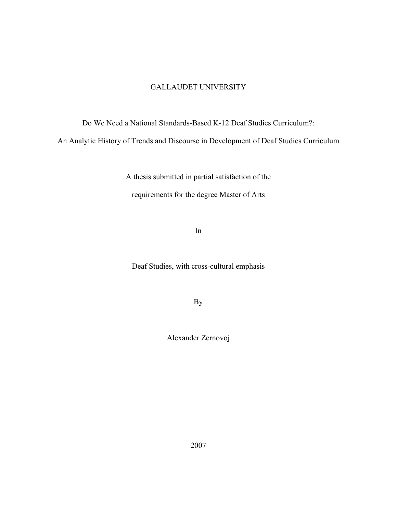### GALLAUDET UNIVERSITY

Do We Need a National Standards-Based K-12 Deaf Studies Curriculum?:

An Analytic History of Trends and Discourse in Development of Deaf Studies Curriculum

A thesis submitted in partial satisfaction of the requirements for the degree Master of Arts

In

Deaf Studies, with cross-cultural emphasis

By

Alexander Zernovoj

2007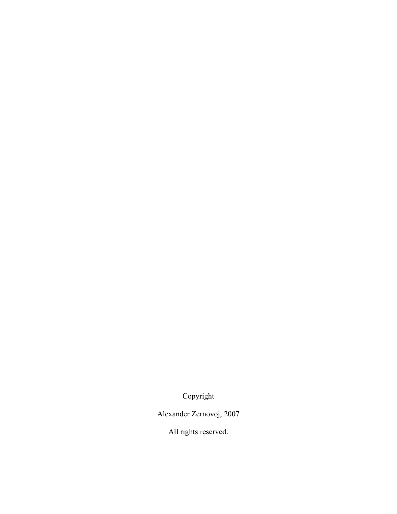Copyright

Alexander Zernovoj, 2007

All rights reserved.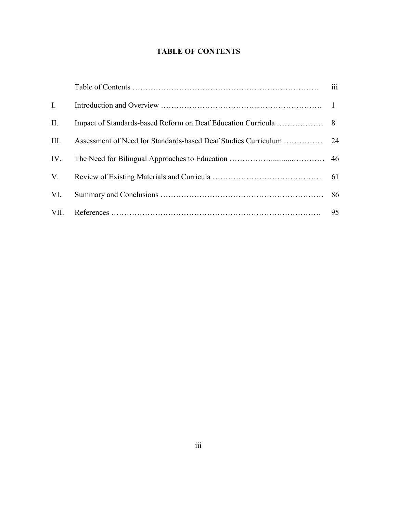# **TABLE OF CONTENTS**

|             | $\cdots$<br>111 |
|-------------|-----------------|
| $I_{\cdot}$ |                 |
| II.         |                 |
| III.        |                 |
| IV.         |                 |
| V.          |                 |
| VI.         |                 |
| VII.        | 95              |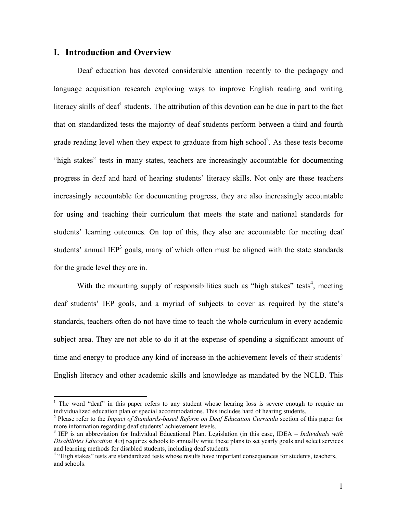### **I. Introduction and Overview**

 $\overline{a}$ 

Deaf education has devoted considerable attention recently to the pedagogy and language acquisition research exploring ways to improve English reading and writing literacy skills of deaf<sup>[1](#page-3-0)</sup> students. The attribution of this devotion can be due in part to the fact that on standardized tests the majority of deaf students perform between a third and fourth grade reading level when they expect to graduate from high school<sup>2</sup>. As these tests become "high stakes" tests in many states, teachers are increasingly accountable for documenting progress in deaf and hard of hearing students' literacy skills. Not only are these teachers increasingly accountable for documenting progress, they are also increasingly accountable for using and teaching their curriculum that meets the state and national standards for students' learning outcomes. On top of this, they also are accountable for meeting deaf students' annual  $\text{IEP}^3$  goals, many of which often must be aligned with the state standards for the grade level they are in.

With the mounting supply of responsibilities such as "high stakes" tests<sup>4</sup>, meeting deaf students' IEP goals, and a myriad of subjects to cover as required by the state's standards, teachers often do not have time to teach the whole curriculum in every academic subject area. They are not able to do it at the expense of spending a significant amount of time and energy to produce any kind of increase in the achievement levels of their students' English literacy and other academic skills and knowledge as mandated by the NCLB. This

<span id="page-3-0"></span><sup>&</sup>lt;sup>1</sup> The word "deaf" in this paper refers to any student whose hearing loss is severe enough to require an individualized education plan or special accommodations. This includes hard of hearing students. 2

<span id="page-3-1"></span>Please refer to the *Impact of Standards-based Reform on Deaf Education Curricula* section of this paper for more information regarding deaf students' achievement levels. 3

<span id="page-3-2"></span><sup>&</sup>lt;sup>3</sup> IEP is an abbreviation for Individual Educational Plan. Legislation (in this case, IDEA – *Individuals with Disabilities Education Act*) requires schools to annually write these plans to set yearly goals and select services and learning methods for disabled students, including deaf students. 4

<span id="page-3-3"></span><sup>&</sup>lt;sup>4</sup> "High stakes" tests are standardized tests whose results have important consequences for students, teachers, and schools.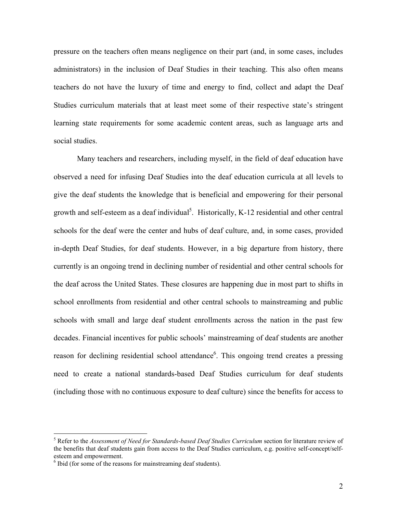pressure on the teachers often means negligence on their part (and, in some cases, includes administrators) in the inclusion of Deaf Studies in their teaching. This also often means teachers do not have the luxury of time and energy to find, collect and adapt the Deaf Studies curriculum materials that at least meet some of their respective state's stringent learning state requirements for some academic content areas, such as language arts and social studies.

Many teachers and researchers, including myself, in the field of deaf education have observed a need for infusing Deaf Studies into the deaf education curricula at all levels to give the deaf students the knowledge that is beneficial and empowering for their personal growth and self-esteem as a deaf individual<sup>[5](#page-4-0)</sup>. Historically, K-12 residential and other central schools for the deaf were the center and hubs of deaf culture, and, in some cases, provided in-depth Deaf Studies, for deaf students. However, in a big departure from history, there currently is an ongoing trend in declining number of residential and other central schools for the deaf across the United States. These closures are happening due in most part to shifts in school enrollments from residential and other central schools to mainstreaming and public schools with small and large deaf student enrollments across the nation in the past few decades. Financial incentives for public schools' mainstreaming of deaf students are another reason for declining residential school attendance<sup>6</sup>. This ongoing trend creates a pressing need to create a national standards-based Deaf Studies curriculum for deaf students (including those with no continuous exposure to deaf culture) since the benefits for access to

<span id="page-4-0"></span><sup>&</sup>lt;sup>5</sup> Refer to the *Assessment of Need for Standards-based Deaf Studies Curriculum* section for literature review of the benefits that deaf students gain from access to the Deaf Studies curriculum, e.g. positive self-concept/selfesteem and empowerment.

<span id="page-4-1"></span> $6$  Ibid (for some of the reasons for mainstreaming deaf students).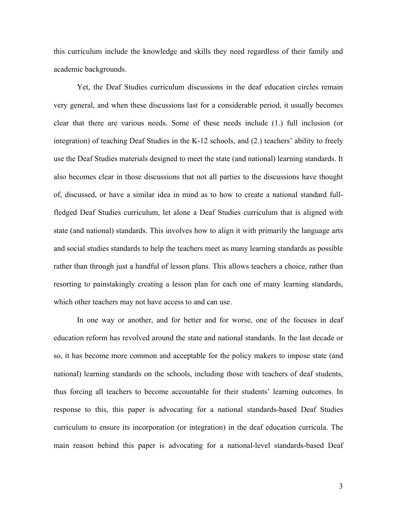this curriculum include the knowledge and skills they need regardless of their family and academic backgrounds.

Yet, the Deaf Studies curriculum discussions in the deaf education circles remain very general, and when these discussions last for a considerable period, it usually becomes clear that there are various needs. Some of these needs include (1.) full inclusion (or integration) of teaching Deaf Studies in the K-12 schools, and (2.) teachers' ability to freely use the Deaf Studies materials designed to meet the state (and national) learning standards. It also becomes clear in those discussions that not all parties to the discussions have thought of, discussed, or have a similar idea in mind as to how to create a national standard fullfledged Deaf Studies curriculum, let alone a Deaf Studies curriculum that is aligned with state (and national) standards. This involves how to align it with primarily the language arts and social studies standards to help the teachers meet as many learning standards as possible rather than through just a handful of lesson plans. This allows teachers a choice, rather than resorting to painstakingly creating a lesson plan for each one of many learning standards, which other teachers may not have access to and can use.

In one way or another, and for better and for worse, one of the focuses in deaf education reform has revolved around the state and national standards. In the last decade or so, it has become more common and acceptable for the policy makers to impose state (and national) learning standards on the schools, including those with teachers of deaf students, thus forcing all teachers to become accountable for their students' learning outcomes. In response to this, this paper is advocating for a national standards-based Deaf Studies curriculum to ensure its incorporation (or integration) in the deaf education curricula. The main reason behind this paper is advocating for a national-level standards-based Deaf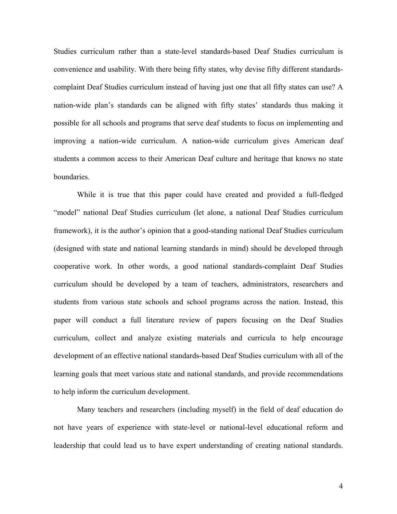Studies curriculum rather than a state-level standards-based Deaf Studies curriculum is convenience and usability. With there being fifty states, why devise fifty different standardscomplaint Deaf Studies curriculum instead of having just one that all fifty states can use? A nation-wide plan's standards can be aligned with fifty states' standards thus making it possible for all schools and programs that serve deaf students to focus on implementing and improving a nation-wide curriculum. A nation-wide curriculum gives American deaf students a common access to their American Deaf culture and heritage that knows no state boundaries.

While it is true that this paper could have created and provided a full-fledged "model" national Deaf Studies curriculum (let alone, a national Deaf Studies curriculum framework), it is the author's opinion that a good-standing national Deaf Studies curriculum (designed with state and national learning standards in mind) should be developed through cooperative work. In other words, a good national standards-complaint Deaf Studies curriculum should be developed by a team of teachers, administrators, researchers and students from various state schools and school programs across the nation. Instead, this paper will conduct a full literature review of papers focusing on the Deaf Studies curriculum, collect and analyze existing materials and curricula to help encourage development of an effective national standards-based Deaf Studies curriculum with all of the learning goals that meet various state and national standards, and provide recommendations to help inform the curriculum development.

Many teachers and researchers (including myself) in the field of deaf education do not have years of experience with state-level or national-level educational reform and leadership that could lead us to have expert understanding of creating national standards.

4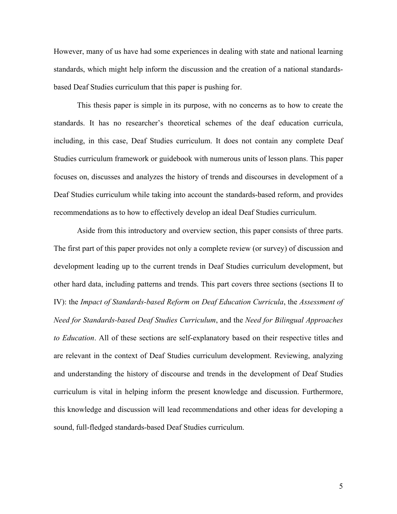However, many of us have had some experiences in dealing with state and national learning standards, which might help inform the discussion and the creation of a national standardsbased Deaf Studies curriculum that this paper is pushing for.

This thesis paper is simple in its purpose, with no concerns as to how to create the standards. It has no researcher's theoretical schemes of the deaf education curricula, including, in this case, Deaf Studies curriculum. It does not contain any complete Deaf Studies curriculum framework or guidebook with numerous units of lesson plans. This paper focuses on, discusses and analyzes the history of trends and discourses in development of a Deaf Studies curriculum while taking into account the standards-based reform, and provides recommendations as to how to effectively develop an ideal Deaf Studies curriculum.

Aside from this introductory and overview section, this paper consists of three parts. The first part of this paper provides not only a complete review (or survey) of discussion and development leading up to the current trends in Deaf Studies curriculum development, but other hard data, including patterns and trends. This part covers three sections (sections II to IV): the *Impact of Standards-based Reform on Deaf Education Curricula*, the *Assessment of Need for Standards-based Deaf Studies Curriculum*, and the *Need for Bilingual Approaches to Education*. All of these sections are self-explanatory based on their respective titles and are relevant in the context of Deaf Studies curriculum development. Reviewing, analyzing and understanding the history of discourse and trends in the development of Deaf Studies curriculum is vital in helping inform the present knowledge and discussion. Furthermore, this knowledge and discussion will lead recommendations and other ideas for developing a sound, full-fledged standards-based Deaf Studies curriculum.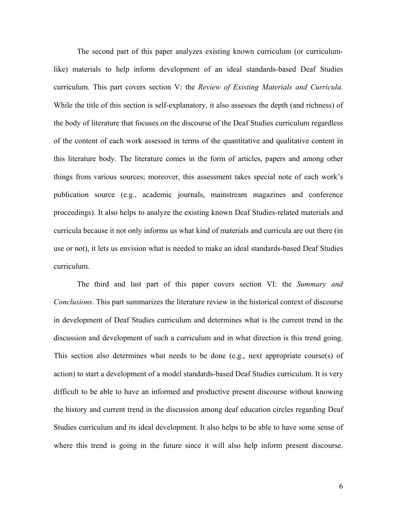The second part of this paper analyzes existing known curriculum (or curriculumlike) materials to help inform development of an ideal standards-based Deaf Studies curriculum. This part covers section V: the *Review of Existing Materials and Curricula*. While the title of this section is self-explanatory, it also assesses the depth (and richness) of the body of literature that focuses on the discourse of the Deaf Studies curriculum regardless of the content of each work assessed in terms of the quantitative and qualitative content in this literature body. The literature comes in the form of articles, papers and among other things from various sources; moreover, this assessment takes special note of each work's publication source (e.g., academic journals, mainstream magazines and conference proceedings). It also helps to analyze the existing known Deaf Studies-related materials and curricula because it not only informs us what kind of materials and curricula are out there (in use or not), it lets us envision what is needed to make an ideal standards-based Deaf Studies curriculum.

The third and last part of this paper covers section VI: the *Summary and Conclusions*. This part summarizes the literature review in the historical context of discourse in development of Deaf Studies curriculum and determines what is the current trend in the discussion and development of such a curriculum and in what direction is this trend going. This section also determines what needs to be done (e.g., next appropriate course(s) of action) to start a development of a model standards-based Deaf Studies curriculum. It is very difficult to be able to have an informed and productive present discourse without knowing the history and current trend in the discussion among deaf education circles regarding Deaf Studies curriculum and its ideal development. It also helps to be able to have some sense of where this trend is going in the future since it will also help inform present discourse.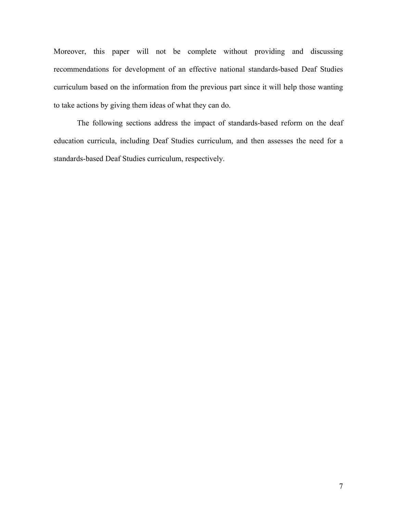Moreover, this paper will not be complete without providing and discussing recommendations for development of an effective national standards-based Deaf Studies curriculum based on the information from the previous part since it will help those wanting to take actions by giving them ideas of what they can do.

The following sections address the impact of standards-based reform on the deaf education curricula, including Deaf Studies curriculum, and then assesses the need for a standards-based Deaf Studies curriculum, respectively.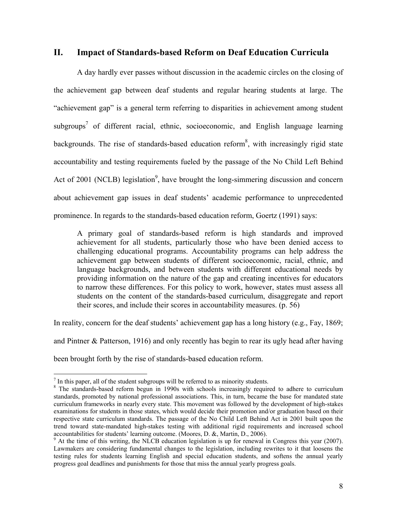## **II. Impact of Standards-based Reform on Deaf Education Curricula**

A day hardly ever passes without discussion in the academic circles on the closing of the achievement gap between deaf students and regular hearing students at large. The "achievement gap" is a general term referring to disparities in achievement among student subgroups<sup>7</sup> of different racial, ethnic, socioeconomic, and English language learning backgrounds. The rise of standards-based education reform<sup>8</sup>, with increasingly rigid state accountability and testing requirements fueled by the passage of the No Child Left Behind Act of 2001 (NCLB) legislation<sup>9</sup>, have brought the long-simmering discussion and concern about achievement gap issues in deaf students' academic performance to unprecedented prominence. In regards to the standards-based education reform, Goertz (1991) says:

A primary goal of standards-based reform is high standards and improved achievement for all students, particularly those who have been denied access to challenging educational programs. Accountability programs can help address the achievement gap between students of different socioeconomic, racial, ethnic, and language backgrounds, and between students with different educational needs by providing information on the nature of the gap and creating incentives for educators to narrow these differences. For this policy to work, however, states must assess all students on the content of the standards-based curriculum, disaggregate and report their scores, and include their scores in accountability measures. (p. 56)

In reality, concern for the deaf students' achievement gap has a long history (e.g., Fay, 1869;

and Pintner & Patterson, 1916) and only recently has begin to rear its ugly head after having been brought forth by the rise of standards-based education reform.

<span id="page-10-0"></span> $^7$  In this paper, all of the student subgroups will be referred to as minority students.

<span id="page-10-1"></span><sup>&</sup>lt;sup>8</sup> The standards-based reform begun in 1990s with schools increasingly required to adhere to curriculum standards, promoted by national professional associations. This, in turn, became the base for mandated state curriculum frameworks in nearly every state. This movement was followed by the development of high-stakes examinations for students in those states, which would decide their promotion and/or graduation based on their respective state curriculum standards. The passage of the No Child Left Behind Act in 2001 built upon the trend toward state-mandated high-stakes testing with additional rigid requirements and increased school accountabilities for students' learning outcome. (Moores, D. &, Martin, D., 2006).

<span id="page-10-2"></span> $\degree$  At the time of this writing, the NLCB education legislation is up for renewal in Congress this year (2007). Lawmakers are considering fundamental changes to the legislation, including rewrites to it that loosens the testing rules for students learning English and special education students, and softens the annual yearly progress goal deadlines and punishments for those that miss the annual yearly progress goals.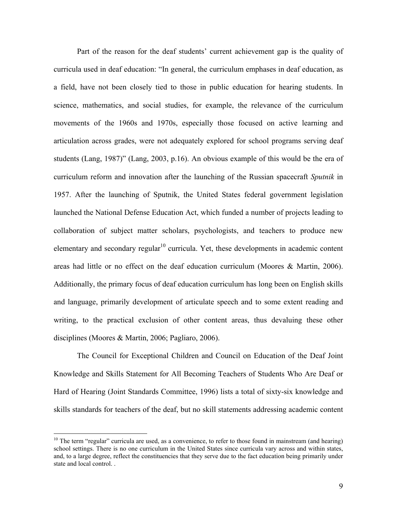Part of the reason for the deaf students' current achievement gap is the quality of curricula used in deaf education: "In general, the curriculum emphases in deaf education, as a field, have not been closely tied to those in public education for hearing students. In science, mathematics, and social studies, for example, the relevance of the curriculum movements of the 1960s and 1970s, especially those focused on active learning and articulation across grades, were not adequately explored for school programs serving deaf students (Lang, 1987)" (Lang, 2003, p.16). An obvious example of this would be the era of curriculum reform and innovation after the launching of the Russian spacecraft *Sputnik* in 1957. After the launching of Sputnik, the United States federal government legislation launched the National Defense Education Act, which funded a number of projects leading to collaboration of subject matter scholars, psychologists, and teachers to produce new elementary and secondary regular $10$  curricula. Yet, these developments in academic content areas had little or no effect on the deaf education curriculum (Moores & Martin, 2006). Additionally, the primary focus of deaf education curriculum has long been on English skills and language, primarily development of articulate speech and to some extent reading and writing, to the practical exclusion of other content areas, thus devaluing these other disciplines (Moores & Martin, 2006; Pagliaro, 2006).

The Council for Exceptional Children and Council on Education of the Deaf Joint Knowledge and Skills Statement for All Becoming Teachers of Students Who Are Deaf or Hard of Hearing (Joint Standards Committee, 1996) lists a total of sixty-six knowledge and skills standards for teachers of the deaf, but no skill statements addressing academic content

<span id="page-11-0"></span> $10$  The term "regular" curricula are used, as a convenience, to refer to those found in mainstream (and hearing) school settings. There is no one curriculum in the United States since curricula vary across and within states, and, to a large degree, reflect the constituencies that they serve due to the fact education being primarily under state and local control. .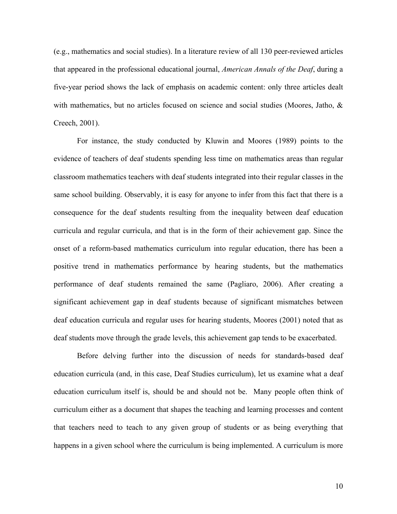(e.g., mathematics and social studies). In a literature review of all 130 peer-reviewed articles that appeared in the professional educational journal, *American Annals of the Deaf*, during a five-year period shows the lack of emphasis on academic content: only three articles dealt with mathematics, but no articles focused on science and social studies (Moores, Jatho, & Creech, 2001).

For instance, the study conducted by Kluwin and Moores (1989) points to the evidence of teachers of deaf students spending less time on mathematics areas than regular classroom mathematics teachers with deaf students integrated into their regular classes in the same school building. Observably, it is easy for anyone to infer from this fact that there is a consequence for the deaf students resulting from the inequality between deaf education curricula and regular curricula, and that is in the form of their achievement gap. Since the onset of a reform-based mathematics curriculum into regular education, there has been a positive trend in mathematics performance by hearing students, but the mathematics performance of deaf students remained the same (Pagliaro, 2006). After creating a significant achievement gap in deaf students because of significant mismatches between deaf education curricula and regular uses for hearing students, Moores (2001) noted that as deaf students move through the grade levels, this achievement gap tends to be exacerbated.

Before delving further into the discussion of needs for standards-based deaf education curricula (and, in this case, Deaf Studies curriculum), let us examine what a deaf education curriculum itself is, should be and should not be. Many people often think of curriculum either as a document that shapes the teaching and learning processes and content that teachers need to teach to any given group of students or as being everything that happens in a given school where the curriculum is being implemented. A curriculum is more

10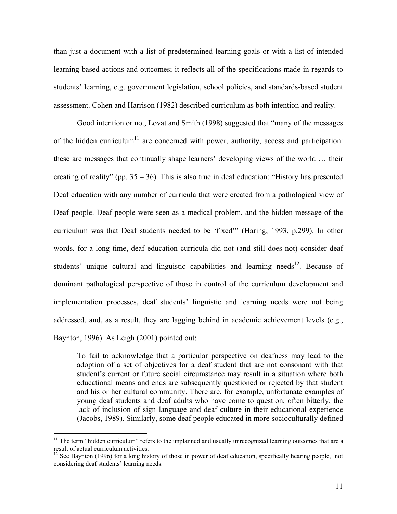than just a document with a list of predetermined learning goals or with a list of intended learning-based actions and outcomes; it reflects all of the specifications made in regards to students' learning, e.g. government legislation, school policies, and standards-based student assessment. Cohen and Harrison (1982) described curriculum as both intention and reality.

Good intention or not, Lovat and Smith (1998) suggested that "many of the messages of the hidden curriculum<sup>[11](#page-13-0)</sup> are concerned with power, authority, access and participation: these are messages that continually shape learners' developing views of the world … their creating of reality" (pp. 35 – 36). This is also true in deaf education: "History has presented Deaf education with any number of curricula that were created from a pathological view of Deaf people. Deaf people were seen as a medical problem, and the hidden message of the curriculum was that Deaf students needed to be 'fixed'" (Haring, 1993, p.299). In other words, for a long time, deaf education curricula did not (and still does not) consider deaf students' unique cultural and linguistic capabilities and learning needs<sup>12</sup>. Because of dominant pathological perspective of those in control of the curriculum development and implementation processes, deaf students' linguistic and learning needs were not being addressed, and, as a result, they are lagging behind in academic achievement levels (e.g., Baynton, 1996). As Leigh (2001) pointed out:

To fail to acknowledge that a particular perspective on deafness may lead to the adoption of a set of objectives for a deaf student that are not consonant with that student's current or future social circumstance may result in a situation where both educational means and ends are subsequently questioned or rejected by that student and his or her cultural community. There are, for example, unfortunate examples of young deaf students and deaf adults who have come to question, often bitterly, the lack of inclusion of sign language and deaf culture in their educational experience (Jacobs, 1989). Similarly, some deaf people educated in more socioculturally defined

<span id="page-13-0"></span><sup>&</sup>lt;sup>11</sup> The term "hidden curriculum" refers to the unplanned and usually unrecognized learning outcomes that are a result of actual curriculum activities.<br><sup>12</sup> See Baynton (1996) for a long history of those in power of deaf education, specifically hearing people, not

<span id="page-13-1"></span>considering deaf students' learning needs.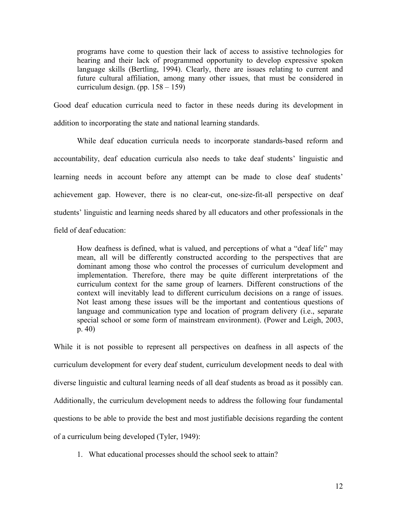programs have come to question their lack of access to assistive technologies for hearing and their lack of programmed opportunity to develop expressive spoken language skills (Bertling, 1994). Clearly, there are issues relating to current and future cultural affiliation, among many other issues, that must be considered in curriculum design. (pp.  $158 - 159$ )

Good deaf education curricula need to factor in these needs during its development in addition to incorporating the state and national learning standards.

While deaf education curricula needs to incorporate standards-based reform and accountability, deaf education curricula also needs to take deaf students' linguistic and learning needs in account before any attempt can be made to close deaf students' achievement gap. However, there is no clear-cut, one-size-fit-all perspective on deaf students' linguistic and learning needs shared by all educators and other professionals in the field of deaf education:

How deafness is defined, what is valued, and perceptions of what a "deaf life" may mean, all will be differently constructed according to the perspectives that are dominant among those who control the processes of curriculum development and implementation. Therefore, there may be quite different interpretations of the curriculum context for the same group of learners. Different constructions of the context will inevitably lead to different curriculum decisions on a range of issues. Not least among these issues will be the important and contentious questions of language and communication type and location of program delivery (i.e., separate special school or some form of mainstream environment). (Power and Leigh, 2003, p. 40)

While it is not possible to represent all perspectives on deafness in all aspects of the curriculum development for every deaf student, curriculum development needs to deal with diverse linguistic and cultural learning needs of all deaf students as broad as it possibly can. Additionally, the curriculum development needs to address the following four fundamental questions to be able to provide the best and most justifiable decisions regarding the content of a curriculum being developed (Tyler, 1949):

1. What educational processes should the school seek to attain?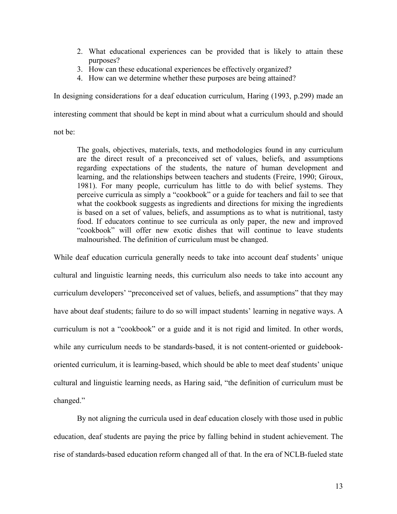- 2. What educational experiences can be provided that is likely to attain these purposes?
- 3. How can these educational experiences be effectively organized?
- 4. How can we determine whether these purposes are being attained?

In designing considerations for a deaf education curriculum, Haring (1993, p.299) made an

interesting comment that should be kept in mind about what a curriculum should and should

not be:

The goals, objectives, materials, texts, and methodologies found in any curriculum are the direct result of a preconceived set of values, beliefs, and assumptions regarding expectations of the students, the nature of human development and learning, and the relationships between teachers and students (Freire, 1990; Giroux, 1981). For many people, curriculum has little to do with belief systems. They perceive curricula as simply a "cookbook" or a guide for teachers and fail to see that what the cookbook suggests as ingredients and directions for mixing the ingredients is based on a set of values, beliefs, and assumptions as to what is nutritional, tasty food. If educators continue to see curricula as only paper, the new and improved "cookbook" will offer new exotic dishes that will continue to leave students malnourished. The definition of curriculum must be changed.

While deaf education curricula generally needs to take into account deaf students' unique cultural and linguistic learning needs, this curriculum also needs to take into account any curriculum developers' "preconceived set of values, beliefs, and assumptions" that they may have about deaf students; failure to do so will impact students' learning in negative ways. A curriculum is not a "cookbook" or a guide and it is not rigid and limited. In other words, while any curriculum needs to be standards-based, it is not content-oriented or guidebookoriented curriculum, it is learning-based, which should be able to meet deaf students' unique cultural and linguistic learning needs, as Haring said, "the definition of curriculum must be changed."

By not aligning the curricula used in deaf education closely with those used in public education, deaf students are paying the price by falling behind in student achievement. The rise of standards-based education reform changed all of that. In the era of NCLB-fueled state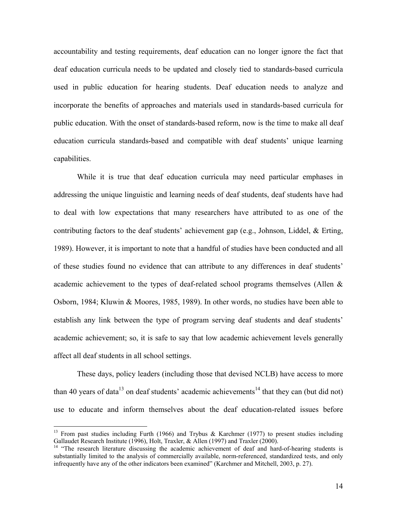accountability and testing requirements, deaf education can no longer ignore the fact that deaf education curricula needs to be updated and closely tied to standards-based curricula used in public education for hearing students. Deaf education needs to analyze and incorporate the benefits of approaches and materials used in standards-based curricula for public education. With the onset of standards-based reform, now is the time to make all deaf education curricula standards-based and compatible with deaf students' unique learning capabilities.

While it is true that deaf education curricula may need particular emphases in addressing the unique linguistic and learning needs of deaf students, deaf students have had to deal with low expectations that many researchers have attributed to as one of the contributing factors to the deaf students' achievement gap (e.g., Johnson, Liddel, & Erting, 1989). However, it is important to note that a handful of studies have been conducted and all of these studies found no evidence that can attribute to any differences in deaf students' academic achievement to the types of deaf-related school programs themselves (Allen & Osborn, 1984; Kluwin & Moores, 1985, 1989). In other words, no studies have been able to establish any link between the type of program serving deaf students and deaf students' academic achievement; so, it is safe to say that low academic achievement levels generally affect all deaf students in all school settings.

These days, policy leaders (including those that devised NCLB) have access to more than 40 years of data<sup>13</sup> on deaf students' academic achievements<sup>14</sup> that they can (but did not) use to educate and inform themselves about the deaf education-related issues before

<span id="page-16-0"></span><sup>&</sup>lt;sup>13</sup> From past studies including Furth (1966) and Trybus & Karchmer (1977) to present studies including Gallaudet Research Institute (1996), Holt, Traxler, & Allen (1997) and Traxler (2000).<br><sup>14</sup> "The research literature discussing the academic achievement of deaf and hard-of-hearing students is

<span id="page-16-1"></span>substantially limited to the analysis of commercially available, norm-referenced, standardized tests, and only infrequently have any of the other indicators been examined" (Karchmer and Mitchell, 2003, p. 27).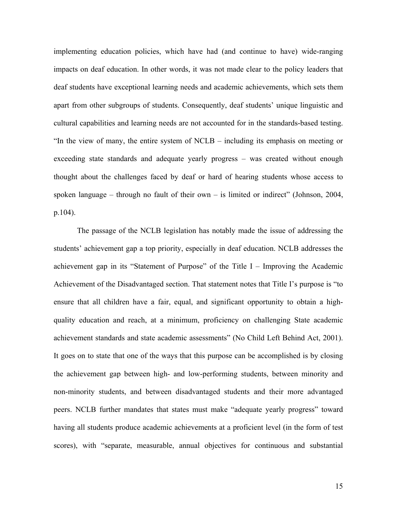implementing education policies, which have had (and continue to have) wide-ranging impacts on deaf education. In other words, it was not made clear to the policy leaders that deaf students have exceptional learning needs and academic achievements, which sets them apart from other subgroups of students. Consequently, deaf students' unique linguistic and cultural capabilities and learning needs are not accounted for in the standards-based testing. "In the view of many, the entire system of NCLB – including its emphasis on meeting or exceeding state standards and adequate yearly progress – was created without enough thought about the challenges faced by deaf or hard of hearing students whose access to spoken language – through no fault of their own – is limited or indirect" (Johnson, 2004, p.104).

The passage of the NCLB legislation has notably made the issue of addressing the students' achievement gap a top priority, especially in deaf education. NCLB addresses the achievement gap in its "Statement of Purpose" of the Title I – Improving the Academic Achievement of the Disadvantaged section. That statement notes that Title I's purpose is "to ensure that all children have a fair, equal, and significant opportunity to obtain a highquality education and reach, at a minimum, proficiency on challenging State academic achievement standards and state academic assessments" (No Child Left Behind Act, 2001). It goes on to state that one of the ways that this purpose can be accomplished is by closing the achievement gap between high- and low-performing students, between minority and non-minority students, and between disadvantaged students and their more advantaged peers. NCLB further mandates that states must make "adequate yearly progress" toward having all students produce academic achievements at a proficient level (in the form of test scores), with "separate, measurable, annual objectives for continuous and substantial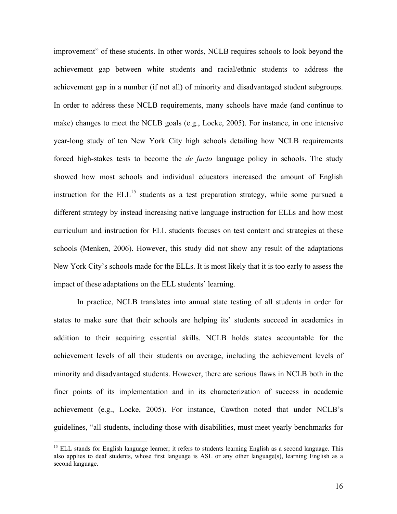improvement" of these students. In other words, NCLB requires schools to look beyond the achievement gap between white students and racial/ethnic students to address the achievement gap in a number (if not all) of minority and disadvantaged student subgroups. In order to address these NCLB requirements, many schools have made (and continue to make) changes to meet the NCLB goals (e.g., Locke, 2005). For instance, in one intensive year-long study of ten New York City high schools detailing how NCLB requirements forced high-stakes tests to become the *de facto* language policy in schools. The study showed how most schools and individual educators increased the amount of English instruction for the  $ELL$ <sup>15</sup> students as a test preparation strategy, while some pursued a different strategy by instead increasing native language instruction for ELLs and how most curriculum and instruction for ELL students focuses on test content and strategies at these schools (Menken, 2006). However, this study did not show any result of the adaptations New York City's schools made for the ELLs. It is most likely that it is too early to assess the impact of these adaptations on the ELL students' learning.

In practice, NCLB translates into annual state testing of all students in order for states to make sure that their schools are helping its' students succeed in academics in addition to their acquiring essential skills. NCLB holds states accountable for the achievement levels of all their students on average, including the achievement levels of minority and disadvantaged students. However, there are serious flaws in NCLB both in the finer points of its implementation and in its characterization of success in academic achievement (e.g., Locke, 2005). For instance, Cawthon noted that under NCLB's guidelines, "all students, including those with disabilities, must meet yearly benchmarks for

<span id="page-18-0"></span><sup>&</sup>lt;sup>15</sup> ELL stands for English language learner; it refers to students learning English as a second language. This also applies to deaf students, whose first language is ASL or any other language(s), learning English as a second language.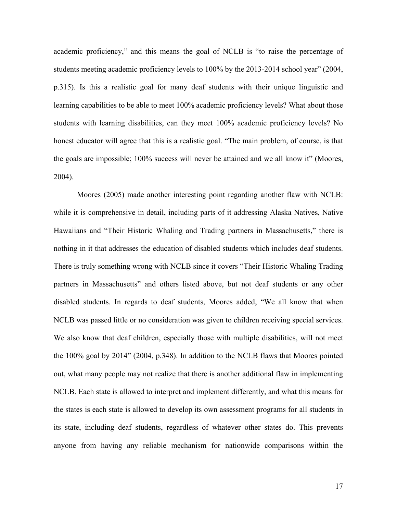academic proficiency," and this means the goal of NCLB is "to raise the percentage of students meeting academic proficiency levels to 100% by the 2013-2014 school year" (2004, p.315). Is this a realistic goal for many deaf students with their unique linguistic and learning capabilities to be able to meet 100% academic proficiency levels? What about those students with learning disabilities, can they meet 100% academic proficiency levels? No honest educator will agree that this is a realistic goal. "The main problem, of course, is that the goals are impossible; 100% success will never be attained and we all know it" (Moores, 2004).

Moores (2005) made another interesting point regarding another flaw with NCLB: while it is comprehensive in detail, including parts of it addressing Alaska Natives, Native Hawaiians and "Their Historic Whaling and Trading partners in Massachusetts," there is nothing in it that addresses the education of disabled students which includes deaf students. There is truly something wrong with NCLB since it covers "Their Historic Whaling Trading partners in Massachusetts" and others listed above, but not deaf students or any other disabled students. In regards to deaf students, Moores added, "We all know that when NCLB was passed little or no consideration was given to children receiving special services. We also know that deaf children, especially those with multiple disabilities, will not meet the 100% goal by 2014" (2004, p.348). In addition to the NCLB flaws that Moores pointed out, what many people may not realize that there is another additional flaw in implementing NCLB. Each state is allowed to interpret and implement differently, and what this means for the states is each state is allowed to develop its own assessment programs for all students in its state, including deaf students, regardless of whatever other states do. This prevents anyone from having any reliable mechanism for nationwide comparisons within the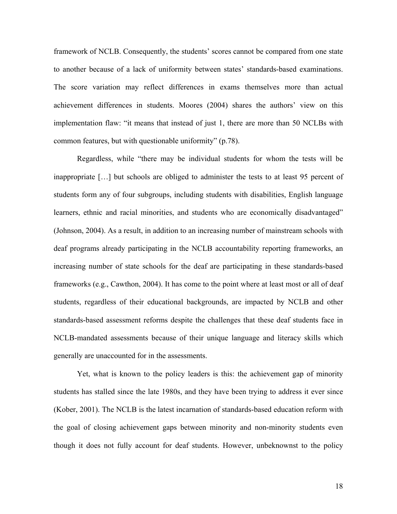framework of NCLB. Consequently, the students' scores cannot be compared from one state to another because of a lack of uniformity between states' standards-based examinations. The score variation may reflect differences in exams themselves more than actual achievement differences in students. Moores (2004) shares the authors' view on this implementation flaw: "it means that instead of just 1, there are more than 50 NCLBs with common features, but with questionable uniformity" (p.78).

Regardless, while "there may be individual students for whom the tests will be inappropriate […] but schools are obliged to administer the tests to at least 95 percent of students form any of four subgroups, including students with disabilities, English language learners, ethnic and racial minorities, and students who are economically disadvantaged" (Johnson, 2004). As a result, in addition to an increasing number of mainstream schools with deaf programs already participating in the NCLB accountability reporting frameworks, an increasing number of state schools for the deaf are participating in these standards-based frameworks (e.g., Cawthon, 2004). It has come to the point where at least most or all of deaf students, regardless of their educational backgrounds, are impacted by NCLB and other standards-based assessment reforms despite the challenges that these deaf students face in NCLB-mandated assessments because of their unique language and literacy skills which generally are unaccounted for in the assessments.

Yet, what is known to the policy leaders is this: the achievement gap of minority students has stalled since the late 1980s, and they have been trying to address it ever since (Kober, 2001). The NCLB is the latest incarnation of standards-based education reform with the goal of closing achievement gaps between minority and non-minority students even though it does not fully account for deaf students. However, unbeknownst to the policy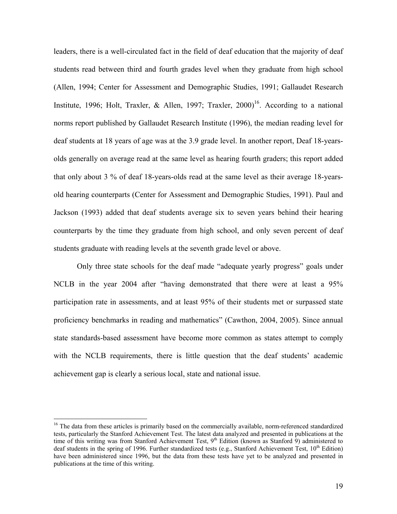leaders, there is a well-circulated fact in the field of deaf education that the majority of deaf students read between third and fourth grades level when they graduate from high school (Allen, 1994; Center for Assessment and Demographic Studies, 1991; Gallaudet Research Institute, 1996; Holt, Traxler, & Allen, 1997; Traxler, 2000)<sup>16</sup>. According to a national norms report published by Gallaudet Research Institute (1996), the median reading level for deaf students at 18 years of age was at the 3.9 grade level. In another report, Deaf 18-yearsolds generally on average read at the same level as hearing fourth graders; this report added that only about 3 % of deaf 18-years-olds read at the same level as their average 18-yearsold hearing counterparts (Center for Assessment and Demographic Studies, 1991). Paul and Jackson (1993) added that deaf students average six to seven years behind their hearing counterparts by the time they graduate from high school, and only seven percent of deaf students graduate with reading levels at the seventh grade level or above.

Only three state schools for the deaf made "adequate yearly progress" goals under NCLB in the year 2004 after "having demonstrated that there were at least a 95% participation rate in assessments, and at least 95% of their students met or surpassed state proficiency benchmarks in reading and mathematics" (Cawthon, 2004, 2005). Since annual state standards-based assessment have become more common as states attempt to comply with the NCLB requirements, there is little question that the deaf students' academic achievement gap is clearly a serious local, state and national issue.

<span id="page-21-0"></span><sup>&</sup>lt;sup>16</sup> The data from these articles is primarily based on the commercially available, norm-referenced standardized tests, particularly the Stanford Achievement Test. The latest data analyzed and presented in publications at the time of this writing was from Stanford Achievement Test,  $9<sup>th</sup>$  Edition (known as Stanford 9) administered to deaf students in the spring of 1996. Further standardized tests (e.g., Stanford Achievement Test,  $10^{th}$  Edition) have been administered since 1996, but the data from these tests have yet to be analyzed and presented in publications at the time of this writing.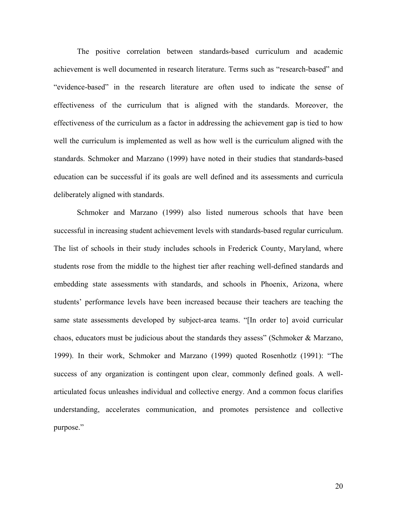The positive correlation between standards-based curriculum and academic achievement is well documented in research literature. Terms such as "research-based" and "evidence-based" in the research literature are often used to indicate the sense of effectiveness of the curriculum that is aligned with the standards. Moreover, the effectiveness of the curriculum as a factor in addressing the achievement gap is tied to how well the curriculum is implemented as well as how well is the curriculum aligned with the standards. Schmoker and Marzano (1999) have noted in their studies that standards-based education can be successful if its goals are well defined and its assessments and curricula deliberately aligned with standards.

Schmoker and Marzano (1999) also listed numerous schools that have been successful in increasing student achievement levels with standards-based regular curriculum. The list of schools in their study includes schools in Frederick County, Maryland, where students rose from the middle to the highest tier after reaching well-defined standards and embedding state assessments with standards, and schools in Phoenix, Arizona, where students' performance levels have been increased because their teachers are teaching the same state assessments developed by subject-area teams. "[In order to] avoid curricular chaos, educators must be judicious about the standards they assess" (Schmoker & Marzano, 1999). In their work, Schmoker and Marzano (1999) quoted Rosenhotlz (1991): "The success of any organization is contingent upon clear, commonly defined goals. A wellarticulated focus unleashes individual and collective energy. And a common focus clarifies understanding, accelerates communication, and promotes persistence and collective purpose."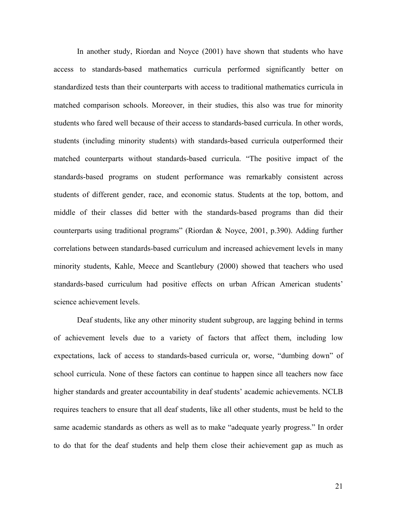In another study, Riordan and Noyce (2001) have shown that students who have access to standards-based mathematics curricula performed significantly better on standardized tests than their counterparts with access to traditional mathematics curricula in matched comparison schools. Moreover, in their studies, this also was true for minority students who fared well because of their access to standards-based curricula. In other words, students (including minority students) with standards-based curricula outperformed their matched counterparts without standards-based curricula. "The positive impact of the standards-based programs on student performance was remarkably consistent across students of different gender, race, and economic status. Students at the top, bottom, and middle of their classes did better with the standards-based programs than did their counterparts using traditional programs" (Riordan & Noyce, 2001, p.390). Adding further correlations between standards-based curriculum and increased achievement levels in many minority students, Kahle, Meece and Scantlebury (2000) showed that teachers who used standards-based curriculum had positive effects on urban African American students' science achievement levels.

Deaf students, like any other minority student subgroup, are lagging behind in terms of achievement levels due to a variety of factors that affect them, including low expectations, lack of access to standards-based curricula or, worse, "dumbing down" of school curricula. None of these factors can continue to happen since all teachers now face higher standards and greater accountability in deaf students' academic achievements. NCLB requires teachers to ensure that all deaf students, like all other students, must be held to the same academic standards as others as well as to make "adequate yearly progress." In order to do that for the deaf students and help them close their achievement gap as much as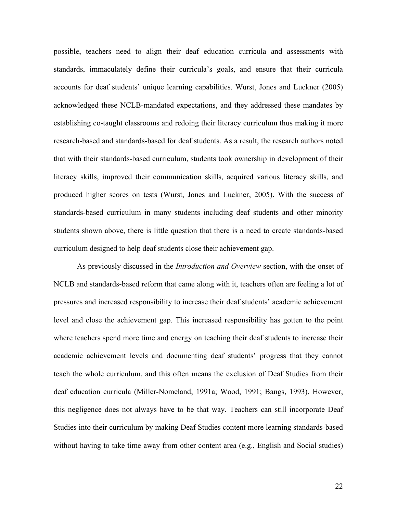possible, teachers need to align their deaf education curricula and assessments with standards, immaculately define their curricula's goals, and ensure that their curricula accounts for deaf students' unique learning capabilities. Wurst, Jones and Luckner (2005) acknowledged these NCLB-mandated expectations, and they addressed these mandates by establishing co-taught classrooms and redoing their literacy curriculum thus making it more research-based and standards-based for deaf students. As a result, the research authors noted that with their standards-based curriculum, students took ownership in development of their literacy skills, improved their communication skills, acquired various literacy skills, and produced higher scores on tests (Wurst, Jones and Luckner, 2005). With the success of standards-based curriculum in many students including deaf students and other minority students shown above, there is little question that there is a need to create standards-based curriculum designed to help deaf students close their achievement gap.

As previously discussed in the *Introduction and Overview* section, with the onset of NCLB and standards-based reform that came along with it, teachers often are feeling a lot of pressures and increased responsibility to increase their deaf students' academic achievement level and close the achievement gap. This increased responsibility has gotten to the point where teachers spend more time and energy on teaching their deaf students to increase their academic achievement levels and documenting deaf students' progress that they cannot teach the whole curriculum, and this often means the exclusion of Deaf Studies from their deaf education curricula (Miller-Nomeland, 1991a; Wood, 1991; Bangs, 1993). However, this negligence does not always have to be that way. Teachers can still incorporate Deaf Studies into their curriculum by making Deaf Studies content more learning standards-based without having to take time away from other content area (e.g., English and Social studies)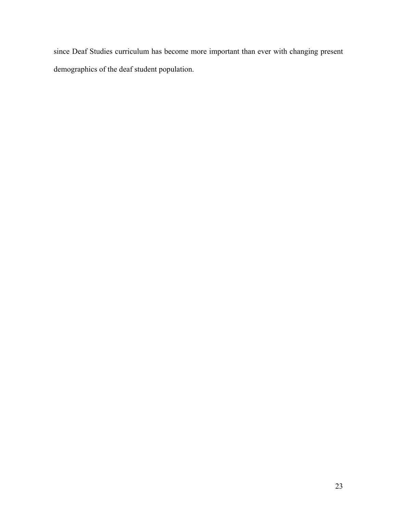since Deaf Studies curriculum has become more important than ever with changing present demographics of the deaf student population.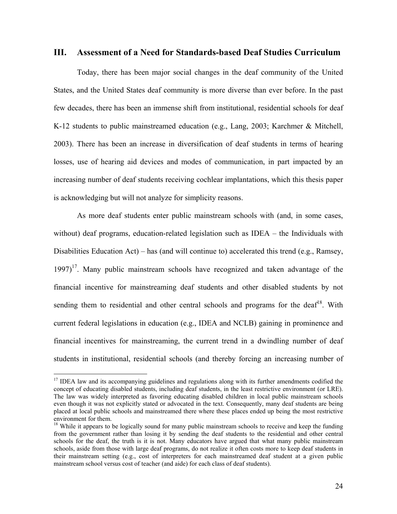#### **III. Assessment of a Need for Standards-based Deaf Studies Curriculum**

Today, there has been major social changes in the deaf community of the United States, and the United States deaf community is more diverse than ever before. In the past few decades, there has been an immense shift from institutional, residential schools for deaf K-12 students to public mainstreamed education (e.g., Lang, 2003; Karchmer & Mitchell, 2003). There has been an increase in diversification of deaf students in terms of hearing losses, use of hearing aid devices and modes of communication, in part impacted by an increasing number of deaf students receiving cochlear implantations, which this thesis paper is acknowledging but will not analyze for simplicity reasons.

As more deaf students enter public mainstream schools with (and, in some cases, without) deaf programs, education-related legislation such as IDEA – the Individuals with Disabilities Education Act) – has (and will continue to) accelerated this trend (e.g., Ramsey,  $1997$ <sup>17</sup>. Many public mainstream schools have recognized and taken advantage of the financial incentive for mainstreaming deaf students and other disabled students by not sending them to residential and other central schools and programs for the deaf<sup>18</sup>. With current federal legislations in education (e.g., IDEA and NCLB) gaining in prominence and financial incentives for mainstreaming, the current trend in a dwindling number of deaf students in institutional, residential schools (and thereby forcing an increasing number of

<span id="page-26-0"></span><sup>&</sup>lt;sup>17</sup> IDEA law and its accompanying guidelines and regulations along with its further amendments codified the concept of educating disabled students, including deaf students, in the least restrictive environment (or LRE). The law was widely interpreted as favoring educating disabled children in local public mainstream schools even though it was not explicitly stated or advocated in the text. Consequently, many deaf students are being placed at local public schools and mainstreamed there where these places ended up being the most restrictive environment for them.<br><sup>18</sup> While it appears to be logically sound for many public mainstream schools to receive and keep the funding

<span id="page-26-1"></span>from the government rather than losing it by sending the deaf students to the residential and other central schools for the deaf, the truth is it is not. Many educators have argued that what many public mainstream schools, aside from those with large deaf programs, do not realize it often costs more to keep deaf students in their mainstream setting (e.g., cost of interpreters for each mainstreamed deaf student at a given public mainstream school versus cost of teacher (and aide) for each class of deaf students).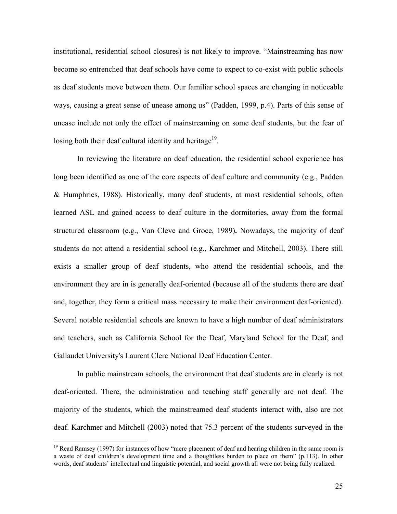institutional, residential school closures) is not likely to improve. "Mainstreaming has now become so entrenched that deaf schools have come to expect to co-exist with public schools as deaf students move between them. Our familiar school spaces are changing in noticeable ways, causing a great sense of unease among us" (Padden, 1999, p.4). Parts of this sense of unease include not only the effect of mainstreaming on some deaf students, but the fear of losing both their deaf cultural identity and heritage $19$ .

In reviewing the literature on deaf education, the residential school experience has long been identified as one of the core aspects of deaf culture and community (e.g., Padden & Humphries, 1988). Historically, many deaf students, at most residential schools, often learned ASL and gained access to deaf culture in the dormitories, away from the formal structured classroom (e.g., Van Cleve and Groce, 1989)**.** Nowadays, the majority of deaf students do not attend a residential school (e.g., Karchmer and Mitchell, 2003). There still exists a smaller group of deaf students, who attend the residential schools, and the environment they are in is generally deaf-oriented (because all of the students there are deaf and, together, they form a critical mass necessary to make their environment deaf-oriented). Several notable residential schools are known to have a high number of deaf administrators and teachers, such as California School for the Deaf, Maryland School for the Deaf, and Gallaudet University's Laurent Clerc National Deaf Education Center.

In public mainstream schools, the environment that deaf students are in clearly is not deaf-oriented. There, the administration and teaching staff generally are not deaf. The majority of the students, which the mainstreamed deaf students interact with, also are not deaf. Karchmer and Mitchell (2003) noted that 75.3 percent of the students surveyed in the

<span id="page-27-0"></span><sup>&</sup>lt;sup>19</sup> Read Ramsey (1997) for instances of how "mere placement of deaf and hearing children in the same room is a waste of deaf children's development time and a thoughtless burden to place on them" (p.113). In other words, deaf students' intellectual and linguistic potential, and social growth all were not being fully realized.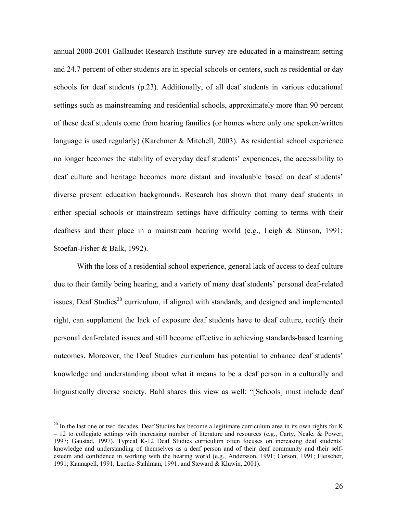annual 2000-2001 Gallaudet Research Institute survey are educated in a mainstream setting and 24.7 percent of other students are in special schools or centers, such as residential or day schools for deaf students (p.23). Additionally, of all deaf students in various educational settings such as mainstreaming and residential schools, approximately more than 90 percent of these deaf students come from hearing families (or homes where only one spoken/written language is used regularly) (Karchmer & Mitchell, 2003). As residential school experience no longer becomes the stability of everyday deaf students' experiences, the accessibility to deaf culture and heritage becomes more distant and invaluable based on deaf students' diverse present education backgrounds. Research has shown that many deaf students in either special schools or mainstream settings have difficulty coming to terms with their deafness and their place in a mainstream hearing world (e.g., Leigh & Stinson, 1991; Stoefan-Fisher & Balk, 1992).

With the loss of a residential school experience, general lack of access to deaf culture due to their family being hearing, and a variety of many deaf students' personal deaf-related issues, Deaf Studies<sup>20</sup> curriculum, if aligned with standards, and designed and implemented right, can supplement the lack of exposure deaf students have to deaf culture, rectify their personal deaf-related issues and still become effective in achieving standards-based learning outcomes. Moreover, the Deaf Studies curriculum has potential to enhance deaf students' knowledge and understanding about what it means to be a deaf person in a culturally and linguistically diverse society. Bahl shares this view as well: "[Schools] must include deaf

<span id="page-28-0"></span> $20$  In the last one or two decades, Deaf Studies has become a legitimate curriculum area in its own rights for K  $-12$  to collegiate settings with increasing number of literature and resources (e.g., Carty, Neale, & Power, 1997; Gaustad, 1997). Typical K-12 Deaf Studies curriculum often focuses on increasing deaf students' knowledge and understanding of themselves as a deaf person and of their deaf community and their selfesteem and confidence in working with the hearing world (e.g., Andersson, 1991; Corson, 1991; Fleischer, 1991; Kannapell, 1991; Luetke-Stahlman, 1991; and Steward & Kluwin, 2001).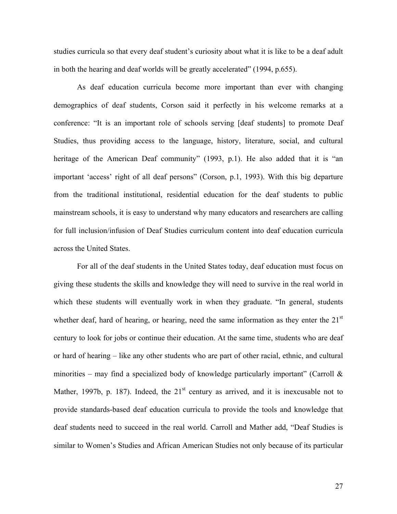studies curricula so that every deaf student's curiosity about what it is like to be a deaf adult in both the hearing and deaf worlds will be greatly accelerated" (1994, p.655).

As deaf education curricula become more important than ever with changing demographics of deaf students, Corson said it perfectly in his welcome remarks at a conference: "It is an important role of schools serving [deaf students] to promote Deaf Studies, thus providing access to the language, history, literature, social, and cultural heritage of the American Deaf community" (1993, p.1). He also added that it is "an important 'access' right of all deaf persons" (Corson, p.1, 1993). With this big departure from the traditional institutional, residential education for the deaf students to public mainstream schools, it is easy to understand why many educators and researchers are calling for full inclusion/infusion of Deaf Studies curriculum content into deaf education curricula across the United States.

For all of the deaf students in the United States today, deaf education must focus on giving these students the skills and knowledge they will need to survive in the real world in which these students will eventually work in when they graduate. "In general, students whether deaf, hard of hearing, or hearing, need the same information as they enter the  $21<sup>st</sup>$ century to look for jobs or continue their education. At the same time, students who are deaf or hard of hearing – like any other students who are part of other racial, ethnic, and cultural minorities – may find a specialized body of knowledge particularly important" (Carroll  $\&$ Mather, 1997b, p. 187). Indeed, the  $21<sup>st</sup>$  century as arrived, and it is inexcusable not to provide standards-based deaf education curricula to provide the tools and knowledge that deaf students need to succeed in the real world. Carroll and Mather add, "Deaf Studies is similar to Women's Studies and African American Studies not only because of its particular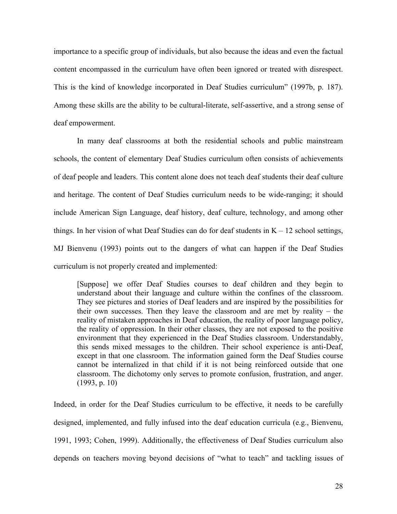importance to a specific group of individuals, but also because the ideas and even the factual content encompassed in the curriculum have often been ignored or treated with disrespect. This is the kind of knowledge incorporated in Deaf Studies curriculum" (1997b, p. 187). Among these skills are the ability to be cultural-literate, self-assertive, and a strong sense of deaf empowerment.

In many deaf classrooms at both the residential schools and public mainstream schools, the content of elementary Deaf Studies curriculum often consists of achievements of deaf people and leaders. This content alone does not teach deaf students their deaf culture and heritage. The content of Deaf Studies curriculum needs to be wide-ranging; it should include American Sign Language, deaf history, deaf culture, technology, and among other things. In her vision of what Deaf Studies can do for deaf students in  $K - 12$  school settings, MJ Bienvenu (1993) points out to the dangers of what can happen if the Deaf Studies curriculum is not properly created and implemented:

[Suppose] we offer Deaf Studies courses to deaf children and they begin to understand about their language and culture within the confines of the classroom. They see pictures and stories of Deaf leaders and are inspired by the possibilities for their own successes. Then they leave the classroom and are met by reality – the reality of mistaken approaches in Deaf education, the reality of poor language policy, the reality of oppression. In their other classes, they are not exposed to the positive environment that they experienced in the Deaf Studies classroom. Understandably, this sends mixed messages to the children. Their school experience is anti-Deaf, except in that one classroom. The information gained form the Deaf Studies course cannot be internalized in that child if it is not being reinforced outside that one classroom. The dichotomy only serves to promote confusion, frustration, and anger. (1993, p. 10)

Indeed, in order for the Deaf Studies curriculum to be effective, it needs to be carefully designed, implemented, and fully infused into the deaf education curricula (e.g., Bienvenu, 1991, 1993; Cohen, 1999). Additionally, the effectiveness of Deaf Studies curriculum also depends on teachers moving beyond decisions of "what to teach" and tackling issues of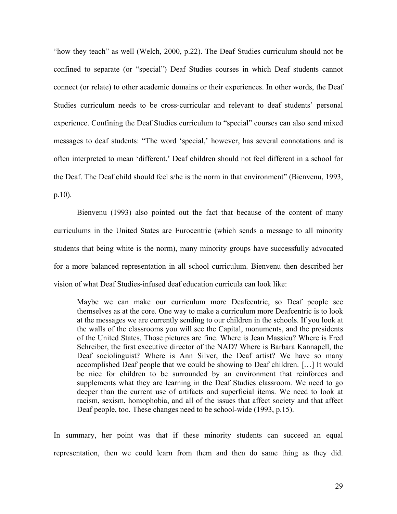"how they teach" as well (Welch, 2000, p.22). The Deaf Studies curriculum should not be confined to separate (or "special") Deaf Studies courses in which Deaf students cannot connect (or relate) to other academic domains or their experiences. In other words, the Deaf Studies curriculum needs to be cross-curricular and relevant to deaf students' personal experience. Confining the Deaf Studies curriculum to "special" courses can also send mixed messages to deaf students: "The word 'special,' however, has several connotations and is often interpreted to mean 'different.' Deaf children should not feel different in a school for the Deaf. The Deaf child should feel s/he is the norm in that environment" (Bienvenu, 1993, p.10).

Bienvenu (1993) also pointed out the fact that because of the content of many curriculums in the United States are Eurocentric (which sends a message to all minority students that being white is the norm), many minority groups have successfully advocated for a more balanced representation in all school curriculum. Bienvenu then described her vision of what Deaf Studies-infused deaf education curricula can look like:

Maybe we can make our curriculum more Deafcentric, so Deaf people see themselves as at the core. One way to make a curriculum more Deafcentric is to look at the messages we are currently sending to our children in the schools. If you look at the walls of the classrooms you will see the Capital, monuments, and the presidents of the United States. Those pictures are fine. Where is Jean Massieu? Where is Fred Schreiber, the first executive director of the NAD? Where is Barbara Kannapell, the Deaf sociolinguist? Where is Ann Silver, the Deaf artist? We have so many accomplished Deaf people that we could be showing to Deaf children. […] It would be nice for children to be surrounded by an environment that reinforces and supplements what they are learning in the Deaf Studies classroom. We need to go deeper than the current use of artifacts and superficial items. We need to look at racism, sexism, homophobia, and all of the issues that affect society and that affect Deaf people, too. These changes need to be school-wide (1993, p.15).

In summary, her point was that if these minority students can succeed an equal representation, then we could learn from them and then do same thing as they did.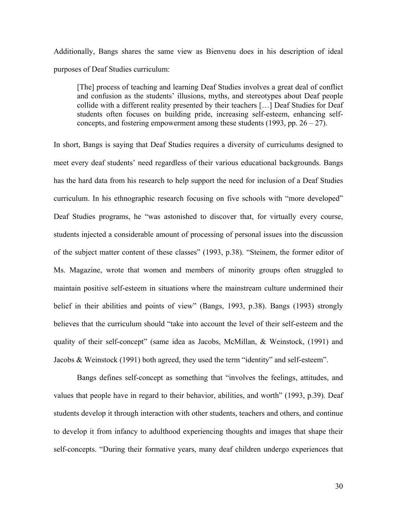Additionally, Bangs shares the same view as Bienvenu does in his description of ideal purposes of Deaf Studies curriculum:

[The] process of teaching and learning Deaf Studies involves a great deal of conflict and confusion as the students' illusions, myths, and stereotypes about Deaf people collide with a different reality presented by their teachers […] Deaf Studies for Deaf students often focuses on building pride, increasing self-esteem, enhancing selfconcepts, and fostering empowerment among these students (1993, pp.  $26 - 27$ ).

In short, Bangs is saying that Deaf Studies requires a diversity of curriculums designed to meet every deaf students' need regardless of their various educational backgrounds. Bangs has the hard data from his research to help support the need for inclusion of a Deaf Studies curriculum. In his ethnographic research focusing on five schools with "more developed" Deaf Studies programs, he "was astonished to discover that, for virtually every course, students injected a considerable amount of processing of personal issues into the discussion of the subject matter content of these classes" (1993, p.38). "Steinem, the former editor of Ms. Magazine, wrote that women and members of minority groups often struggled to maintain positive self-esteem in situations where the mainstream culture undermined their belief in their abilities and points of view" (Bangs, 1993, p.38). Bangs (1993) strongly believes that the curriculum should "take into account the level of their self-esteem and the quality of their self-concept" (same idea as Jacobs, McMillan, & Weinstock, (1991) and Jacobs & Weinstock (1991) both agreed, they used the term "identity" and self-esteem".

Bangs defines self-concept as something that "involves the feelings, attitudes, and values that people have in regard to their behavior, abilities, and worth" (1993, p.39). Deaf students develop it through interaction with other students, teachers and others, and continue to develop it from infancy to adulthood experiencing thoughts and images that shape their self-concepts. "During their formative years, many deaf children undergo experiences that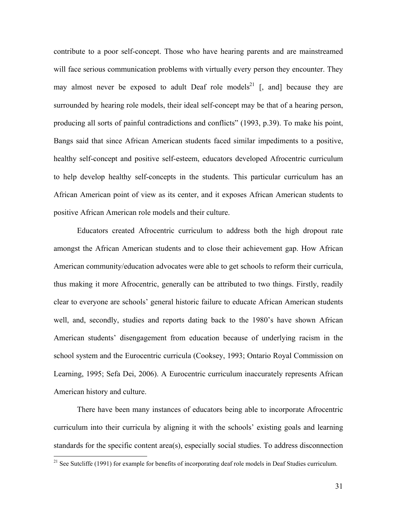contribute to a poor self-concept. Those who have hearing parents and are mainstreamed will face serious communication problems with virtually every person they encounter. They may almost never be exposed to adult Deaf role models<sup>21</sup> [, and] because they are surrounded by hearing role models, their ideal self-concept may be that of a hearing person, producing all sorts of painful contradictions and conflicts" (1993, p.39). To make his point, Bangs said that since African American students faced similar impediments to a positive, healthy self-concept and positive self-esteem, educators developed Afrocentric curriculum to help develop healthy self-concepts in the students. This particular curriculum has an African American point of view as its center, and it exposes African American students to positive African American role models and their culture.

Educators created Afrocentric curriculum to address both the high dropout rate amongst the African American students and to close their achievement gap. How African American community/education advocates were able to get schools to reform their curricula, thus making it more Afrocentric, generally can be attributed to two things. Firstly, readily clear to everyone are schools' general historic failure to educate African American students well, and, secondly, studies and reports dating back to the 1980's have shown African American students' disengagement from education because of underlying racism in the school system and the Eurocentric curricula (Cooksey, 1993; Ontario Royal Commission on Learning, 1995; Sefa Dei, 2006). A Eurocentric curriculum inaccurately represents African American history and culture.

There have been many instances of educators being able to incorporate Afrocentric curriculum into their curricula by aligning it with the schools' existing goals and learning standards for the specific content area(s), especially social studies. To address disconnection

<span id="page-33-0"></span><sup>&</sup>lt;sup>21</sup> See Sutcliffe (1991) for example for benefits of incorporating deaf role models in Deaf Studies curriculum.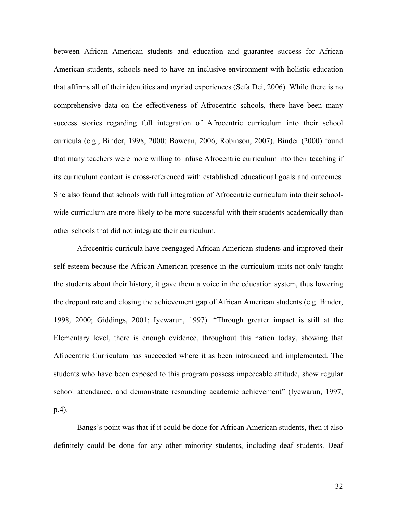between African American students and education and guarantee success for African American students, schools need to have an inclusive environment with holistic education that affirms all of their identities and myriad experiences (Sefa Dei, 2006). While there is no comprehensive data on the effectiveness of Afrocentric schools, there have been many success stories regarding full integration of Afrocentric curriculum into their school curricula (e.g., Binder, 1998, 2000; Bowean, 2006; Robinson, 2007). Binder (2000) found that many teachers were more willing to infuse Afrocentric curriculum into their teaching if its curriculum content is cross-referenced with established educational goals and outcomes. She also found that schools with full integration of Afrocentric curriculum into their schoolwide curriculum are more likely to be more successful with their students academically than other schools that did not integrate their curriculum.

Afrocentric curricula have reengaged African American students and improved their self-esteem because the African American presence in the curriculum units not only taught the students about their history, it gave them a voice in the education system, thus lowering the dropout rate and closing the achievement gap of African American students (e.g. Binder, 1998, 2000; Giddings, 2001; Iyewarun, 1997). "Through greater impact is still at the Elementary level, there is enough evidence, throughout this nation today, showing that Afrocentric Curriculum has succeeded where it as been introduced and implemented. The students who have been exposed to this program possess impeccable attitude, show regular school attendance, and demonstrate resounding academic achievement" (Iyewarun, 1997, p.4).

Bangs's point was that if it could be done for African American students, then it also definitely could be done for any other minority students, including deaf students. Deaf

32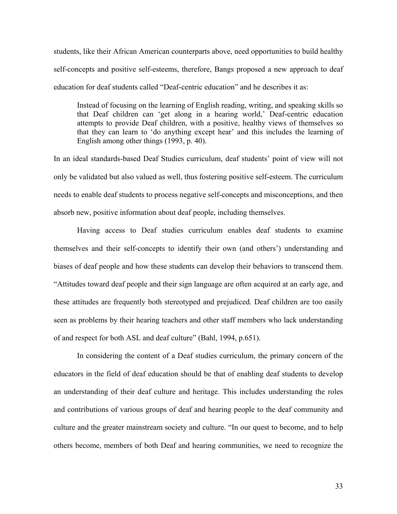students, like their African American counterparts above, need opportunities to build healthy self-concepts and positive self-esteems, therefore, Bangs proposed a new approach to deaf education for deaf students called "Deaf-centric education" and he describes it as:

Instead of focusing on the learning of English reading, writing, and speaking skills so that Deaf children can 'get along in a hearing world,' Deaf-centric education attempts to provide Deaf children, with a positive, healthy views of themselves so that they can learn to 'do anything except hear' and this includes the learning of English among other things (1993, p. 40).

In an ideal standards-based Deaf Studies curriculum, deaf students' point of view will not only be validated but also valued as well, thus fostering positive self-esteem. The curriculum needs to enable deaf students to process negative self-concepts and misconceptions, and then absorb new, positive information about deaf people, including themselves.

Having access to Deaf studies curriculum enables deaf students to examine themselves and their self-concepts to identify their own (and others') understanding and biases of deaf people and how these students can develop their behaviors to transcend them. "Attitudes toward deaf people and their sign language are often acquired at an early age, and these attitudes are frequently both stereotyped and prejudiced. Deaf children are too easily seen as problems by their hearing teachers and other staff members who lack understanding of and respect for both ASL and deaf culture" (Bahl, 1994, p.651).

In considering the content of a Deaf studies curriculum, the primary concern of the educators in the field of deaf education should be that of enabling deaf students to develop an understanding of their deaf culture and heritage. This includes understanding the roles and contributions of various groups of deaf and hearing people to the deaf community and culture and the greater mainstream society and culture. "In our quest to become, and to help others become, members of both Deaf and hearing communities, we need to recognize the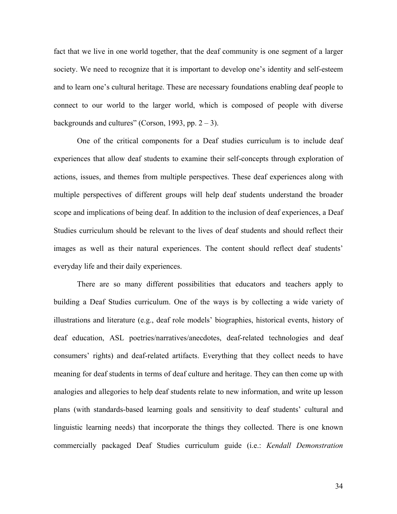fact that we live in one world together, that the deaf community is one segment of a larger society. We need to recognize that it is important to develop one's identity and self-esteem and to learn one's cultural heritage. These are necessary foundations enabling deaf people to connect to our world to the larger world, which is composed of people with diverse backgrounds and cultures" (Corson, 1993, pp.  $2 - 3$ ).

One of the critical components for a Deaf studies curriculum is to include deaf experiences that allow deaf students to examine their self-concepts through exploration of actions, issues, and themes from multiple perspectives. These deaf experiences along with multiple perspectives of different groups will help deaf students understand the broader scope and implications of being deaf. In addition to the inclusion of deaf experiences, a Deaf Studies curriculum should be relevant to the lives of deaf students and should reflect their images as well as their natural experiences. The content should reflect deaf students' everyday life and their daily experiences.

There are so many different possibilities that educators and teachers apply to building a Deaf Studies curriculum. One of the ways is by collecting a wide variety of illustrations and literature (e.g., deaf role models' biographies, historical events, history of deaf education, ASL poetries/narratives/anecdotes, deaf-related technologies and deaf consumers' rights) and deaf-related artifacts. Everything that they collect needs to have meaning for deaf students in terms of deaf culture and heritage. They can then come up with analogies and allegories to help deaf students relate to new information, and write up lesson plans (with standards-based learning goals and sensitivity to deaf students' cultural and linguistic learning needs) that incorporate the things they collected. There is one known commercially packaged Deaf Studies curriculum guide (i.e.: *Kendall Demonstration*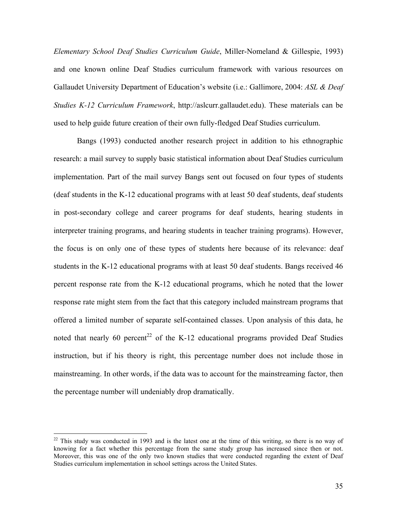*Elementary School Deaf Studies Curriculum Guide*, Miller-Nomeland & Gillespie, 1993) and one known online Deaf Studies curriculum framework with various resources on Gallaudet University Department of Education's website (i.e.: Gallimore, 2004: *ASL & Deaf Studies K-12 Curriculum Framework*, http://aslcurr.gallaudet.edu). These materials can be used to help guide future creation of their own fully-fledged Deaf Studies curriculum.

Bangs (1993) conducted another research project in addition to his ethnographic research: a mail survey to supply basic statistical information about Deaf Studies curriculum implementation. Part of the mail survey Bangs sent out focused on four types of students (deaf students in the K-12 educational programs with at least 50 deaf students, deaf students in post-secondary college and career programs for deaf students, hearing students in interpreter training programs, and hearing students in teacher training programs). However, the focus is on only one of these types of students here because of its relevance: deaf students in the K-12 educational programs with at least 50 deaf students. Bangs received 46 percent response rate from the K-12 educational programs, which he noted that the lower response rate might stem from the fact that this category included mainstream programs that offered a limited number of separate self-contained classes. Upon analysis of this data, he noted that nearly 60 percent<sup>22</sup> of the K-12 educational programs provided Deaf Studies instruction, but if his theory is right, this percentage number does not include those in mainstreaming. In other words, if the data was to account for the mainstreaming factor, then the percentage number will undeniably drop dramatically.

<span id="page-37-0"></span> $22$  This study was conducted in 1993 and is the latest one at the time of this writing, so there is no way of knowing for a fact whether this percentage from the same study group has increased since then or not. Moreover, this was one of the only two known studies that were conducted regarding the extent of Deaf Studies curriculum implementation in school settings across the United States.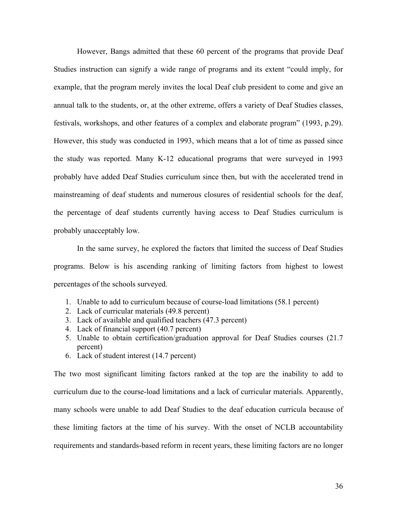However, Bangs admitted that these 60 percent of the programs that provide Deaf Studies instruction can signify a wide range of programs and its extent "could imply, for example, that the program merely invites the local Deaf club president to come and give an annual talk to the students, or, at the other extreme, offers a variety of Deaf Studies classes, festivals, workshops, and other features of a complex and elaborate program" (1993, p.29). However, this study was conducted in 1993, which means that a lot of time as passed since the study was reported. Many K-12 educational programs that were surveyed in 1993 probably have added Deaf Studies curriculum since then, but with the accelerated trend in mainstreaming of deaf students and numerous closures of residential schools for the deaf, the percentage of deaf students currently having access to Deaf Studies curriculum is probably unacceptably low.

In the same survey, he explored the factors that limited the success of Deaf Studies programs. Below is his ascending ranking of limiting factors from highest to lowest percentages of the schools surveyed.

- 1. Unable to add to curriculum because of course-load limitations (58.1 percent)
- 2. Lack of curricular materials (49.8 percent)
- 3. Lack of available and qualified teachers (47.3 percent)
- 4. Lack of financial support (40.7 percent)
- 5. Unable to obtain certification/graduation approval for Deaf Studies courses (21.7 percent)
- 6. Lack of student interest (14.7 percent)

The two most significant limiting factors ranked at the top are the inability to add to curriculum due to the course-load limitations and a lack of curricular materials. Apparently, many schools were unable to add Deaf Studies to the deaf education curricula because of these limiting factors at the time of his survey. With the onset of NCLB accountability requirements and standards-based reform in recent years, these limiting factors are no longer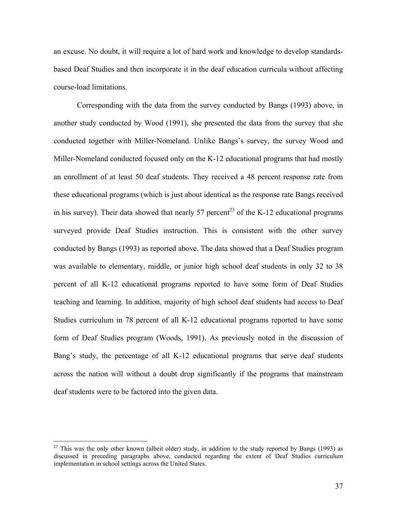an excuse. No doubt, it will require a lot of hard work and knowledge to develop standardsbased Deaf Studies and then incorporate it in the deaf education curricula without affecting course-load limitations.

Corresponding with the data from the survey conducted by Bangs (1993) above, in another study conducted by Wood (1991), she presented the data from the survey that she conducted together with Miller-Nomeland. Unlike Bangs's survey, the survey Wood and Miller-Nomeland conducted focused only on the K-12 educational programs that had mostly an enrollment of at least 50 deaf students. They received a 48 percent response rate from these educational programs (which is just about identical as the response rate Bangs received in his survey). Their data showed that nearly 57 percent<sup>23</sup> of the K-12 educational programs surveyed provide Deaf Studies instruction. This is consistent with the other survey conducted by Bangs (1993) as reported above. The data showed that a Deaf Studies program was available to elementary, middle, or junior high school deaf students in only 32 to 38 percent of all K-12 educational programs reported to have some form of Deaf Studies teaching and learning. In addition, majority of high school deaf students had access to Deaf Studies curriculum in 78 percent of all K-12 educational programs reported to have some form of Deaf Studies program (Woods, 1991). As previously noted in the discussion of Bang's study, the percentage of all K-12 educational programs that serve deaf students across the nation will without a doubt drop significantly if the programs that mainstream deaf students were to be factored into the given data.

<span id="page-39-0"></span><sup>&</sup>lt;sup>23</sup> This was the only other known (albeit older) study, in addition to the study reported by Bangs (1993) as discussed in preceding paragraphs above, conducted regarding the extent of Deaf Studies curriculum implementation in school settings across the United States.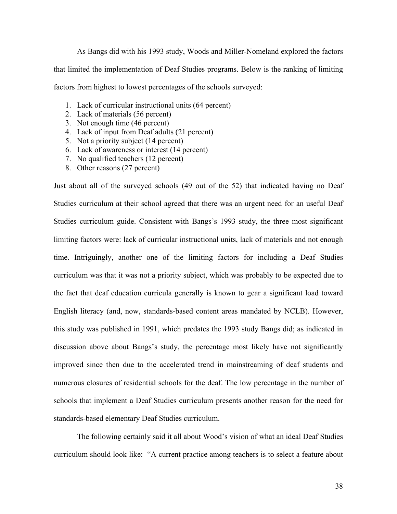As Bangs did with his 1993 study, Woods and Miller-Nomeland explored the factors that limited the implementation of Deaf Studies programs. Below is the ranking of limiting factors from highest to lowest percentages of the schools surveyed:

- 1. Lack of curricular instructional units (64 percent)
- 2. Lack of materials (56 percent)
- 3. Not enough time (46 percent)
- 4. Lack of input from Deaf adults (21 percent)
- 5. Not a priority subject (14 percent)
- 6. Lack of awareness or interest (14 percent)
- 7. No qualified teachers (12 percent)
- 8. Other reasons (27 percent)

Just about all of the surveyed schools (49 out of the 52) that indicated having no Deaf Studies curriculum at their school agreed that there was an urgent need for an useful Deaf Studies curriculum guide. Consistent with Bangs's 1993 study, the three most significant limiting factors were: lack of curricular instructional units, lack of materials and not enough time. Intriguingly, another one of the limiting factors for including a Deaf Studies curriculum was that it was not a priority subject, which was probably to be expected due to the fact that deaf education curricula generally is known to gear a significant load toward English literacy (and, now, standards-based content areas mandated by NCLB). However, this study was published in 1991, which predates the 1993 study Bangs did; as indicated in discussion above about Bangs's study, the percentage most likely have not significantly improved since then due to the accelerated trend in mainstreaming of deaf students and numerous closures of residential schools for the deaf. The low percentage in the number of schools that implement a Deaf Studies curriculum presents another reason for the need for standards-based elementary Deaf Studies curriculum.

The following certainly said it all about Wood's vision of what an ideal Deaf Studies curriculum should look like: "A current practice among teachers is to select a feature about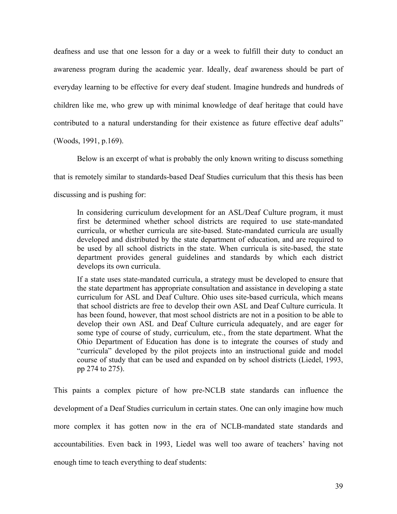deafness and use that one lesson for a day or a week to fulfill their duty to conduct an awareness program during the academic year. Ideally, deaf awareness should be part of everyday learning to be effective for every deaf student. Imagine hundreds and hundreds of children like me, who grew up with minimal knowledge of deaf heritage that could have contributed to a natural understanding for their existence as future effective deaf adults"

(Woods, 1991, p.169).

Below is an excerpt of what is probably the only known writing to discuss something that is remotely similar to standards-based Deaf Studies curriculum that this thesis has been discussing and is pushing for:

In considering curriculum development for an ASL/Deaf Culture program, it must first be determined whether school districts are required to use state-mandated curricula, or whether curricula are site-based. State-mandated curricula are usually developed and distributed by the state department of education, and are required to be used by all school districts in the state. When curricula is site-based, the state department provides general guidelines and standards by which each district develops its own curricula.

If a state uses state-mandated curricula, a strategy must be developed to ensure that the state department has appropriate consultation and assistance in developing a state curriculum for ASL and Deaf Culture. Ohio uses site-based curricula, which means that school districts are free to develop their own ASL and Deaf Culture curricula. It has been found, however, that most school districts are not in a position to be able to develop their own ASL and Deaf Culture curricula adequately, and are eager for some type of course of study, curriculum, etc., from the state department. What the Ohio Department of Education has done is to integrate the courses of study and "curricula" developed by the pilot projects into an instructional guide and model course of study that can be used and expanded on by school districts (Liedel, 1993, pp 274 to 275).

This paints a complex picture of how pre-NCLB state standards can influence the development of a Deaf Studies curriculum in certain states. One can only imagine how much more complex it has gotten now in the era of NCLB-mandated state standards and accountabilities. Even back in 1993, Liedel was well too aware of teachers' having not enough time to teach everything to deaf students: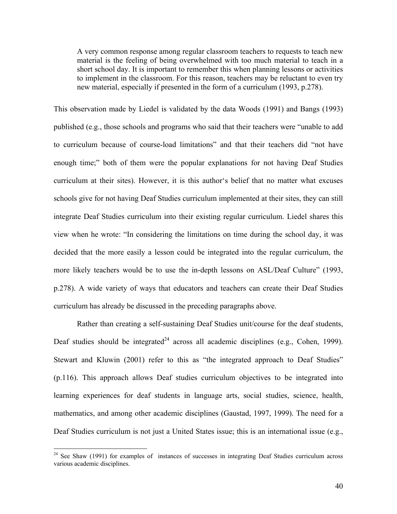A very common response among regular classroom teachers to requests to teach new material is the feeling of being overwhelmed with too much material to teach in a short school day. It is important to remember this when planning lessons or activities to implement in the classroom. For this reason, teachers may be reluctant to even try new material, especially if presented in the form of a curriculum (1993, p.278).

This observation made by Liedel is validated by the data Woods (1991) and Bangs (1993) published (e.g., those schools and programs who said that their teachers were "unable to add to curriculum because of course-load limitations" and that their teachers did "not have enough time;" both of them were the popular explanations for not having Deaf Studies curriculum at their sites). However, it is this author's belief that no matter what excuses schools give for not having Deaf Studies curriculum implemented at their sites, they can still integrate Deaf Studies curriculum into their existing regular curriculum. Liedel shares this view when he wrote: "In considering the limitations on time during the school day, it was decided that the more easily a lesson could be integrated into the regular curriculum, the more likely teachers would be to use the in-depth lessons on ASL/Deaf Culture" (1993, p.278). A wide variety of ways that educators and teachers can create their Deaf Studies curriculum has already be discussed in the preceding paragraphs above.

Rather than creating a self-sustaining Deaf Studies unit/course for the deaf students, Deaf studies should be integrated<sup>24</sup> across all academic disciplines (e.g., Cohen, 1999). Stewart and Kluwin (2001) refer to this as "the integrated approach to Deaf Studies" (p.116). This approach allows Deaf studies curriculum objectives to be integrated into learning experiences for deaf students in language arts, social studies, science, health, mathematics, and among other academic disciplines (Gaustad, 1997, 1999). The need for a Deaf Studies curriculum is not just a United States issue; this is an international issue (e.g.,

<span id="page-42-0"></span> $24$  See Shaw (1991) for examples of instances of successes in integrating Deaf Studies curriculum across various academic disciplines.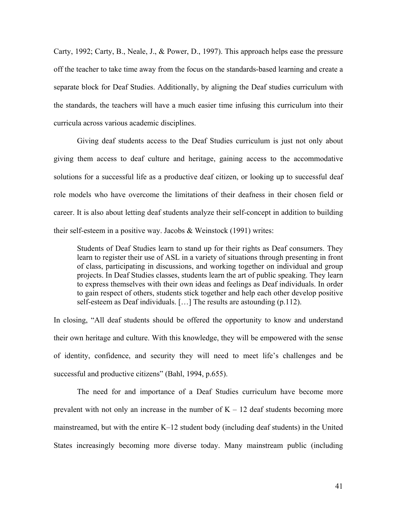Carty, 1992; Carty, B., Neale, J., & Power, D., 1997). This approach helps ease the pressure off the teacher to take time away from the focus on the standards-based learning and create a separate block for Deaf Studies. Additionally, by aligning the Deaf studies curriculum with the standards, the teachers will have a much easier time infusing this curriculum into their curricula across various academic disciplines.

Giving deaf students access to the Deaf Studies curriculum is just not only about giving them access to deaf culture and heritage, gaining access to the accommodative solutions for a successful life as a productive deaf citizen, or looking up to successful deaf role models who have overcome the limitations of their deafness in their chosen field or career. It is also about letting deaf students analyze their self-concept in addition to building their self-esteem in a positive way. Jacobs & Weinstock (1991) writes:

Students of Deaf Studies learn to stand up for their rights as Deaf consumers. They learn to register their use of ASL in a variety of situations through presenting in front of class, participating in discussions, and working together on individual and group projects. In Deaf Studies classes, students learn the art of public speaking. They learn to express themselves with their own ideas and feelings as Deaf individuals. In order to gain respect of others, students stick together and help each other develop positive self-esteem as Deaf individuals. […] The results are astounding (p.112).

In closing, "All deaf students should be offered the opportunity to know and understand their own heritage and culture. With this knowledge, they will be empowered with the sense of identity, confidence, and security they will need to meet life's challenges and be successful and productive citizens" (Bahl, 1994, p.655).

The need for and importance of a Deaf Studies curriculum have become more prevalent with not only an increase in the number of  $K - 12$  deaf students becoming more mainstreamed, but with the entire K–12 student body (including deaf students) in the United States increasingly becoming more diverse today. Many mainstream public (including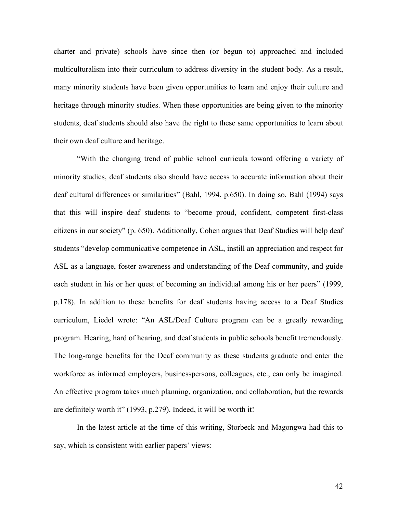charter and private) schools have since then (or begun to) approached and included multiculturalism into their curriculum to address diversity in the student body. As a result, many minority students have been given opportunities to learn and enjoy their culture and heritage through minority studies. When these opportunities are being given to the minority students, deaf students should also have the right to these same opportunities to learn about their own deaf culture and heritage.

"With the changing trend of public school curricula toward offering a variety of minority studies, deaf students also should have access to accurate information about their deaf cultural differences or similarities" (Bahl, 1994, p.650). In doing so, Bahl (1994) says that this will inspire deaf students to "become proud, confident, competent first-class citizens in our society" (p. 650). Additionally, Cohen argues that Deaf Studies will help deaf students "develop communicative competence in ASL, instill an appreciation and respect for ASL as a language, foster awareness and understanding of the Deaf community, and guide each student in his or her quest of becoming an individual among his or her peers" (1999, p.178). In addition to these benefits for deaf students having access to a Deaf Studies curriculum, Liedel wrote: "An ASL/Deaf Culture program can be a greatly rewarding program. Hearing, hard of hearing, and deaf students in public schools benefit tremendously. The long-range benefits for the Deaf community as these students graduate and enter the workforce as informed employers, businesspersons, colleagues, etc., can only be imagined. An effective program takes much planning, organization, and collaboration, but the rewards are definitely worth it" (1993, p.279). Indeed, it will be worth it!

In the latest article at the time of this writing, Storbeck and Magongwa had this to say, which is consistent with earlier papers' views:

42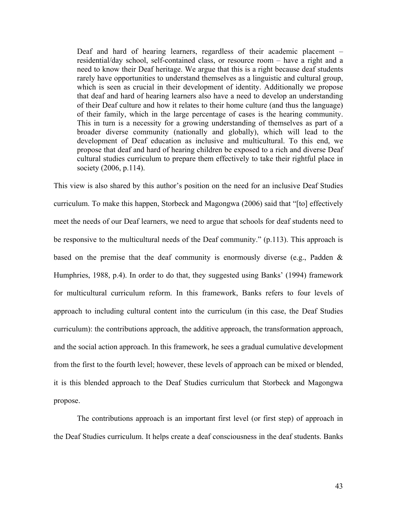Deaf and hard of hearing learners, regardless of their academic placement – residential/day school, self-contained class, or resource room – have a right and a need to know their Deaf heritage. We argue that this is a right because deaf students rarely have opportunities to understand themselves as a linguistic and cultural group, which is seen as crucial in their development of identity. Additionally we propose that deaf and hard of hearing learners also have a need to develop an understanding of their Deaf culture and how it relates to their home culture (and thus the language) of their family, which in the large percentage of cases is the hearing community. This in turn is a necessity for a growing understanding of themselves as part of a broader diverse community (nationally and globally), which will lead to the development of Deaf education as inclusive and multicultural. To this end, we propose that deaf and hard of hearing children be exposed to a rich and diverse Deaf cultural studies curriculum to prepare them effectively to take their rightful place in society (2006, p.114).

This view is also shared by this author's position on the need for an inclusive Deaf Studies curriculum. To make this happen, Storbeck and Magongwa (2006) said that "[to] effectively meet the needs of our Deaf learners, we need to argue that schools for deaf students need to be responsive to the multicultural needs of the Deaf community." (p.113). This approach is based on the premise that the deaf community is enormously diverse (e.g., Padden & Humphries, 1988, p.4). In order to do that, they suggested using Banks' (1994) framework for multicultural curriculum reform. In this framework, Banks refers to four levels of approach to including cultural content into the curriculum (in this case, the Deaf Studies curriculum): the contributions approach, the additive approach, the transformation approach, and the social action approach. In this framework, he sees a gradual cumulative development from the first to the fourth level; however, these levels of approach can be mixed or blended, it is this blended approach to the Deaf Studies curriculum that Storbeck and Magongwa propose.

The contributions approach is an important first level (or first step) of approach in the Deaf Studies curriculum. It helps create a deaf consciousness in the deaf students. Banks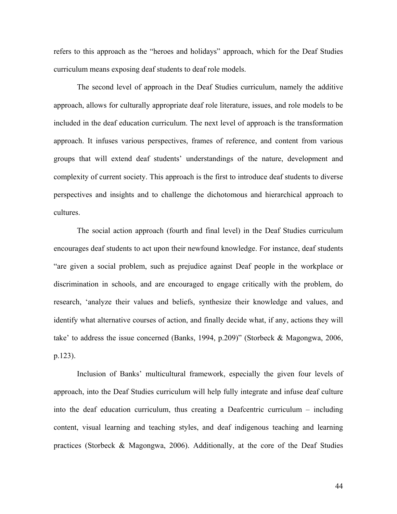refers to this approach as the "heroes and holidays" approach, which for the Deaf Studies curriculum means exposing deaf students to deaf role models.

The second level of approach in the Deaf Studies curriculum, namely the additive approach, allows for culturally appropriate deaf role literature, issues, and role models to be included in the deaf education curriculum. The next level of approach is the transformation approach. It infuses various perspectives, frames of reference, and content from various groups that will extend deaf students' understandings of the nature, development and complexity of current society. This approach is the first to introduce deaf students to diverse perspectives and insights and to challenge the dichotomous and hierarchical approach to cultures.

The social action approach (fourth and final level) in the Deaf Studies curriculum encourages deaf students to act upon their newfound knowledge. For instance, deaf students "are given a social problem, such as prejudice against Deaf people in the workplace or discrimination in schools, and are encouraged to engage critically with the problem, do research, 'analyze their values and beliefs, synthesize their knowledge and values, and identify what alternative courses of action, and finally decide what, if any, actions they will take' to address the issue concerned (Banks, 1994, p.209)" (Storbeck & Magongwa, 2006, p.123).

Inclusion of Banks' multicultural framework, especially the given four levels of approach, into the Deaf Studies curriculum will help fully integrate and infuse deaf culture into the deaf education curriculum, thus creating a Deafcentric curriculum – including content, visual learning and teaching styles, and deaf indigenous teaching and learning practices (Storbeck & Magongwa, 2006). Additionally, at the core of the Deaf Studies

44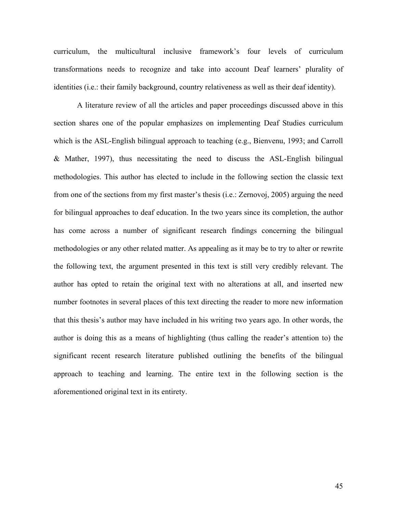curriculum, the multicultural inclusive framework's four levels of curriculum transformations needs to recognize and take into account Deaf learners' plurality of identities (i.e.: their family background, country relativeness as well as their deaf identity).

A literature review of all the articles and paper proceedings discussed above in this section shares one of the popular emphasizes on implementing Deaf Studies curriculum which is the ASL-English bilingual approach to teaching (e.g., Bienvenu, 1993; and Carroll & Mather, 1997), thus necessitating the need to discuss the ASL-English bilingual methodologies. This author has elected to include in the following section the classic text from one of the sections from my first master's thesis (i.e.: Zernovoj, 2005) arguing the need for bilingual approaches to deaf education. In the two years since its completion, the author has come across a number of significant research findings concerning the bilingual methodologies or any other related matter. As appealing as it may be to try to alter or rewrite the following text, the argument presented in this text is still very credibly relevant. The author has opted to retain the original text with no alterations at all, and inserted new number footnotes in several places of this text directing the reader to more new information that this thesis's author may have included in his writing two years ago. In other words, the author is doing this as a means of highlighting (thus calling the reader's attention to) the significant recent research literature published outlining the benefits of the bilingual approach to teaching and learning. The entire text in the following section is the aforementioned original text in its entirety.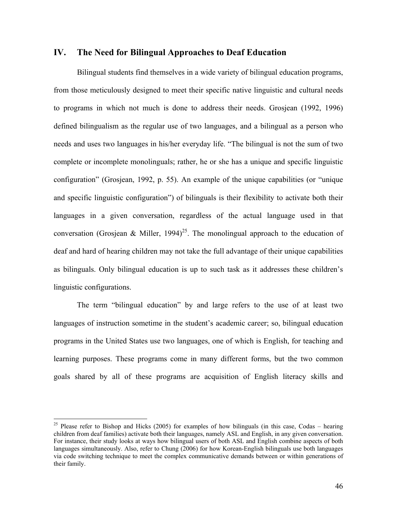## **IV. The Need for Bilingual Approaches to Deaf Education**

Bilingual students find themselves in a wide variety of bilingual education programs, from those meticulously designed to meet their specific native linguistic and cultural needs to programs in which not much is done to address their needs. Grosjean (1992, 1996) defined bilingualism as the regular use of two languages, and a bilingual as a person who needs and uses two languages in his/her everyday life. "The bilingual is not the sum of two complete or incomplete monolinguals; rather, he or she has a unique and specific linguistic configuration" (Grosjean, 1992, p. 55). An example of the unique capabilities (or "unique and specific linguistic configuration") of bilinguals is their flexibility to activate both their languages in a given conversation, regardless of the actual language used in that conversation (Grosjean & Miller, 1994)<sup>25</sup>. The monolingual approach to the education of deaf and hard of hearing children may not take the full advantage of their unique capabilities as bilinguals. Only bilingual education is up to such task as it addresses these children's linguistic configurations.

The term "bilingual education" by and large refers to the use of at least two languages of instruction sometime in the student's academic career; so, bilingual education programs in the United States use two languages, one of which is English, for teaching and learning purposes. These programs come in many different forms, but the two common goals shared by all of these programs are acquisition of English literacy skills and

<span id="page-48-0"></span><sup>&</sup>lt;sup>25</sup> Please refer to Bishop and Hicks (2005) for examples of how bilinguals (in this case, Codas – hearing children from deaf families) activate both their languages, namely ASL and English, in any given conversation. For instance, their study looks at ways how bilingual users of both ASL and English combine aspects of both languages simultaneously. Also, refer to Chung (2006) for how Korean-English bilinguals use both languages via code switching technique to meet the complex communicative demands between or within generations of their family.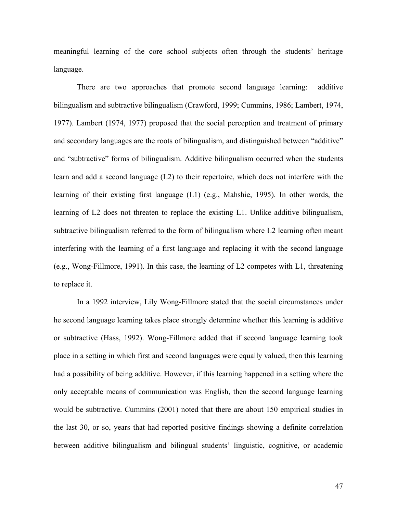meaningful learning of the core school subjects often through the students' heritage language.

There are two approaches that promote second language learning: additive bilingualism and subtractive bilingualism (Crawford, 1999; Cummins, 1986; Lambert, 1974, 1977). Lambert (1974, 1977) proposed that the social perception and treatment of primary and secondary languages are the roots of bilingualism, and distinguished between "additive" and "subtractive" forms of bilingualism. Additive bilingualism occurred when the students learn and add a second language (L2) to their repertoire, which does not interfere with the learning of their existing first language (L1) (e.g., Mahshie, 1995). In other words, the learning of L2 does not threaten to replace the existing L1. Unlike additive bilingualism, subtractive bilingualism referred to the form of bilingualism where L2 learning often meant interfering with the learning of a first language and replacing it with the second language (e.g., Wong-Fillmore, 1991). In this case, the learning of L2 competes with L1, threatening to replace it.

In a 1992 interview, Lily Wong-Fillmore stated that the social circumstances under he second language learning takes place strongly determine whether this learning is additive or subtractive (Hass, 1992). Wong-Fillmore added that if second language learning took place in a setting in which first and second languages were equally valued, then this learning had a possibility of being additive. However, if this learning happened in a setting where the only acceptable means of communication was English, then the second language learning would be subtractive. Cummins (2001) noted that there are about 150 empirical studies in the last 30, or so, years that had reported positive findings showing a definite correlation between additive bilingualism and bilingual students' linguistic, cognitive, or academic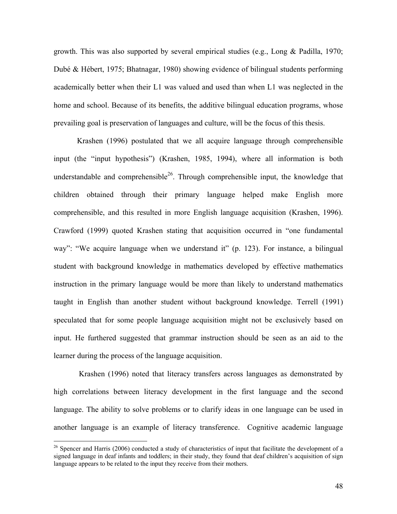growth. This was also supported by several empirical studies (e.g., Long & Padilla, 1970; Dubé & Hébert, 1975; Bhatnagar, 1980) showing evidence of bilingual students performing academically better when their L1 was valued and used than when L1 was neglected in the home and school. Because of its benefits, the additive bilingual education programs, whose prevailing goal is preservation of languages and culture, will be the focus of this thesis.

Krashen (1996) postulated that we all acquire language through comprehensible input (the "input hypothesis") (Krashen, 1985, 1994), where all information is both understandable and comprehensible<sup>26</sup>. Through comprehensible input, the knowledge that children obtained through their primary language helped make English more comprehensible, and this resulted in more English language acquisition (Krashen, 1996). Crawford (1999) quoted Krashen stating that acquisition occurred in "one fundamental way": "We acquire language when we understand it" (p. 123). For instance, a bilingual student with background knowledge in mathematics developed by effective mathematics instruction in the primary language would be more than likely to understand mathematics taught in English than another student without background knowledge. Terrell (1991) speculated that for some people language acquisition might not be exclusively based on input. He furthered suggested that grammar instruction should be seen as an aid to the learner during the process of the language acquisition.

Krashen (1996) noted that literacy transfers across languages as demonstrated by high correlations between literacy development in the first language and the second language. The ability to solve problems or to clarify ideas in one language can be used in another language is an example of literacy transference. Cognitive academic language

<span id="page-50-0"></span> $26$  Spencer and Harris (2006) conducted a study of characteristics of input that facilitate the development of a signed language in deaf infants and toddlers; in their study, they found that deaf children's acquisition of sign language appears to be related to the input they receive from their mothers.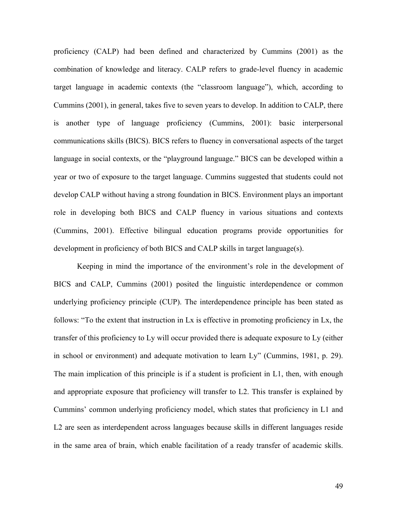proficiency (CALP) had been defined and characterized by Cummins (2001) as the combination of knowledge and literacy. CALP refers to grade-level fluency in academic target language in academic contexts (the "classroom language"), which, according to Cummins (2001), in general, takes five to seven years to develop. In addition to CALP, there is another type of language proficiency (Cummins, 2001): basic interpersonal communications skills (BICS). BICS refers to fluency in conversational aspects of the target language in social contexts, or the "playground language." BICS can be developed within a year or two of exposure to the target language. Cummins suggested that students could not develop CALP without having a strong foundation in BICS. Environment plays an important role in developing both BICS and CALP fluency in various situations and contexts (Cummins, 2001). Effective bilingual education programs provide opportunities for development in proficiency of both BICS and CALP skills in target language(s).

Keeping in mind the importance of the environment's role in the development of BICS and CALP, Cummins (2001) posited the linguistic interdependence or common underlying proficiency principle (CUP). The interdependence principle has been stated as follows: "To the extent that instruction in Lx is effective in promoting proficiency in Lx, the transfer of this proficiency to Ly will occur provided there is adequate exposure to Ly (either in school or environment) and adequate motivation to learn Ly" (Cummins, 1981, p. 29). The main implication of this principle is if a student is proficient in L1, then, with enough and appropriate exposure that proficiency will transfer to L2. This transfer is explained by Cummins' common underlying proficiency model, which states that proficiency in L1 and L2 are seen as interdependent across languages because skills in different languages reside in the same area of brain, which enable facilitation of a ready transfer of academic skills.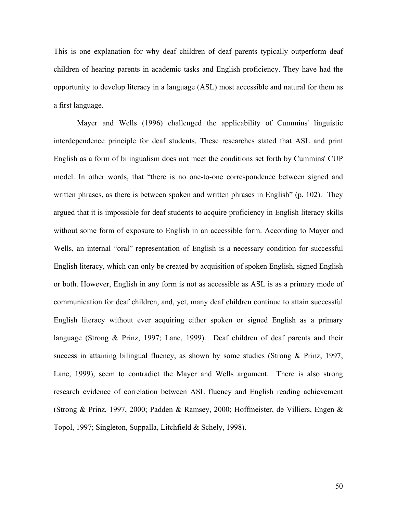This is one explanation for why deaf children of deaf parents typically outperform deaf children of hearing parents in academic tasks and English proficiency. They have had the opportunity to develop literacy in a language (ASL) most accessible and natural for them as a first language.

Mayer and Wells (1996) challenged the applicability of Cummins' linguistic interdependence principle for deaf students. These researches stated that ASL and print English as a form of bilingualism does not meet the conditions set forth by Cummins' CUP model. In other words, that "there is no one-to-one correspondence between signed and written phrases, as there is between spoken and written phrases in English" (p. 102). They argued that it is impossible for deaf students to acquire proficiency in English literacy skills without some form of exposure to English in an accessible form. According to Mayer and Wells, an internal "oral" representation of English is a necessary condition for successful English literacy, which can only be created by acquisition of spoken English, signed English or both. However, English in any form is not as accessible as ASL is as a primary mode of communication for deaf children, and, yet, many deaf children continue to attain successful English literacy without ever acquiring either spoken or signed English as a primary language (Strong & Prinz, 1997; Lane, 1999). Deaf children of deaf parents and their success in attaining bilingual fluency, as shown by some studies (Strong & Prinz, 1997; Lane, 1999), seem to contradict the Mayer and Wells argument. There is also strong research evidence of correlation between ASL fluency and English reading achievement (Strong & Prinz, 1997, 2000; Padden & Ramsey, 2000; Hoffmeister, de Villiers, Engen & Topol, 1997; Singleton, Suppalla, Litchfield & Schely, 1998).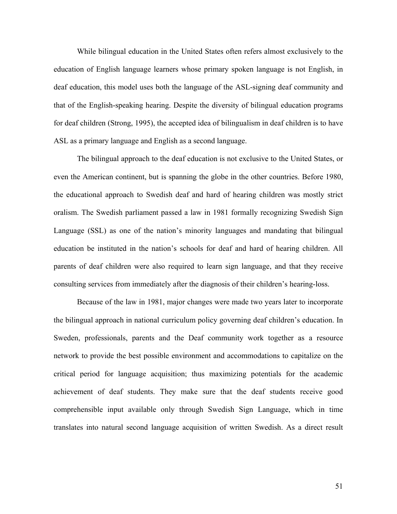While bilingual education in the United States often refers almost exclusively to the education of English language learners whose primary spoken language is not English, in deaf education, this model uses both the language of the ASL-signing deaf community and that of the English-speaking hearing. Despite the diversity of bilingual education programs for deaf children (Strong, 1995), the accepted idea of bilingualism in deaf children is to have ASL as a primary language and English as a second language.

The bilingual approach to the deaf education is not exclusive to the United States, or even the American continent, but is spanning the globe in the other countries. Before 1980, the educational approach to Swedish deaf and hard of hearing children was mostly strict oralism. The Swedish parliament passed a law in 1981 formally recognizing Swedish Sign Language (SSL) as one of the nation's minority languages and mandating that bilingual education be instituted in the nation's schools for deaf and hard of hearing children. All parents of deaf children were also required to learn sign language, and that they receive consulting services from immediately after the diagnosis of their children's hearing-loss.

Because of the law in 1981, major changes were made two years later to incorporate the bilingual approach in national curriculum policy governing deaf children's education. In Sweden, professionals, parents and the Deaf community work together as a resource network to provide the best possible environment and accommodations to capitalize on the critical period for language acquisition; thus maximizing potentials for the academic achievement of deaf students. They make sure that the deaf students receive good comprehensible input available only through Swedish Sign Language, which in time translates into natural second language acquisition of written Swedish. As a direct result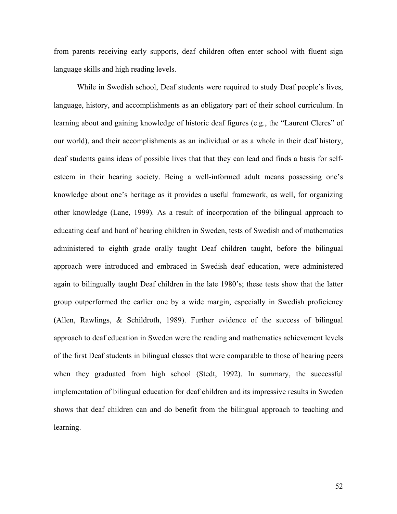from parents receiving early supports, deaf children often enter school with fluent sign language skills and high reading levels.

While in Swedish school, Deaf students were required to study Deaf people's lives, language, history, and accomplishments as an obligatory part of their school curriculum. In learning about and gaining knowledge of historic deaf figures (e.g., the "Laurent Clercs" of our world), and their accomplishments as an individual or as a whole in their deaf history, deaf students gains ideas of possible lives that that they can lead and finds a basis for selfesteem in their hearing society. Being a well-informed adult means possessing one's knowledge about one's heritage as it provides a useful framework, as well, for organizing other knowledge (Lane, 1999). As a result of incorporation of the bilingual approach to educating deaf and hard of hearing children in Sweden, tests of Swedish and of mathematics administered to eighth grade orally taught Deaf children taught, before the bilingual approach were introduced and embraced in Swedish deaf education, were administered again to bilingually taught Deaf children in the late 1980's; these tests show that the latter group outperformed the earlier one by a wide margin, especially in Swedish proficiency (Allen, Rawlings, & Schildroth, 1989). Further evidence of the success of bilingual approach to deaf education in Sweden were the reading and mathematics achievement levels of the first Deaf students in bilingual classes that were comparable to those of hearing peers when they graduated from high school (Stedt, 1992). In summary, the successful implementation of bilingual education for deaf children and its impressive results in Sweden shows that deaf children can and do benefit from the bilingual approach to teaching and learning.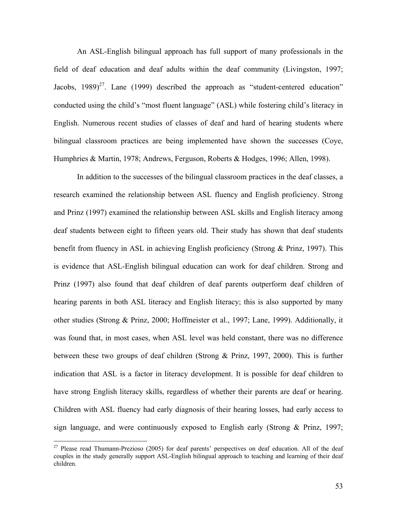An ASL-English bilingual approach has full support of many professionals in the field of deaf education and deaf adults within the deaf community (Livingston, 1997; Jacobs,  $1989)^{27}$ . Lane (1999) described the approach as "student-centered education" conducted using the child's "most fluent language" (ASL) while fostering child's literacy in English. Numerous recent studies of classes of deaf and hard of hearing students where bilingual classroom practices are being implemented have shown the successes (Coye, Humphries & Martin, 1978; Andrews, Ferguson, Roberts & Hodges, 1996; Allen, 1998).

In addition to the successes of the bilingual classroom practices in the deaf classes, a research examined the relationship between ASL fluency and English proficiency. Strong and Prinz (1997) examined the relationship between ASL skills and English literacy among deaf students between eight to fifteen years old. Their study has shown that deaf students benefit from fluency in ASL in achieving English proficiency (Strong & Prinz, 1997). This is evidence that ASL-English bilingual education can work for deaf children. Strong and Prinz (1997) also found that deaf children of deaf parents outperform deaf children of hearing parents in both ASL literacy and English literacy; this is also supported by many other studies (Strong & Prinz, 2000; Hoffmeister et al., 1997; Lane, 1999). Additionally, it was found that, in most cases, when ASL level was held constant, there was no difference between these two groups of deaf children (Strong & Prinz, 1997, 2000). This is further indication that ASL is a factor in literacy development. It is possible for deaf children to have strong English literacy skills, regardless of whether their parents are deaf or hearing. Children with ASL fluency had early diagnosis of their hearing losses, had early access to sign language, and were continuously exposed to English early (Strong & Prinz, 1997;

<span id="page-55-0"></span> $27$  Please read Thumann-Prezioso (2005) for deaf parents' perspectives on deaf education. All of the deaf couples in the study generally support ASL-English bilingual approach to teaching and learning of their deaf children.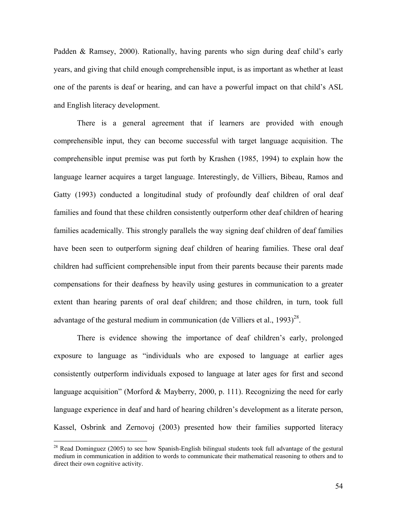Padden & Ramsey, 2000). Rationally, having parents who sign during deaf child's early years, and giving that child enough comprehensible input, is as important as whether at least one of the parents is deaf or hearing, and can have a powerful impact on that child's ASL and English literacy development.

There is a general agreement that if learners are provided with enough comprehensible input, they can become successful with target language acquisition. The comprehensible input premise was put forth by Krashen (1985, 1994) to explain how the language learner acquires a target language. Interestingly, de Villiers, Bibeau, Ramos and Gatty (1993) conducted a longitudinal study of profoundly deaf children of oral deaf families and found that these children consistently outperform other deaf children of hearing families academically. This strongly parallels the way signing deaf children of deaf families have been seen to outperform signing deaf children of hearing families. These oral deaf children had sufficient comprehensible input from their parents because their parents made compensations for their deafness by heavily using gestures in communication to a greater extent than hearing parents of oral deaf children; and those children, in turn, took full advantage of the gestural medium in communication (de Villiers et al.,  $1993)^{28}$ .

There is evidence showing the importance of deaf children's early, prolonged exposure to language as "individuals who are exposed to language at earlier ages consistently outperform individuals exposed to language at later ages for first and second language acquisition" (Morford & Mayberry, 2000, p. 111). Recognizing the need for early language experience in deaf and hard of hearing children's development as a literate person, Kassel, Osbrink and Zernovoj (2003) presented how their families supported literacy

<span id="page-56-0"></span><sup>&</sup>lt;sup>28</sup> Read Dominguez (2005) to see how Spanish-English bilingual students took full advantage of the gestural medium in communication in addition to words to communicate their mathematical reasoning to others and to direct their own cognitive activity.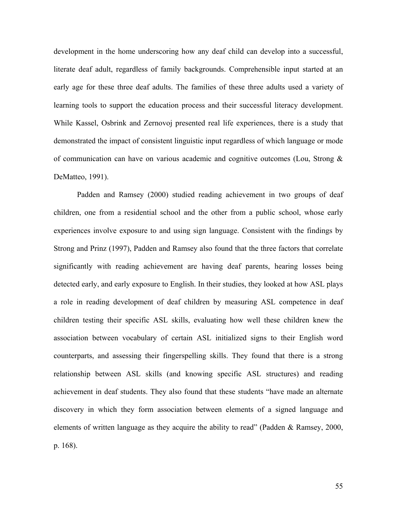development in the home underscoring how any deaf child can develop into a successful, literate deaf adult, regardless of family backgrounds. Comprehensible input started at an early age for these three deaf adults. The families of these three adults used a variety of learning tools to support the education process and their successful literacy development. While Kassel, Osbrink and Zernovoj presented real life experiences, there is a study that demonstrated the impact of consistent linguistic input regardless of which language or mode of communication can have on various academic and cognitive outcomes (Lou, Strong  $\&$ DeMatteo, 1991).

Padden and Ramsey (2000) studied reading achievement in two groups of deaf children, one from a residential school and the other from a public school, whose early experiences involve exposure to and using sign language. Consistent with the findings by Strong and Prinz (1997), Padden and Ramsey also found that the three factors that correlate significantly with reading achievement are having deaf parents, hearing losses being detected early, and early exposure to English. In their studies, they looked at how ASL plays a role in reading development of deaf children by measuring ASL competence in deaf children testing their specific ASL skills, evaluating how well these children knew the association between vocabulary of certain ASL initialized signs to their English word counterparts, and assessing their fingerspelling skills. They found that there is a strong relationship between ASL skills (and knowing specific ASL structures) and reading achievement in deaf students. They also found that these students "have made an alternate discovery in which they form association between elements of a signed language and elements of written language as they acquire the ability to read" (Padden & Ramsey, 2000, p. 168).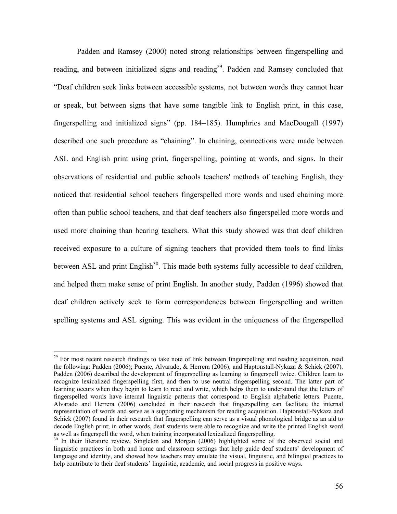Padden and Ramsey (2000) noted strong relationships between fingerspelling and reading, and between initialized signs and reading<sup>29</sup>. Padden and Ramsey concluded that "Deaf children seek links between accessible systems, not between words they cannot hear or speak, but between signs that have some tangible link to English print, in this case, fingerspelling and initialized signs" (pp. 184–185). Humphries and MacDougall (1997) described one such procedure as "chaining". In chaining, connections were made between ASL and English print using print, fingerspelling, pointing at words, and signs. In their observations of residential and public schools teachers' methods of teaching English, they noticed that residential school teachers fingerspelled more words and used chaining more often than public school teachers, and that deaf teachers also fingerspelled more words and used more chaining than hearing teachers. What this study showed was that deaf children received exposure to a culture of signing teachers that provided them tools to find links between ASL and print English<sup>30</sup>. This made both systems fully accessible to deaf children, and helped them make sense of print English. In another study, Padden (1996) showed that deaf children actively seek to form correspondences between fingerspelling and written spelling systems and ASL signing. This was evident in the uniqueness of the fingerspelled

<span id="page-58-0"></span><sup>&</sup>lt;sup>29</sup> For most recent research findings to take note of link between fingerspelling and reading acquisition, read the following: Padden (2006); Puente, Alvarado, & Herrera (2006); and Haptonstall-Nykaza & Schick (2007). Padden (2006) described the development of fingerspelling as learning to fingerspell twice. Children learn to recognize lexicalized fingerspelling first, and then to use neutral fingerspelling second. The latter part of learning occurs when they begin to learn to read and write, which helps them to understand that the letters of fingerspelled words have internal linguistic patterns that correspond to English alphabetic letters. Puente, Alvarado and Herrera (2006) concluded in their research that fingerspelling can facilitate the internal representation of words and serve as a supporting mechanism for reading acquisition. Haptonstall-Nykaza and Schick (2007) found in their research that fingerspelling can serve as a visual phonological bridge as an aid to decode English print; in other words, deaf students were able to recognize and write the printed English word as well as fingerspell the word, when training incorporated lexicalized fingerspelling.<br><sup>30</sup> In their literature review, Singleton and Morgan (2006) highlighted some of the observed social and

<span id="page-58-1"></span>linguistic practices in both and home and classroom settings that help guide deaf students' development of language and identity, and showed how teachers may emulate the visual, linguistic, and bilingual practices to help contribute to their deaf students' linguistic, academic, and social progress in positive ways.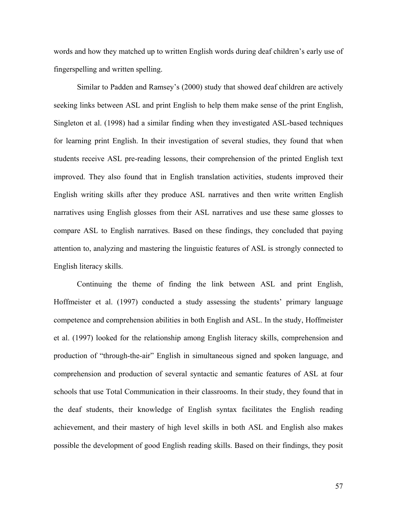words and how they matched up to written English words during deaf children's early use of fingerspelling and written spelling.

Similar to Padden and Ramsey's (2000) study that showed deaf children are actively seeking links between ASL and print English to help them make sense of the print English, Singleton et al. (1998) had a similar finding when they investigated ASL-based techniques for learning print English. In their investigation of several studies, they found that when students receive ASL pre-reading lessons, their comprehension of the printed English text improved. They also found that in English translation activities, students improved their English writing skills after they produce ASL narratives and then write written English narratives using English glosses from their ASL narratives and use these same glosses to compare ASL to English narratives. Based on these findings, they concluded that paying attention to, analyzing and mastering the linguistic features of ASL is strongly connected to English literacy skills.

Continuing the theme of finding the link between ASL and print English, Hoffmeister et al. (1997) conducted a study assessing the students' primary language competence and comprehension abilities in both English and ASL. In the study, Hoffmeister et al. (1997) looked for the relationship among English literacy skills, comprehension and production of "through-the-air" English in simultaneous signed and spoken language, and comprehension and production of several syntactic and semantic features of ASL at four schools that use Total Communication in their classrooms. In their study, they found that in the deaf students, their knowledge of English syntax facilitates the English reading achievement, and their mastery of high level skills in both ASL and English also makes possible the development of good English reading skills. Based on their findings, they posit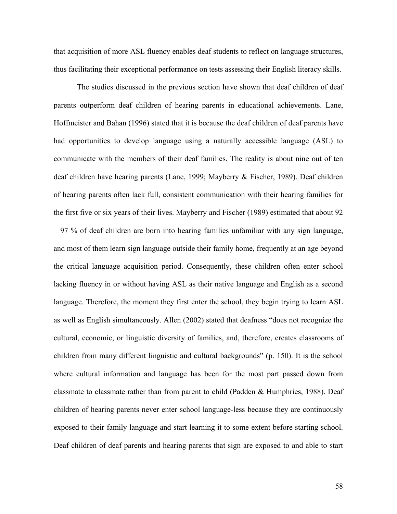that acquisition of more ASL fluency enables deaf students to reflect on language structures, thus facilitating their exceptional performance on tests assessing their English literacy skills.

The studies discussed in the previous section have shown that deaf children of deaf parents outperform deaf children of hearing parents in educational achievements. Lane, Hoffmeister and Bahan (1996) stated that it is because the deaf children of deaf parents have had opportunities to develop language using a naturally accessible language (ASL) to communicate with the members of their deaf families. The reality is about nine out of ten deaf children have hearing parents (Lane, 1999; Mayberry & Fischer, 1989). Deaf children of hearing parents often lack full, consistent communication with their hearing families for the first five or six years of their lives. Mayberry and Fischer (1989) estimated that about 92 – 97 % of deaf children are born into hearing families unfamiliar with any sign language, and most of them learn sign language outside their family home, frequently at an age beyond the critical language acquisition period. Consequently, these children often enter school lacking fluency in or without having ASL as their native language and English as a second language. Therefore, the moment they first enter the school, they begin trying to learn ASL as well as English simultaneously. Allen (2002) stated that deafness "does not recognize the cultural, economic, or linguistic diversity of families, and, therefore, creates classrooms of children from many different linguistic and cultural backgrounds" (p. 150). It is the school where cultural information and language has been for the most part passed down from classmate to classmate rather than from parent to child (Padden & Humphries, 1988). Deaf children of hearing parents never enter school language-less because they are continuously exposed to their family language and start learning it to some extent before starting school. Deaf children of deaf parents and hearing parents that sign are exposed to and able to start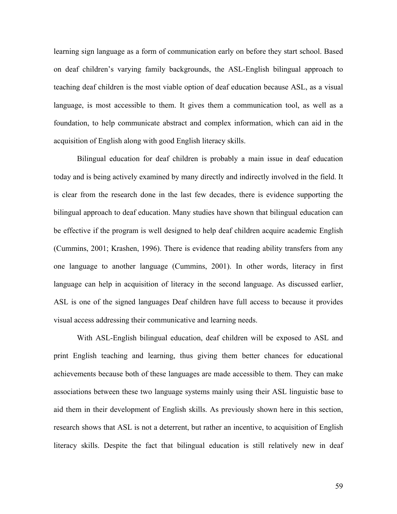learning sign language as a form of communication early on before they start school. Based on deaf children's varying family backgrounds, the ASL-English bilingual approach to teaching deaf children is the most viable option of deaf education because ASL, as a visual language, is most accessible to them. It gives them a communication tool, as well as a foundation, to help communicate abstract and complex information, which can aid in the acquisition of English along with good English literacy skills.

Bilingual education for deaf children is probably a main issue in deaf education today and is being actively examined by many directly and indirectly involved in the field. It is clear from the research done in the last few decades, there is evidence supporting the bilingual approach to deaf education. Many studies have shown that bilingual education can be effective if the program is well designed to help deaf children acquire academic English (Cummins, 2001; Krashen, 1996). There is evidence that reading ability transfers from any one language to another language (Cummins, 2001). In other words, literacy in first language can help in acquisition of literacy in the second language. As discussed earlier, ASL is one of the signed languages Deaf children have full access to because it provides visual access addressing their communicative and learning needs.

With ASL-English bilingual education, deaf children will be exposed to ASL and print English teaching and learning, thus giving them better chances for educational achievements because both of these languages are made accessible to them. They can make associations between these two language systems mainly using their ASL linguistic base to aid them in their development of English skills. As previously shown here in this section, research shows that ASL is not a deterrent, but rather an incentive, to acquisition of English literacy skills. Despite the fact that bilingual education is still relatively new in deaf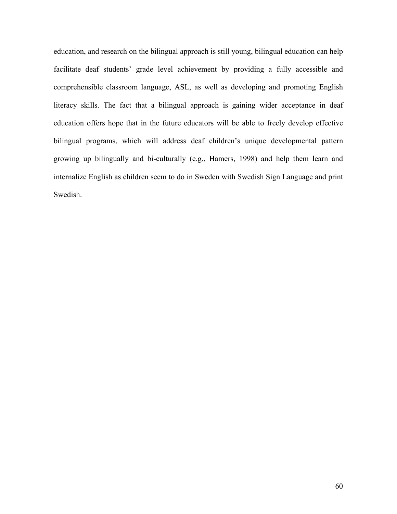education, and research on the bilingual approach is still young, bilingual education can help facilitate deaf students' grade level achievement by providing a fully accessible and comprehensible classroom language, ASL, as well as developing and promoting English literacy skills. The fact that a bilingual approach is gaining wider acceptance in deaf education offers hope that in the future educators will be able to freely develop effective bilingual programs, which will address deaf children's unique developmental pattern growing up bilingually and bi-culturally (e.g., Hamers, 1998) and help them learn and internalize English as children seem to do in Sweden with Swedish Sign Language and print Swedish.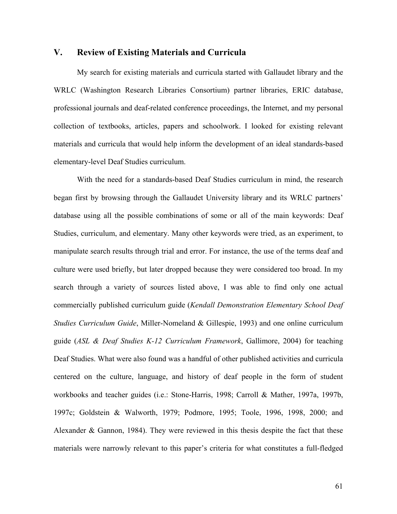## **V. Review of Existing Materials and Curricula**

My search for existing materials and curricula started with Gallaudet library and the WRLC (Washington Research Libraries Consortium) partner libraries, ERIC database, professional journals and deaf-related conference proceedings, the Internet, and my personal collection of textbooks, articles, papers and schoolwork. I looked for existing relevant materials and curricula that would help inform the development of an ideal standards-based elementary-level Deaf Studies curriculum.

With the need for a standards-based Deaf Studies curriculum in mind, the research began first by browsing through the Gallaudet University library and its WRLC partners' database using all the possible combinations of some or all of the main keywords: Deaf Studies, curriculum, and elementary. Many other keywords were tried, as an experiment, to manipulate search results through trial and error. For instance, the use of the terms deaf and culture were used briefly, but later dropped because they were considered too broad. In my search through a variety of sources listed above, I was able to find only one actual commercially published curriculum guide (*Kendall Demonstration Elementary School Deaf Studies Curriculum Guide*, Miller-Nomeland & Gillespie, 1993) and one online curriculum guide (*ASL & Deaf Studies K-12 Curriculum Framework*, Gallimore, 2004) for teaching Deaf Studies. What were also found was a handful of other published activities and curricula centered on the culture, language, and history of deaf people in the form of student workbooks and teacher guides (i.e.: Stone-Harris, 1998; Carroll & Mather, 1997a, 1997b, 1997c; Goldstein & Walworth, 1979; Podmore, 1995; Toole, 1996, 1998, 2000; and Alexander & Gannon, 1984). They were reviewed in this thesis despite the fact that these materials were narrowly relevant to this paper's criteria for what constitutes a full-fledged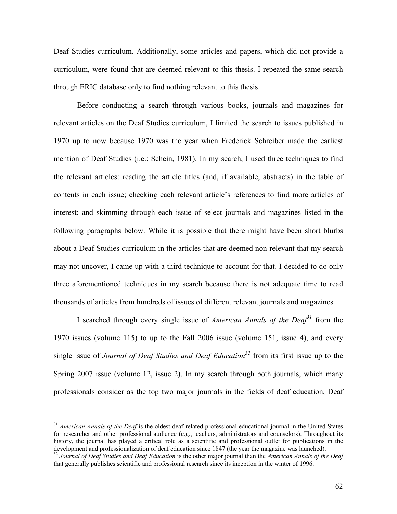Deaf Studies curriculum. Additionally, some articles and papers, which did not provide a curriculum, were found that are deemed relevant to this thesis. I repeated the same search through ERIC database only to find nothing relevant to this thesis.

Before conducting a search through various books, journals and magazines for relevant articles on the Deaf Studies curriculum, I limited the search to issues published in 1970 up to now because 1970 was the year when Frederick Schreiber made the earliest mention of Deaf Studies (i.e.: Schein, 1981). In my search, I used three techniques to find the relevant articles: reading the article titles (and, if available, abstracts) in the table of contents in each issue; checking each relevant article's references to find more articles of interest; and skimming through each issue of select journals and magazines listed in the following paragraphs below. While it is possible that there might have been short blurbs about a Deaf Studies curriculum in the articles that are deemed non-relevant that my search may not uncover, I came up with a third technique to account for that. I decided to do only three aforementioned techniques in my search because there is not adequate time to read thousands of articles from hundreds of issues of different relevant journals and magazines.

I searched through every single issue of *American Annals of the Dea* $f^3$  from the 1970 issues (volume 115) to up to the Fall 2006 issue (volume 151, issue 4), and every single issue of *Journal of Deaf Studies and Deaf Education*<sup>32</sup> from its first issue up to the Spring 2007 issue (volume 12, issue 2). In my search through both journals, which many professionals consider as the top two major journals in the fields of deaf education, Deaf

<span id="page-64-0"></span><sup>&</sup>lt;sup>31</sup> *American Annals of the Deaf* is the oldest deaf-related professional educational journal in the United States for researcher and other professional audience (e.g., teachers, administrators and counselors). Throughout its history, the journal has played a critical role as a scientific and professional outlet for publications in the development and professionalization of deaf education since 1847 (the year the magazine was launched).

<span id="page-64-1"></span> $32$  Journal of Deaf Studies and Deaf Education is the other major journal than the American Annals of the Deaf that generally publishes scientific and professional research since its inception in the winter of 1996.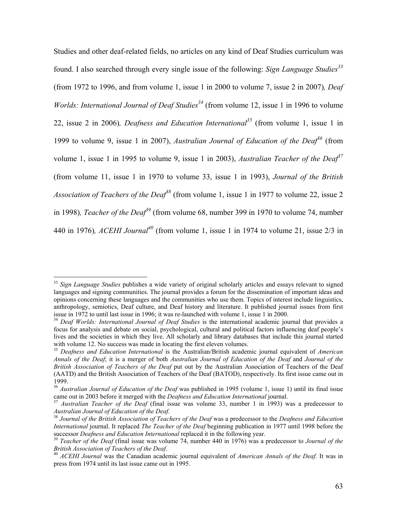Studies and other deaf-related fields, no articles on any kind of Deaf Studies curriculum was found. I also searched through every single issue of the following: *Sign Language Studie[s33](#page-65-0)* (from 1972 to 1996, and from volume 1, issue 1 in 2000 to volume 7, issue 2 in 2007)*, Deaf Worlds: International Journal of Deaf Studies*<sup>34</sup> (from volume 12, issue 1 in 1996 to volume 22, issue 2 in 2006)*, Deafness and Education International[35](#page-65-2)* (from volume 1, issue 1 in 1999 to volume 9, issue 1 in 2007), *Australian Journal of Education of the Deaf*<sup>36</sup> (from volume 1, issue 1 in 1995 to volume 9, issue 1 in 2003), *Australian Teacher of the Dea[f37](#page-65-4)* (from volume 11, issue 1 in 1970 to volume 33, issue 1 in 1993), *Journal of the British Association of Teachers of the Deaf<sup>[38](#page-65-5)</sup>* (from volume 1, issue 1 in 1977 to volume 22, issue 2 in 1998)*, Teacher of the Deaf[39](#page-65-6)* (from volume 68, number 399 in 1970 to volume 74, number 440 in 1976), *ACEHI Journal*<sup>40</sup> (from volume 1, issue 1 in 1974 to volume 21, issue  $2/3$  in

<span id="page-65-0"></span><sup>&</sup>lt;sup>33</sup> Sign Language Studies publishes a wide variety of original scholarly articles and essays relevant to signed languages and signing communities. The journal provides a forum for the dissemination of important ideas and opinions concerning these languages and the communities who use them. Topics of interest include linguistics, anthropology, semiotics, Deaf culture, and Deaf history and literature. It published journal issues from first issue in 1972 to until last issue in 1996; it was re-launched with volume 1, issue 1 in 2000.

<span id="page-65-1"></span><sup>&</sup>lt;sup>34</sup> Deaf Worlds: International Journal of Deaf Studies is the international academic journal that provides a focus for analysis and debate on social, psychological, cultural and political factors influencing deaf people's lives and the societies in which they live. All scholarly and library databases that include this journal started with volume 12. No success was made in locating the first eleven volumes.<br><sup>35</sup> Deafness and Education International is the Australian/British academic journal equivalent of *American* 

<span id="page-65-2"></span>*Annals of the Deaf*; it is a merger of both *Australian Journal of Education of the Deaf* and *Journal of the British Association of Teachers of the Deaf* put out by the Australian Association of Teachers of the Deaf (AATD) and the British Association of Teachers of the Deaf (BATOD), respectively. Its first issue came out in

<span id="page-65-3"></span><sup>1999. 36</sup> *Australian Journal of Education of the Deaf* was published in 1995 (volume 1, issue 1) until its final issue

<span id="page-65-4"></span><sup>&</sup>lt;sup>37</sup> *Australian Teacher of the Deaf* (final issue was volume 33, number 1 in 1993) was a predecessor to *Australian Journal of Education of the Deaf*. 38 *Journal of the British Association of Teachers of the Deaf* was a predecessor to the *Deafness and Education* 

<span id="page-65-5"></span>*International* journal. It replaced *The Teacher of the Deaf* beginning publication in 1977 until 1998 before the successor *Deafness and Education International* replaced it in the following year. 39 *Teacher of the Deaf* (final issue was volume 74, number 440 in 1976) was a predecessor to *Journal of the*

<span id="page-65-6"></span>*British Association of Teachers of the Deaf.*<br><sup>40</sup> *ACEHI Journal* was the Canadian academic journal equivalent of *American Annals of the Deaf*. It was in

<span id="page-65-7"></span>press from 1974 until its last issue came out in 1995.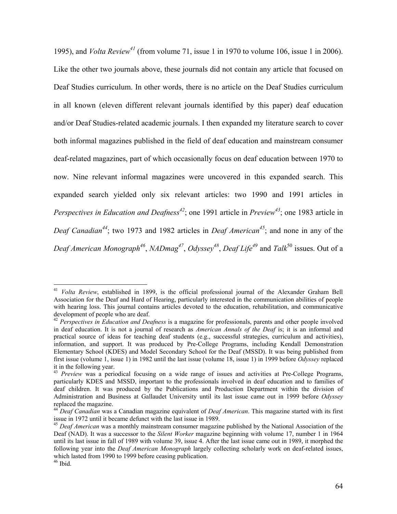1995), and *Volta Review [41](#page-66-0)* (from volume 71, issue 1 in 1970 to volume 106, issue 1 in 2006). Like the other two journals above, these journals did not contain any article that focused on Deaf Studies curriculum. In other words, there is no article on the Deaf Studies curriculum in all known (eleven different relevant journals identified by this paper) deaf education and/or Deaf Studies-related academic journals. I then expanded my literature search to cover both informal magazines published in the field of deaf education and mainstream consumer deaf-related magazines, part of which occasionally focus on deaf education between 1970 to now. Nine relevant informal magazines were uncovered in this expanded search. This expanded search yielded only six relevant articles: two 1990 and 1991 articles in *Perspectives in Education and Deafnes[s42](#page-66-1)*; one 1991 article in *Preview[43](#page-66-2)*; one 1983 article in *Deaf Canadian[44](#page-66-3)*; two 1973 and 1982 articles in *Deaf American[45](#page-66-4)*; and none in any of the *Deaf American Monograp[h46](#page-66-5)*, *NADmag [47](#page-66-6)*, *Odyssey<sup>48</sup>*[,](#page-66-7) *Deaf Life[49](#page-66-8)* and *Talk*[50](#page-66-9) issues. Out of a

<span id="page-66-0"></span><sup>41</sup> *Volta Review*, established in 1899, is the official professional journal of the Alexander Graham Bell Association for the Deaf and Hard of Hearing, particularly interested in the communication abilities of people with hearing loss. This journal contains articles devoted to the education, rehabilitation, and communicative development of people who are deaf.<br><sup>42</sup> *Perspectives in Education and Deafness* is a magazine for professionals, parents and other people involved

<span id="page-66-1"></span>in deaf education. It is not a journal of research as *American Annals of the Deaf* is; it is an informal and practical source of ideas for teaching deaf students (e.g., successful strategies, curriculum and activities), information, and support. It was produced by Pre-College Programs, including Kendall Demonstration Elementary School (KDES) and Model Secondary School for the Deaf (MSSD). It was being published from first issue (volume 1, issue 1) in 1982 until the last issue (volume 18, issue 1) in 1999 before *Odyssey* replaced

<span id="page-66-7"></span><span id="page-66-6"></span><span id="page-66-2"></span>it in the following year. 43 *Preview* was a periodical focusing on a wide range of issues and activities at Pre-College Programs, particularly KDES and MSSD, important to the professionals involved in deaf education and to families of deaf children. It was produced by the Publications and Production Department within the division of Administration and Business at Gallaudet University until its last issue came out in 1999 before *Odyssey*

<span id="page-66-8"></span><span id="page-66-3"></span>replaced the magazine.<br><sup>44</sup> *Deaf Canadian* was a Canadian magazine equivalent of *Deaf American*. This magazine started with its first issue in 1972 until it became defunct with the last issue in 1989.

<span id="page-66-9"></span><span id="page-66-4"></span><sup>&</sup>lt;sup>45</sup> Deaf American was a monthly mainstream consumer magazine published by the National Association of the Deaf (NAD). It was a successor to the *Silent Worker* magazine beginning with volume 17, number 1 in 1964 until its last issue in fall of 1989 with volume 39, issue 4. After the last issue came out in 1989, it morphed the following year into the *Deaf American Monograph* largely collecting scholarly work on deaf-related issues, which lasted from 1990 to 1999 before ceasing publication.<br><sup>46</sup> Ibid.

<span id="page-66-5"></span>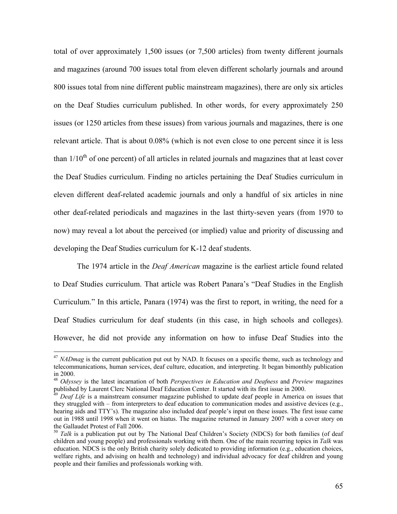total of over approximately 1,500 issues (or 7,500 articles) from twenty different journals and magazines (around 700 issues total from eleven different scholarly journals and around 800 issues total from nine different public mainstream magazines), there are only six articles on the Deaf Studies curriculum published. In other words, for every approximately 250 issues (or 1250 articles from these issues) from various journals and magazines, there is one relevant article. That is about 0.08% (which is not even close to one percent since it is less than  $1/10<sup>th</sup>$  of one percent) of all articles in related journals and magazines that at least cover the Deaf Studies curriculum. Finding no articles pertaining the Deaf Studies curriculum in eleven different deaf-related academic journals and only a handful of six articles in nine other deaf-related periodicals and magazines in the last thirty-seven years (from 1970 to now) may reveal a lot about the perceived (or implied) value and priority of discussing and developing the Deaf Studies curriculum for K-12 deaf students.

The 1974 article in the *Deaf American* magazine is the earliest article found related to Deaf Studies curriculum. That article was Robert Panara's "Deaf Studies in the English Curriculum." In this article, Panara (1974) was the first to report, in writing, the need for a Deaf Studies curriculum for deaf students (in this case, in high schools and colleges). However, he did not provide any information on how to infuse Deaf Studies into the

<sup>&</sup>lt;sup>47</sup> *NADmag* is the current publication put out by NAD. It focuses on a specific theme, such as technology and telecommunications, human services, deaf culture, education, and interpreting. It began bimonthly publication

in 2000. 48 *Odyssey* is the latest incarnation of both *Perspectives in Education and Deafness* and *Preview* magazines

Deaf Life is a mainstream consumer magazine published to update deaf people in America on issues that they struggled with – from interpreters to deaf education to communication modes and assistive devices (e.g., hearing aids and TTY's). The magazine also included deaf people's input on these issues. The first issue came out in 1988 until 1998 when it went on hiatus. The magazine returned in January 2007 with a cover story on the Gallaudet Protest of Fall 2006.<br><sup>50</sup> *Talk* is a publication put out by The National Deaf Children's Society (NDCS) for both families (of deaf

children and young people) and professionals working with them. One of the main recurring topics in *Talk* was education. NDCS is the only British charity solely dedicated to providing information (e.g., education choices, welfare rights, and advising on health and technology) and individual advocacy for deaf children and young people and their families and professionals working with.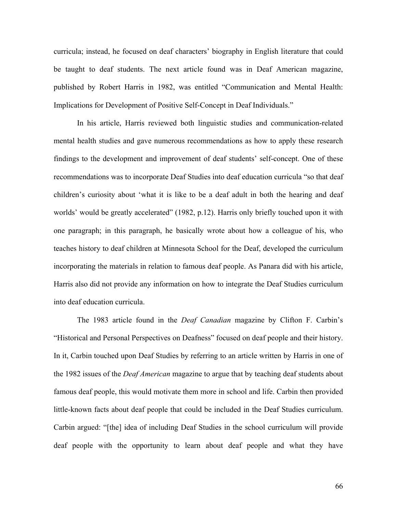curricula; instead, he focused on deaf characters' biography in English literature that could be taught to deaf students. The next article found was in Deaf American magazine, published by Robert Harris in 1982, was entitled "Communication and Mental Health: Implications for Development of Positive Self-Concept in Deaf Individuals."

In his article, Harris reviewed both linguistic studies and communication-related mental health studies and gave numerous recommendations as how to apply these research findings to the development and improvement of deaf students' self-concept. One of these recommendations was to incorporate Deaf Studies into deaf education curricula "so that deaf children's curiosity about 'what it is like to be a deaf adult in both the hearing and deaf worlds' would be greatly accelerated" (1982, p.12). Harris only briefly touched upon it with one paragraph; in this paragraph, he basically wrote about how a colleague of his, who teaches history to deaf children at Minnesota School for the Deaf, developed the curriculum incorporating the materials in relation to famous deaf people. As Panara did with his article, Harris also did not provide any information on how to integrate the Deaf Studies curriculum into deaf education curricula.

The 1983 article found in the *Deaf Canadian* magazine by Clifton F. Carbin's "Historical and Personal Perspectives on Deafness" focused on deaf people and their history. In it, Carbin touched upon Deaf Studies by referring to an article written by Harris in one of the 1982 issues of the *Deaf American* magazine to argue that by teaching deaf students about famous deaf people, this would motivate them more in school and life. Carbin then provided little-known facts about deaf people that could be included in the Deaf Studies curriculum. Carbin argued: "[the] idea of including Deaf Studies in the school curriculum will provide deaf people with the opportunity to learn about deaf people and what they have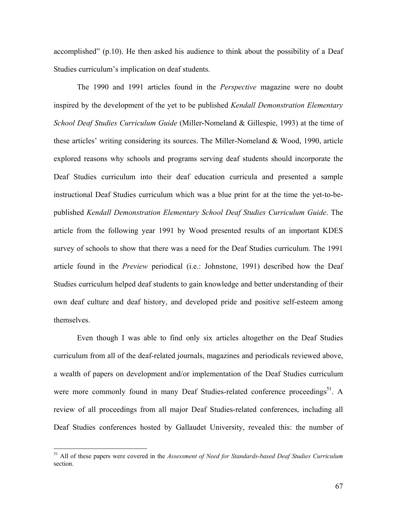accomplished" (p.10). He then asked his audience to think about the possibility of a Deaf Studies curriculum's implication on deaf students.

The 1990 and 1991 articles found in the *Perspective* magazine were no doubt inspired by the development of the yet to be published *Kendall Demonstration Elementary School Deaf Studies Curriculum Guide* (Miller-Nomeland & Gillespie, 1993) at the time of these articles' writing considering its sources. The Miller-Nomeland & Wood, 1990, article explored reasons why schools and programs serving deaf students should incorporate the Deaf Studies curriculum into their deaf education curricula and presented a sample instructional Deaf Studies curriculum which was a blue print for at the time the yet-to-bepublished *Kendall Demonstration Elementary School Deaf Studies Curriculum Guide*. The article from the following year 1991 by Wood presented results of an important KDES survey of schools to show that there was a need for the Deaf Studies curriculum. The 1991 article found in the *Preview* periodical (i.e.: Johnstone, 1991) described how the Deaf Studies curriculum helped deaf students to gain knowledge and better understanding of their own deaf culture and deaf history, and developed pride and positive self-esteem among themselves.

Even though I was able to find only six articles altogether on the Deaf Studies curriculum from all of the deaf-related journals, magazines and periodicals reviewed above, a wealth of papers on development and/or implementation of the Deaf Studies curriculum were more commonly found in many Deaf Studies-related conference proceedings<sup>51</sup>. A review of all proceedings from all major Deaf Studies-related conferences, including all Deaf Studies conferences hosted by Gallaudet University, revealed this: the number of

<span id="page-69-0"></span><sup>51</sup> All of these papers were covered in the *Assessment of Need for Standards-based Deaf Studies Curriculum* section.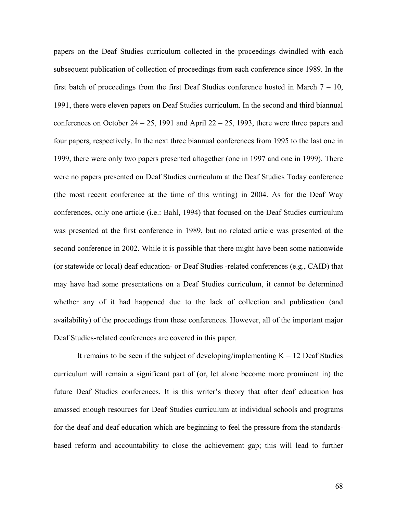papers on the Deaf Studies curriculum collected in the proceedings dwindled with each subsequent publication of collection of proceedings from each conference since 1989. In the first batch of proceedings from the first Deaf Studies conference hosted in March  $7 - 10$ , 1991, there were eleven papers on Deaf Studies curriculum. In the second and third biannual conferences on October  $24 - 25$ , 1991 and April  $22 - 25$ , 1993, there were three papers and four papers, respectively. In the next three biannual conferences from 1995 to the last one in 1999, there were only two papers presented altogether (one in 1997 and one in 1999). There were no papers presented on Deaf Studies curriculum at the Deaf Studies Today conference (the most recent conference at the time of this writing) in 2004. As for the Deaf Way conferences, only one article (i.e.: Bahl, 1994) that focused on the Deaf Studies curriculum was presented at the first conference in 1989, but no related article was presented at the second conference in 2002. While it is possible that there might have been some nationwide (or statewide or local) deaf education- or Deaf Studies -related conferences (e.g., CAID) that may have had some presentations on a Deaf Studies curriculum, it cannot be determined whether any of it had happened due to the lack of collection and publication (and availability) of the proceedings from these conferences. However, all of the important major Deaf Studies-related conferences are covered in this paper.

It remains to be seen if the subject of developing/implementing  $K - 12$  Deaf Studies curriculum will remain a significant part of (or, let alone become more prominent in) the future Deaf Studies conferences. It is this writer's theory that after deaf education has amassed enough resources for Deaf Studies curriculum at individual schools and programs for the deaf and deaf education which are beginning to feel the pressure from the standardsbased reform and accountability to close the achievement gap; this will lead to further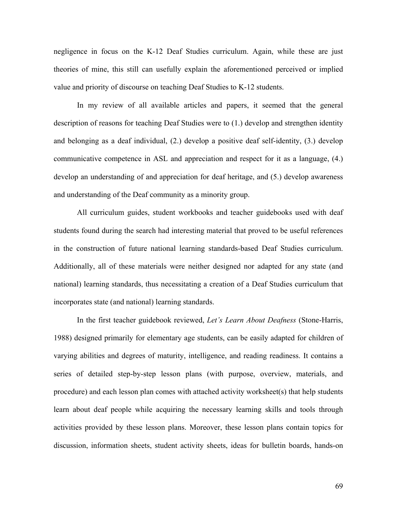negligence in focus on the K-12 Deaf Studies curriculum. Again, while these are just theories of mine, this still can usefully explain the aforementioned perceived or implied value and priority of discourse on teaching Deaf Studies to K-12 students.

In my review of all available articles and papers, it seemed that the general description of reasons for teaching Deaf Studies were to (1.) develop and strengthen identity and belonging as a deaf individual, (2.) develop a positive deaf self-identity, (3.) develop communicative competence in ASL and appreciation and respect for it as a language, (4.) develop an understanding of and appreciation for deaf heritage, and (5.) develop awareness and understanding of the Deaf community as a minority group.

All curriculum guides, student workbooks and teacher guidebooks used with deaf students found during the search had interesting material that proved to be useful references in the construction of future national learning standards-based Deaf Studies curriculum. Additionally, all of these materials were neither designed nor adapted for any state (and national) learning standards, thus necessitating a creation of a Deaf Studies curriculum that incorporates state (and national) learning standards.

In the first teacher guidebook reviewed, *Let's Learn About Deafness* (Stone-Harris, 1988) designed primarily for elementary age students, can be easily adapted for children of varying abilities and degrees of maturity, intelligence, and reading readiness. It contains a series of detailed step-by-step lesson plans (with purpose, overview, materials, and procedure) and each lesson plan comes with attached activity worksheet(s) that help students learn about deaf people while acquiring the necessary learning skills and tools through activities provided by these lesson plans. Moreover, these lesson plans contain topics for discussion, information sheets, student activity sheets, ideas for bulletin boards, hands-on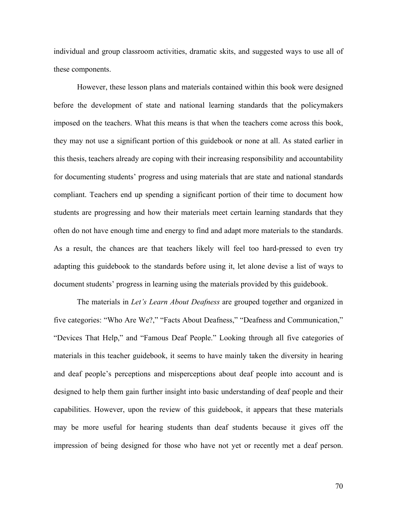individual and group classroom activities, dramatic skits, and suggested ways to use all of these components.

However, these lesson plans and materials contained within this book were designed before the development of state and national learning standards that the policymakers imposed on the teachers. What this means is that when the teachers come across this book, they may not use a significant portion of this guidebook or none at all. As stated earlier in this thesis, teachers already are coping with their increasing responsibility and accountability for documenting students' progress and using materials that are state and national standards compliant. Teachers end up spending a significant portion of their time to document how students are progressing and how their materials meet certain learning standards that they often do not have enough time and energy to find and adapt more materials to the standards. As a result, the chances are that teachers likely will feel too hard-pressed to even try adapting this guidebook to the standards before using it, let alone devise a list of ways to document students' progress in learning using the materials provided by this guidebook.

The materials in *Let's Learn About Deafness* are grouped together and organized in five categories: "Who Are We?," "Facts About Deafness," "Deafness and Communication," "Devices That Help," and "Famous Deaf People." Looking through all five categories of materials in this teacher guidebook, it seems to have mainly taken the diversity in hearing and deaf people's perceptions and misperceptions about deaf people into account and is designed to help them gain further insight into basic understanding of deaf people and their capabilities. However, upon the review of this guidebook, it appears that these materials may be more useful for hearing students than deaf students because it gives off the impression of being designed for those who have not yet or recently met a deaf person.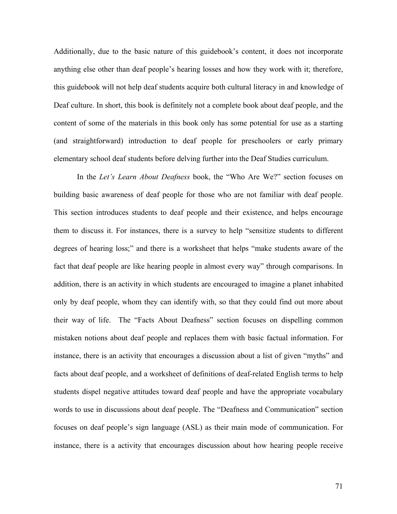Additionally, due to the basic nature of this guidebook's content, it does not incorporate anything else other than deaf people's hearing losses and how they work with it; therefore, this guidebook will not help deaf students acquire both cultural literacy in and knowledge of Deaf culture. In short, this book is definitely not a complete book about deaf people, and the content of some of the materials in this book only has some potential for use as a starting (and straightforward) introduction to deaf people for preschoolers or early primary elementary school deaf students before delving further into the Deaf Studies curriculum.

In the *Let's Learn About Deafness* book, the "Who Are We?" section focuses on building basic awareness of deaf people for those who are not familiar with deaf people. This section introduces students to deaf people and their existence, and helps encourage them to discuss it. For instances, there is a survey to help "sensitize students to different degrees of hearing loss;" and there is a worksheet that helps "make students aware of the fact that deaf people are like hearing people in almost every way" through comparisons. In addition, there is an activity in which students are encouraged to imagine a planet inhabited only by deaf people, whom they can identify with, so that they could find out more about their way of life. The "Facts About Deafness" section focuses on dispelling common mistaken notions about deaf people and replaces them with basic factual information. For instance, there is an activity that encourages a discussion about a list of given "myths" and facts about deaf people, and a worksheet of definitions of deaf-related English terms to help students dispel negative attitudes toward deaf people and have the appropriate vocabulary words to use in discussions about deaf people. The "Deafness and Communication" section focuses on deaf people's sign language (ASL) as their main mode of communication. For instance, there is a activity that encourages discussion about how hearing people receive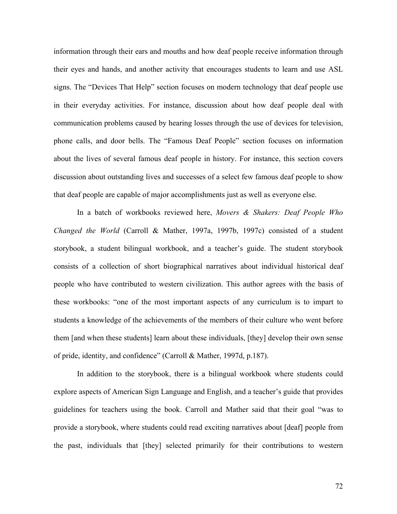information through their ears and mouths and how deaf people receive information through their eyes and hands, and another activity that encourages students to learn and use ASL signs. The "Devices That Help" section focuses on modern technology that deaf people use in their everyday activities. For instance, discussion about how deaf people deal with communication problems caused by hearing losses through the use of devices for television, phone calls, and door bells. The "Famous Deaf People" section focuses on information about the lives of several famous deaf people in history. For instance, this section covers discussion about outstanding lives and successes of a select few famous deaf people to show that deaf people are capable of major accomplishments just as well as everyone else.

In a batch of workbooks reviewed here, *Movers & Shakers: Deaf People Who Changed the World* (Carroll & Mather, 1997a, 1997b, 1997c) consisted of a student storybook, a student bilingual workbook, and a teacher's guide. The student storybook consists of a collection of short biographical narratives about individual historical deaf people who have contributed to western civilization. This author agrees with the basis of these workbooks: "one of the most important aspects of any curriculum is to impart to students a knowledge of the achievements of the members of their culture who went before them [and when these students] learn about these individuals, [they] develop their own sense of pride, identity, and confidence" (Carroll & Mather, 1997d, p.187).

In addition to the storybook, there is a bilingual workbook where students could explore aspects of American Sign Language and English, and a teacher's guide that provides guidelines for teachers using the book. Carroll and Mather said that their goal "was to provide a storybook, where students could read exciting narratives about [deaf] people from the past, individuals that [they] selected primarily for their contributions to western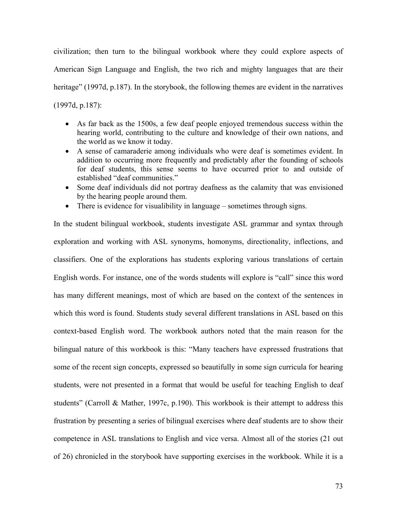civilization; then turn to the bilingual workbook where they could explore aspects of American Sign Language and English, the two rich and mighty languages that are their heritage" (1997d, p.187). In the storybook, the following themes are evident in the narratives (1997d, p.187):

- As far back as the 1500s, a few deaf people enjoyed tremendous success within the hearing world, contributing to the culture and knowledge of their own nations, and the world as we know it today.
- A sense of camaraderie among individuals who were deaf is sometimes evident. In addition to occurring more frequently and predictably after the founding of schools for deaf students, this sense seems to have occurred prior to and outside of established "deaf communities."
- Some deaf individuals did not portray deafness as the calamity that was envisioned by the hearing people around them.
- There is evidence for visualibility in language sometimes through signs.

In the student bilingual workbook, students investigate ASL grammar and syntax through exploration and working with ASL synonyms, homonyms, directionality, inflections, and classifiers. One of the explorations has students exploring various translations of certain English words. For instance, one of the words students will explore is "call" since this word has many different meanings, most of which are based on the context of the sentences in which this word is found. Students study several different translations in ASL based on this context-based English word. The workbook authors noted that the main reason for the bilingual nature of this workbook is this: "Many teachers have expressed frustrations that some of the recent sign concepts, expressed so beautifully in some sign curricula for hearing students, were not presented in a format that would be useful for teaching English to deaf students" (Carroll & Mather, 1997c, p.190). This workbook is their attempt to address this frustration by presenting a series of bilingual exercises where deaf students are to show their competence in ASL translations to English and vice versa. Almost all of the stories (21 out of 26) chronicled in the storybook have supporting exercises in the workbook. While it is a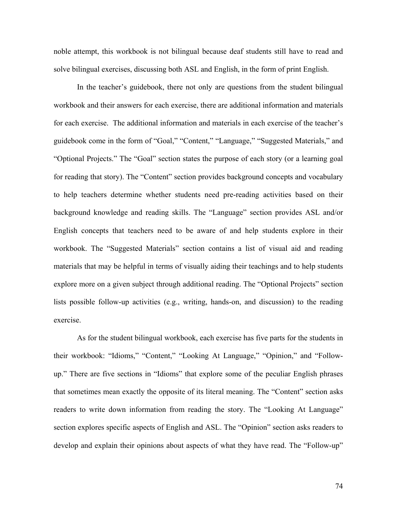noble attempt, this workbook is not bilingual because deaf students still have to read and solve bilingual exercises, discussing both ASL and English, in the form of print English.

In the teacher's guidebook, there not only are questions from the student bilingual workbook and their answers for each exercise, there are additional information and materials for each exercise. The additional information and materials in each exercise of the teacher's guidebook come in the form of "Goal," "Content," "Language," "Suggested Materials," and "Optional Projects." The "Goal" section states the purpose of each story (or a learning goal for reading that story). The "Content" section provides background concepts and vocabulary to help teachers determine whether students need pre-reading activities based on their background knowledge and reading skills. The "Language" section provides ASL and/or English concepts that teachers need to be aware of and help students explore in their workbook. The "Suggested Materials" section contains a list of visual aid and reading materials that may be helpful in terms of visually aiding their teachings and to help students explore more on a given subject through additional reading. The "Optional Projects" section lists possible follow-up activities (e.g., writing, hands-on, and discussion) to the reading exercise.

As for the student bilingual workbook, each exercise has five parts for the students in their workbook: "Idioms," "Content," "Looking At Language," "Opinion," and "Followup." There are five sections in "Idioms" that explore some of the peculiar English phrases that sometimes mean exactly the opposite of its literal meaning. The "Content" section asks readers to write down information from reading the story. The "Looking At Language" section explores specific aspects of English and ASL. The "Opinion" section asks readers to develop and explain their opinions about aspects of what they have read. The "Follow-up"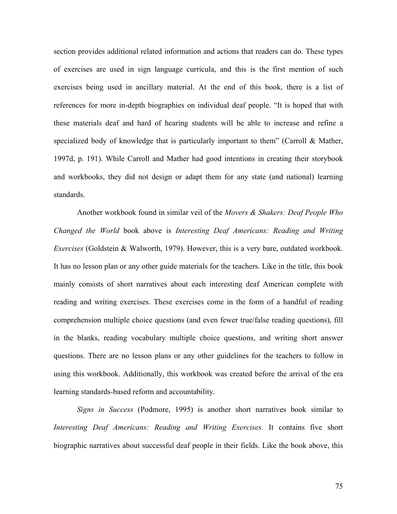section provides additional related information and actions that readers can do. These types of exercises are used in sign language curricula, and this is the first mention of such exercises being used in ancillary material. At the end of this book, there is a list of references for more in-depth biographies on individual deaf people. "It is hoped that with these materials deaf and hard of hearing students will be able to increase and refine a specialized body of knowledge that is particularly important to them" (Carroll & Mather, 1997d, p. 191). While Carroll and Mather had good intentions in creating their storybook and workbooks, they did not design or adapt them for any state (and national) learning standards.

Another workbook found in similar veil of the *Movers & Shakers: Deaf People Who Changed the World* book above is *Interesting Deaf Americans: Reading and Writing Exercises* (Goldstein & Walworth, 1979). However, this is a very bare, outdated workbook. It has no lesson plan or any other guide materials for the teachers. Like in the title, this book mainly consists of short narratives about each interesting deaf American complete with reading and writing exercises. These exercises come in the form of a handful of reading comprehension multiple choice questions (and even fewer true/false reading questions), fill in the blanks, reading vocabulary multiple choice questions, and writing short answer questions. There are no lesson plans or any other guidelines for the teachers to follow in using this workbook. Additionally, this workbook was created before the arrival of the era learning standards-based reform and accountability.

*Signs in Success* (Podmore, 1995) is another short narratives book similar to *Interesting Deaf Americans: Reading and Writing Exercises*. It contains five short biographic narratives about successful deaf people in their fields. Like the book above, this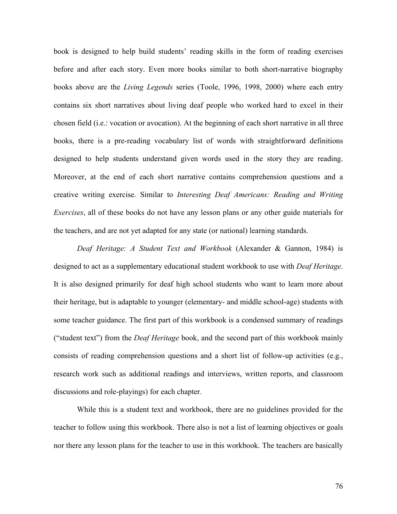book is designed to help build students' reading skills in the form of reading exercises before and after each story. Even more books similar to both short-narrative biography books above are the *Living Legends* series (Toole, 1996, 1998, 2000) where each entry contains six short narratives about living deaf people who worked hard to excel in their chosen field (i.e.: vocation or avocation). At the beginning of each short narrative in all three books, there is a pre-reading vocabulary list of words with straightforward definitions designed to help students understand given words used in the story they are reading. Moreover, at the end of each short narrative contains comprehension questions and a creative writing exercise. Similar to *Interesting Deaf Americans: Reading and Writing Exercises*, all of these books do not have any lesson plans or any other guide materials for the teachers, and are not yet adapted for any state (or national) learning standards.

*Deaf Heritage: A Student Text and Workbook* (Alexander & Gannon, 1984) is designed to act as a supplementary educational student workbook to use with *Deaf Heritage*. It is also designed primarily for deaf high school students who want to learn more about their heritage, but is adaptable to younger (elementary- and middle school-age) students with some teacher guidance. The first part of this workbook is a condensed summary of readings ("student text") from the *Deaf Heritage* book, and the second part of this workbook mainly consists of reading comprehension questions and a short list of follow-up activities (e.g., research work such as additional readings and interviews, written reports, and classroom discussions and role-playings) for each chapter.

While this is a student text and workbook, there are no guidelines provided for the teacher to follow using this workbook. There also is not a list of learning objectives or goals nor there any lesson plans for the teacher to use in this workbook. The teachers are basically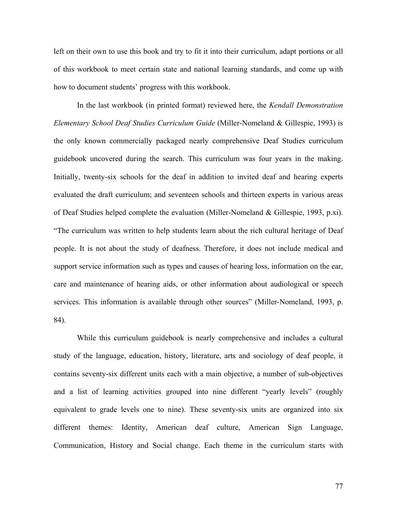left on their own to use this book and try to fit it into their curriculum, adapt portions or all of this workbook to meet certain state and national learning standards, and come up with how to document students' progress with this workbook.

In the last workbook (in printed format) reviewed here, the *Kendall Demonstration Elementary School Deaf Studies Curriculum Guide* (Miller-Nomeland & Gillespie, 1993) is the only known commercially packaged nearly comprehensive Deaf Studies curriculum guidebook uncovered during the search. This curriculum was four years in the making. Initially, twenty-six schools for the deaf in addition to invited deaf and hearing experts evaluated the draft curriculum; and seventeen schools and thirteen experts in various areas of Deaf Studies helped complete the evaluation (Miller-Nomeland & Gillespie, 1993, p.xi). "The curriculum was written to help students learn about the rich cultural heritage of Deaf people. It is not about the study of deafness. Therefore, it does not include medical and support service information such as types and causes of hearing loss, information on the ear, care and maintenance of hearing aids, or other information about audiological or speech services. This information is available through other sources" (Miller-Nomeland, 1993, p. 84).

While this curriculum guidebook is nearly comprehensive and includes a cultural study of the language, education, history, literature, arts and sociology of deaf people, it contains seventy-six different units each with a main objective, a number of sub-objectives and a list of learning activities grouped into nine different "yearly levels" (roughly equivalent to grade levels one to nine). These seventy-six units are organized into six different themes: Identity, American deaf culture, American Sign Language, Communication, History and Social change. Each theme in the curriculum starts with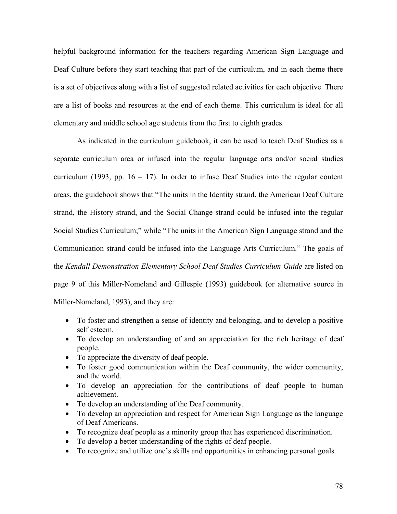helpful background information for the teachers regarding American Sign Language and Deaf Culture before they start teaching that part of the curriculum, and in each theme there is a set of objectives along with a list of suggested related activities for each objective. There are a list of books and resources at the end of each theme. This curriculum is ideal for all elementary and middle school age students from the first to eighth grades.

As indicated in the curriculum guidebook, it can be used to teach Deaf Studies as a separate curriculum area or infused into the regular language arts and/or social studies curriculum (1993, pp.  $16 - 17$ ). In order to infuse Deaf Studies into the regular content areas, the guidebook shows that "The units in the Identity strand, the American Deaf Culture strand, the History strand, and the Social Change strand could be infused into the regular Social Studies Curriculum;" while "The units in the American Sign Language strand and the Communication strand could be infused into the Language Arts Curriculum." The goals of the *Kendall Demonstration Elementary School Deaf Studies Curriculum Guide* are listed on page 9 of this Miller-Nomeland and Gillespie (1993) guidebook (or alternative source in Miller-Nomeland, 1993), and they are:

- To foster and strengthen a sense of identity and belonging, and to develop a positive self esteem.
- To develop an understanding of and an appreciation for the rich heritage of deaf people.
- To appreciate the diversity of deaf people.
- To foster good communication within the Deaf community, the wider community, and the world.
- To develop an appreciation for the contributions of deaf people to human achievement.
- To develop an understanding of the Deaf community.
- To develop an appreciation and respect for American Sign Language as the language of Deaf Americans.
- To recognize deaf people as a minority group that has experienced discrimination.
- To develop a better understanding of the rights of deaf people.
- To recognize and utilize one's skills and opportunities in enhancing personal goals.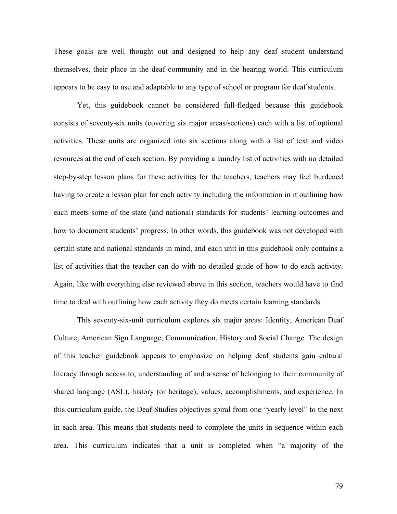These goals are well thought out and designed to help any deaf student understand themselves, their place in the deaf community and in the hearing world. This curriculum appears to be easy to use and adaptable to any type of school or program for deaf students.

Yet, this guidebook cannot be considered full-fledged because this guidebook consists of seventy-six units (covering six major areas/sections) each with a list of optional activities. These units are organized into six sections along with a list of text and video resources at the end of each section. By providing a laundry list of activities with no detailed step-by-step lesson plans for these activities for the teachers, teachers may feel burdened having to create a lesson plan for each activity including the information in it outlining how each meets some of the state (and national) standards for students' learning outcomes and how to document students' progress. In other words, this guidebook was not developed with certain state and national standards in mind, and each unit in this guidebook only contains a list of activities that the teacher can do with no detailed guide of how to do each activity. Again, like with everything else reviewed above in this section, teachers would have to find time to deal with outlining how each activity they do meets certain learning standards.

This seventy-six-unit curriculum explores six major areas: Identity, American Deaf Culture, American Sign Language, Communication, History and Social Change. The design of this teacher guidebook appears to emphasize on helping deaf students gain cultural literacy through access to, understanding of and a sense of belonging to their community of shared language (ASL), history (or heritage), values, accomplishments, and experience. In this curriculum guide, the Deaf Studies objectives spiral from one "yearly level" to the next in each area. This means that students need to complete the units in sequence within each area. This curriculum indicates that a unit is completed when "a majority of the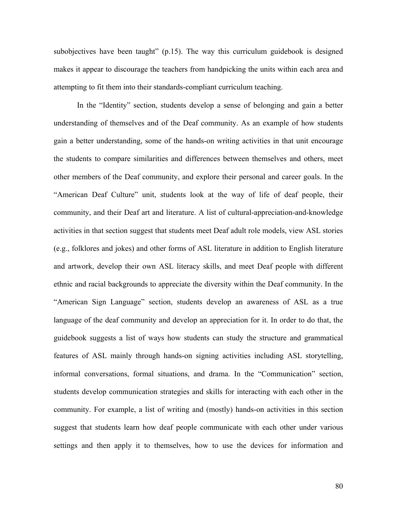subobjectives have been taught" (p.15). The way this curriculum guidebook is designed makes it appear to discourage the teachers from handpicking the units within each area and attempting to fit them into their standards-compliant curriculum teaching.

In the "Identity" section, students develop a sense of belonging and gain a better understanding of themselves and of the Deaf community. As an example of how students gain a better understanding, some of the hands-on writing activities in that unit encourage the students to compare similarities and differences between themselves and others, meet other members of the Deaf community, and explore their personal and career goals. In the "American Deaf Culture" unit, students look at the way of life of deaf people, their community, and their Deaf art and literature. A list of cultural-appreciation-and-knowledge activities in that section suggest that students meet Deaf adult role models, view ASL stories (e.g., folklores and jokes) and other forms of ASL literature in addition to English literature and artwork, develop their own ASL literacy skills, and meet Deaf people with different ethnic and racial backgrounds to appreciate the diversity within the Deaf community. In the "American Sign Language" section, students develop an awareness of ASL as a true language of the deaf community and develop an appreciation for it. In order to do that, the guidebook suggests a list of ways how students can study the structure and grammatical features of ASL mainly through hands-on signing activities including ASL storytelling, informal conversations, formal situations, and drama. In the "Communication" section, students develop communication strategies and skills for interacting with each other in the community. For example, a list of writing and (mostly) hands-on activities in this section suggest that students learn how deaf people communicate with each other under various settings and then apply it to themselves, how to use the devices for information and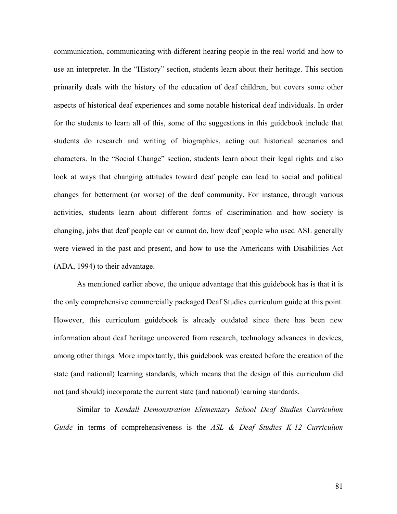communication, communicating with different hearing people in the real world and how to use an interpreter. In the "History" section, students learn about their heritage. This section primarily deals with the history of the education of deaf children, but covers some other aspects of historical deaf experiences and some notable historical deaf individuals. In order for the students to learn all of this, some of the suggestions in this guidebook include that students do research and writing of biographies, acting out historical scenarios and characters. In the "Social Change" section, students learn about their legal rights and also look at ways that changing attitudes toward deaf people can lead to social and political changes for betterment (or worse) of the deaf community. For instance, through various activities, students learn about different forms of discrimination and how society is changing, jobs that deaf people can or cannot do, how deaf people who used ASL generally were viewed in the past and present, and how to use the Americans with Disabilities Act (ADA, 1994) to their advantage.

As mentioned earlier above, the unique advantage that this guidebook has is that it is the only comprehensive commercially packaged Deaf Studies curriculum guide at this point. However, this curriculum guidebook is already outdated since there has been new information about deaf heritage uncovered from research, technology advances in devices, among other things. More importantly, this guidebook was created before the creation of the state (and national) learning standards, which means that the design of this curriculum did not (and should) incorporate the current state (and national) learning standards.

Similar to *Kendall Demonstration Elementary School Deaf Studies Curriculum Guide* in terms of comprehensiveness is the *ASL & Deaf Studies K-12 Curriculum*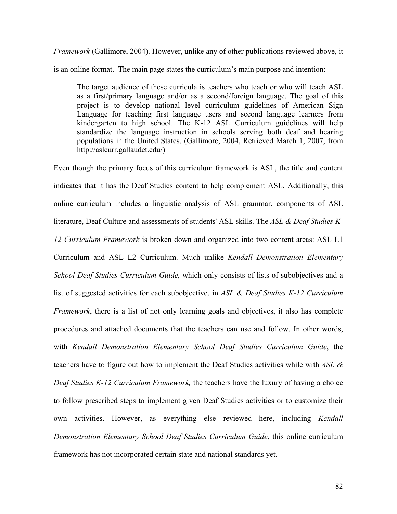*Framework* (Gallimore, 2004). However, unlike any of other publications reviewed above, it is an online format. The main page states the curriculum's main purpose and intention:

The target audience of these curricula is teachers who teach or who will teach ASL as a first/primary language and/or as a second/foreign language. The goal of this project is to develop national level curriculum guidelines of American Sign Language for teaching first language users and second language learners from kindergarten to high school. The K-12 ASL Curriculum guidelines will help standardize the language instruction in schools serving both deaf and hearing populations in the United States. (Gallimore, 2004, Retrieved March 1, 2007, from http://aslcurr.gallaudet.edu/)

Even though the primary focus of this curriculum framework is ASL, the title and content indicates that it has the Deaf Studies content to help complement ASL. Additionally, this online curriculum includes a linguistic analysis of ASL grammar, components of ASL literature, Deaf Culture and assessments of students' ASL skills. The *ASL & Deaf Studies K-12 Curriculum Framework* is broken down and organized into two content areas: ASL L1 Curriculum and ASL L2 Curriculum. Much unlike *Kendall Demonstration Elementary School Deaf Studies Curriculum Guide,* which only consists of lists of subobjectives and a list of suggested activities for each subobjective, in *ASL & Deaf Studies K-12 Curriculum Framework*, there is a list of not only learning goals and objectives, it also has complete procedures and attached documents that the teachers can use and follow. In other words, with *Kendall Demonstration Elementary School Deaf Studies Curriculum Guide*, the teachers have to figure out how to implement the Deaf Studies activities while with *ASL & Deaf Studies K-12 Curriculum Framework,* the teachers have the luxury of having a choice to follow prescribed steps to implement given Deaf Studies activities or to customize their own activities. However, as everything else reviewed here, including *Kendall Demonstration Elementary School Deaf Studies Curriculum Guide*, this online curriculum framework has not incorporated certain state and national standards yet.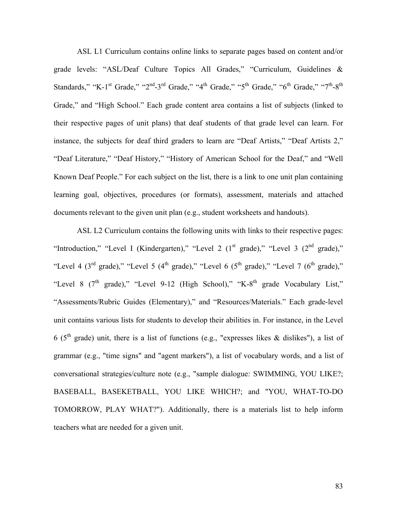ASL L1 Curriculum contains online links to separate pages based on content and/or grade levels: "ASL/Deaf Culture Topics All Grades," "Curriculum, Guidelines & Standards," "K-1st Grade," "2<sup>nd</sup>-3<sup>rd</sup> Grade," "4<sup>th</sup> Grade," "5<sup>th</sup> Grade," "6<sup>th</sup> Grade," "7<sup>th</sup>-8<sup>th</sup> Grade," and "High School." Each grade content area contains a list of subjects (linked to their respective pages of unit plans) that deaf students of that grade level can learn. For instance, the subjects for deaf third graders to learn are "Deaf Artists," "Deaf Artists 2," "Deaf Literature," "Deaf History," "History of American School for the Deaf," and "Well Known Deaf People." For each subject on the list, there is a link to one unit plan containing learning goal, objectives, procedures (or formats), assessment, materials and attached documents relevant to the given unit plan (e.g., student worksheets and handouts).

ASL L2 Curriculum contains the following units with links to their respective pages: "Introduction," "Level I (Kindergarten)," "Level 2 ( $1<sup>st</sup>$  grade)," "Level 3 ( $2<sup>nd</sup>$  grade)," "Level 4 (3<sup>rd</sup> grade)," "Level 5 (4<sup>th</sup> grade)," "Level 6 (5<sup>th</sup> grade)," "Level 7 (6<sup>th</sup> grade)," "Level 8  $(7<sup>th</sup> grade)$ ," "Level 9-12 (High School)," "K-8<sup>th</sup> grade Vocabulary List," "Assessments/Rubric Guides (Elementary)," and "Resources/Materials." Each grade-level unit contains various lists for students to develop their abilities in. For instance, in the Level 6 ( $5<sup>th</sup>$  grade) unit, there is a list of functions (e.g., "expresses likes & dislikes"), a list of grammar (e.g., "time signs" and "agent markers"), a list of vocabulary words, and a list of conversational strategies/culture note (e.g., "sample dialogue: SWIMMING, YOU LIKE?; BASEBALL, BASEKETBALL, YOU LIKE WHICH?; and "YOU, WHAT-TO-DO TOMORROW, PLAY WHAT?"). Additionally, there is a materials list to help inform teachers what are needed for a given unit.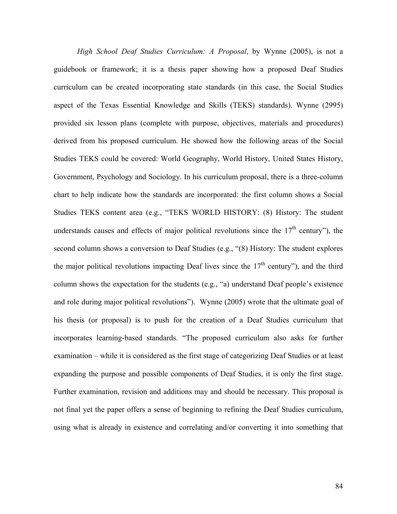*High School Deaf Studies Curriculum: A Proposal*, by Wynne (2005), is not a guidebook or framework; it is a thesis paper showing how a proposed Deaf Studies curriculum can be created incorporating state standards (in this case, the Social Studies aspect of the Texas Essential Knowledge and Skills (TEKS) standards). Wynne (2995) provided six lesson plans (complete with purpose, objectives, materials and procedures) derived from his proposed curriculum. He showed how the following areas of the Social Studies TEKS could be covered: World Geography, World History, United States History, Government, Psychology and Sociology. In his curriculum proposal, there is a three-column chart to help indicate how the standards are incorporated: the first column shows a Social Studies TEKS content area (e.g., "TEKS WORLD HISTORY: (8) History: The student understands causes and effects of major political revolutions since the  $17<sup>th</sup>$  century"), the second column shows a conversion to Deaf Studies (e.g., "(8) History: The student explores the major political revolutions impacting Deaf lives since the  $17<sup>th</sup>$  century"), and the third column shows the expectation for the students (e.g., "a) understand Deaf people's existence and role during major political revolutions"). Wynne (2005) wrote that the ultimate goal of his thesis (or proposal) is to push for the creation of a Deaf Studies curriculum that incorporates learning-based standards. "The proposed curriculum also asks for further examination – while it is considered as the first stage of categorizing Deaf Studies or at least expanding the purpose and possible components of Deaf Studies, it is only the first stage. Further examination, revision and additions may and should be necessary. This proposal is not final yet the paper offers a sense of beginning to refining the Deaf Studies curriculum, using what is already in existence and correlating and/or converting it into something that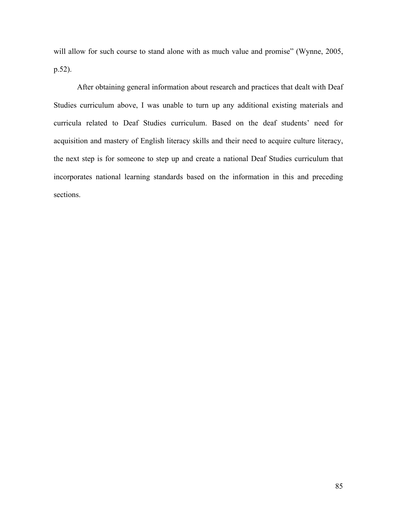will allow for such course to stand alone with as much value and promise" (Wynne, 2005, p.52).

After obtaining general information about research and practices that dealt with Deaf Studies curriculum above, I was unable to turn up any additional existing materials and curricula related to Deaf Studies curriculum. Based on the deaf students' need for acquisition and mastery of English literacy skills and their need to acquire culture literacy, the next step is for someone to step up and create a national Deaf Studies curriculum that incorporates national learning standards based on the information in this and preceding sections.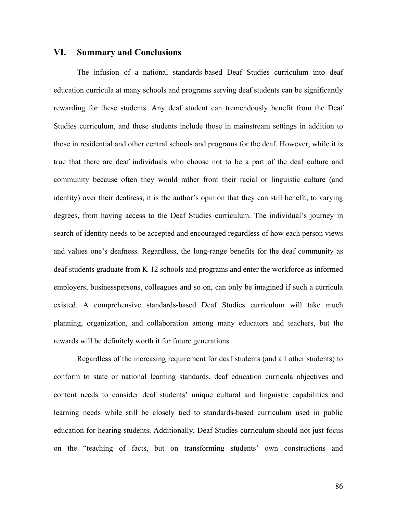## **VI. Summary and Conclusions**

The infusion of a national standards-based Deaf Studies curriculum into deaf education curricula at many schools and programs serving deaf students can be significantly rewarding for these students. Any deaf student can tremendously benefit from the Deaf Studies curriculum, and these students include those in mainstream settings in addition to those in residential and other central schools and programs for the deaf. However, while it is true that there are deaf individuals who choose not to be a part of the deaf culture and community because often they would rather front their racial or linguistic culture (and identity) over their deafness, it is the author's opinion that they can still benefit, to varying degrees, from having access to the Deaf Studies curriculum. The individual's journey in search of identity needs to be accepted and encouraged regardless of how each person views and values one's deafness. Regardless, the long-range benefits for the deaf community as deaf students graduate from K-12 schools and programs and enter the workforce as informed employers, businesspersons, colleagues and so on, can only be imagined if such a curricula existed. A comprehensive standards-based Deaf Studies curriculum will take much planning, organization, and collaboration among many educators and teachers, but the rewards will be definitely worth it for future generations.

Regardless of the increasing requirement for deaf students (and all other students) to conform to state or national learning standards, deaf education curricula objectives and content needs to consider deaf students' unique cultural and linguistic capabilities and learning needs while still be closely tied to standards-based curriculum used in public education for hearing students. Additionally, Deaf Studies curriculum should not just focus on the "teaching of facts, but on transforming students' own constructions and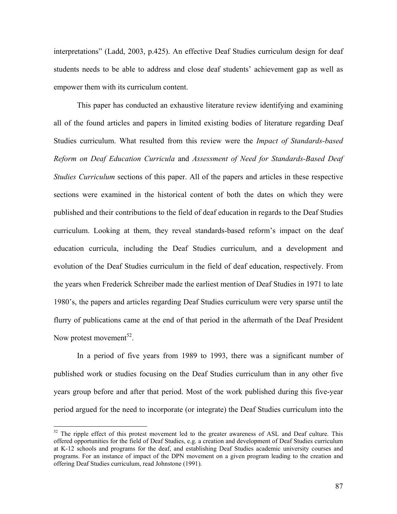interpretations" (Ladd, 2003, p.425). An effective Deaf Studies curriculum design for deaf students needs to be able to address and close deaf students' achievement gap as well as empower them with its curriculum content.

This paper has conducted an exhaustive literature review identifying and examining all of the found articles and papers in limited existing bodies of literature regarding Deaf Studies curriculum. What resulted from this review were the *Impact of Standards-based Reform on Deaf Education Curricula* and *Assessment of Need for Standards-Based Deaf Studies Curriculum* sections of this paper. All of the papers and articles in these respective sections were examined in the historical content of both the dates on which they were published and their contributions to the field of deaf education in regards to the Deaf Studies curriculum. Looking at them, they reveal standards-based reform's impact on the deaf education curricula, including the Deaf Studies curriculum, and a development and evolution of the Deaf Studies curriculum in the field of deaf education, respectively. From the years when Frederick Schreiber made the earliest mention of Deaf Studies in 1971 to late 1980's, the papers and articles regarding Deaf Studies curriculum were very sparse until the flurry of publications came at the end of that period in the aftermath of the Deaf President Now protest movement<sup>52</sup>.

In a period of five years from 1989 to 1993, there was a significant number of published work or studies focusing on the Deaf Studies curriculum than in any other five years group before and after that period. Most of the work published during this five-year period argued for the need to incorporate (or integrate) the Deaf Studies curriculum into the

 $\overline{a}$ 

<span id="page-89-0"></span> $52$  The ripple effect of this protest movement led to the greater awareness of ASL and Deaf culture. This offered opportunities for the field of Deaf Studies, e.g. a creation and development of Deaf Studies curriculum at K-12 schools and programs for the deaf, and establishing Deaf Studies academic university courses and programs. For an instance of impact of the DPN movement on a given program leading to the creation and offering Deaf Studies curriculum, read Johnstone (1991).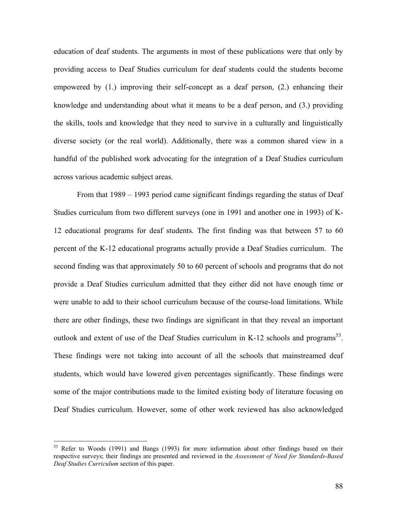education of deaf students. The arguments in most of these publications were that only by providing access to Deaf Studies curriculum for deaf students could the students become empowered by (1.) improving their self-concept as a deaf person, (2.) enhancing their knowledge and understanding about what it means to be a deaf person, and (3.) providing the skills, tools and knowledge that they need to survive in a culturally and linguistically diverse society (or the real world). Additionally, there was a common shared view in a handful of the published work advocating for the integration of a Deaf Studies curriculum across various academic subject areas.

From that 1989 – 1993 period came significant findings regarding the status of Deaf Studies curriculum from two different surveys (one in 1991 and another one in 1993) of K-12 educational programs for deaf students. The first finding was that between 57 to 60 percent of the K-12 educational programs actually provide a Deaf Studies curriculum. The second finding was that approximately 50 to 60 percent of schools and programs that do not provide a Deaf Studies curriculum admitted that they either did not have enough time or were unable to add to their school curriculum because of the course-load limitations. While there are other findings, these two findings are significant in that they reveal an important outlook and extent of use of the Deaf Studies curriculum in K-12 schools and programs<sup>53</sup>. These findings were not taking into account of all the schools that mainstreamed deaf students, which would have lowered given percentages significantly. These findings were some of the major contributions made to the limited existing body of literature focusing on Deaf Studies curriculum. However, some of other work reviewed has also acknowledged

 $\overline{a}$ 

<span id="page-90-0"></span><sup>&</sup>lt;sup>53</sup> Refer to Woods (1991) and Bangs (1993) for more information about other findings based on their respective surveys; their findings are presented and reviewed in the *Assessment of Need for Standards-Based Deaf Studies Curriculum* section of this paper.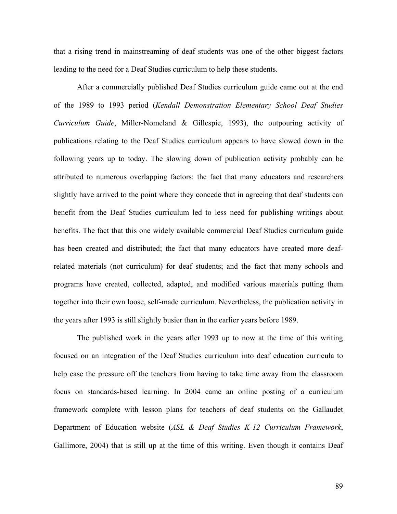that a rising trend in mainstreaming of deaf students was one of the other biggest factors leading to the need for a Deaf Studies curriculum to help these students.

After a commercially published Deaf Studies curriculum guide came out at the end of the 1989 to 1993 period (*Kendall Demonstration Elementary School Deaf Studies Curriculum Guide*, Miller-Nomeland & Gillespie, 1993), the outpouring activity of publications relating to the Deaf Studies curriculum appears to have slowed down in the following years up to today. The slowing down of publication activity probably can be attributed to numerous overlapping factors: the fact that many educators and researchers slightly have arrived to the point where they concede that in agreeing that deaf students can benefit from the Deaf Studies curriculum led to less need for publishing writings about benefits. The fact that this one widely available commercial Deaf Studies curriculum guide has been created and distributed; the fact that many educators have created more deafrelated materials (not curriculum) for deaf students; and the fact that many schools and programs have created, collected, adapted, and modified various materials putting them together into their own loose, self-made curriculum. Nevertheless, the publication activity in the years after 1993 is still slightly busier than in the earlier years before 1989.

The published work in the years after 1993 up to now at the time of this writing focused on an integration of the Deaf Studies curriculum into deaf education curricula to help ease the pressure off the teachers from having to take time away from the classroom focus on standards-based learning. In 2004 came an online posting of a curriculum framework complete with lesson plans for teachers of deaf students on the Gallaudet Department of Education website (*ASL & Deaf Studies K-12 Curriculum Framework*, Gallimore, 2004) that is still up at the time of this writing. Even though it contains Deaf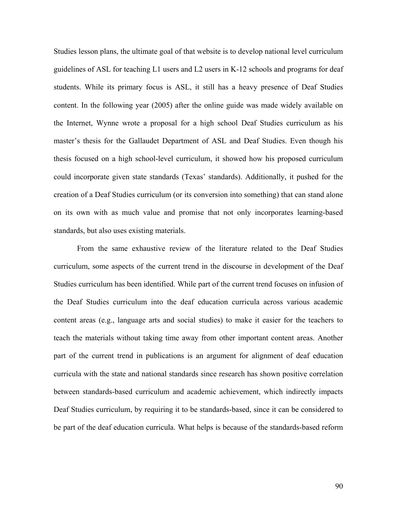Studies lesson plans, the ultimate goal of that website is to develop national level curriculum guidelines of ASL for teaching L1 users and L2 users in K-12 schools and programs for deaf students. While its primary focus is ASL, it still has a heavy presence of Deaf Studies content. In the following year (2005) after the online guide was made widely available on the Internet, Wynne wrote a proposal for a high school Deaf Studies curriculum as his master's thesis for the Gallaudet Department of ASL and Deaf Studies. Even though his thesis focused on a high school-level curriculum, it showed how his proposed curriculum could incorporate given state standards (Texas' standards). Additionally, it pushed for the creation of a Deaf Studies curriculum (or its conversion into something) that can stand alone on its own with as much value and promise that not only incorporates learning-based standards, but also uses existing materials.

From the same exhaustive review of the literature related to the Deaf Studies curriculum, some aspects of the current trend in the discourse in development of the Deaf Studies curriculum has been identified. While part of the current trend focuses on infusion of the Deaf Studies curriculum into the deaf education curricula across various academic content areas (e.g., language arts and social studies) to make it easier for the teachers to teach the materials without taking time away from other important content areas. Another part of the current trend in publications is an argument for alignment of deaf education curricula with the state and national standards since research has shown positive correlation between standards-based curriculum and academic achievement, which indirectly impacts Deaf Studies curriculum, by requiring it to be standards-based, since it can be considered to be part of the deaf education curricula. What helps is because of the standards-based reform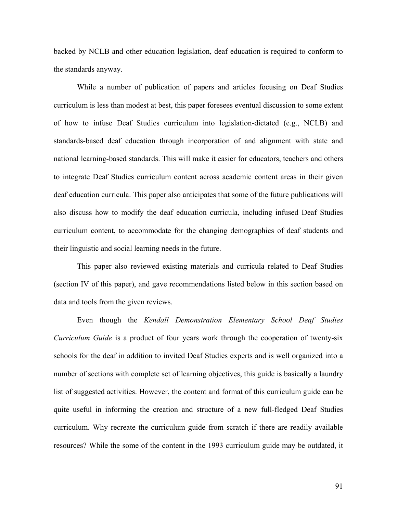backed by NCLB and other education legislation, deaf education is required to conform to the standards anyway.

While a number of publication of papers and articles focusing on Deaf Studies curriculum is less than modest at best, this paper foresees eventual discussion to some extent of how to infuse Deaf Studies curriculum into legislation-dictated (e.g., NCLB) and standards-based deaf education through incorporation of and alignment with state and national learning-based standards. This will make it easier for educators, teachers and others to integrate Deaf Studies curriculum content across academic content areas in their given deaf education curricula. This paper also anticipates that some of the future publications will also discuss how to modify the deaf education curricula, including infused Deaf Studies curriculum content, to accommodate for the changing demographics of deaf students and their linguistic and social learning needs in the future.

This paper also reviewed existing materials and curricula related to Deaf Studies (section IV of this paper), and gave recommendations listed below in this section based on data and tools from the given reviews.

Even though the *Kendall Demonstration Elementary School Deaf Studies Curriculum Guide* is a product of four years work through the cooperation of twenty-six schools for the deaf in addition to invited Deaf Studies experts and is well organized into a number of sections with complete set of learning objectives, this guide is basically a laundry list of suggested activities. However, the content and format of this curriculum guide can be quite useful in informing the creation and structure of a new full-fledged Deaf Studies curriculum. Why recreate the curriculum guide from scratch if there are readily available resources? While the some of the content in the 1993 curriculum guide may be outdated, it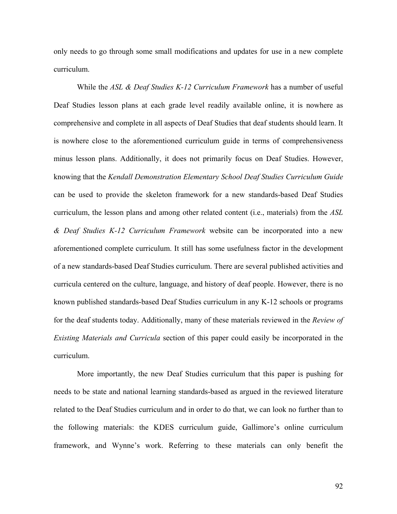only needs to go through some small modifications and updates for use in a new complete curriculum.

While the *ASL & Deaf Studies K-12 Curriculum Framework* has a number of useful Deaf Studies lesson plans at each grade level readily available online, it is nowhere as comprehensive and complete in all aspects of Deaf Studies that deaf students should learn. It is nowhere close to the aforementioned curriculum guide in terms of comprehensiveness minus lesson plans. Additionally, it does not primarily focus on Deaf Studies. However, knowing that the *Kendall Demonstration Elementary School Deaf Studies Curriculum Guide* can be used to provide the skeleton framework for a new standards-based Deaf Studies curriculum, the lesson plans and among other related content (i.e., materials) from the *ASL & Deaf Studies K-12 Curriculum Framework* website can be incorporated into a new aforementioned complete curriculum. It still has some usefulness factor in the development of a new standards-based Deaf Studies curriculum. There are several published activities and curricula centered on the culture, language, and history of deaf people. However, there is no known published standards-based Deaf Studies curriculum in any K-12 schools or programs for the deaf students today. Additionally, many of these materials reviewed in the *Review of Existing Materials and Curricula* section of this paper could easily be incorporated in the curriculum.

More importantly, the new Deaf Studies curriculum that this paper is pushing for needs to be state and national learning standards-based as argued in the reviewed literature related to the Deaf Studies curriculum and in order to do that, we can look no further than to the following materials: the KDES curriculum guide, Gallimore's online curriculum framework, and Wynne's work. Referring to these materials can only benefit the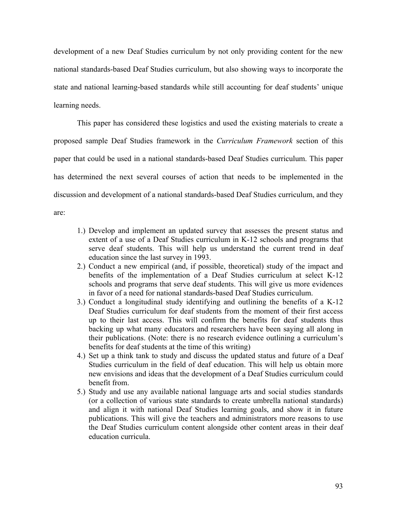development of a new Deaf Studies curriculum by not only providing content for the new national standards-based Deaf Studies curriculum, but also showing ways to incorporate the state and national learning-based standards while still accounting for deaf students' unique learning needs.

This paper has considered these logistics and used the existing materials to create a proposed sample Deaf Studies framework in the *Curriculum Framework* section of this paper that could be used in a national standards-based Deaf Studies curriculum. This paper has determined the next several courses of action that needs to be implemented in the discussion and development of a national standards-based Deaf Studies curriculum, and they are:

- 1.) Develop and implement an updated survey that assesses the present status and extent of a use of a Deaf Studies curriculum in K-12 schools and programs that serve deaf students. This will help us understand the current trend in deaf education since the last survey in 1993.
- 2.) Conduct a new empirical (and, if possible, theoretical) study of the impact and benefits of the implementation of a Deaf Studies curriculum at select K-12 schools and programs that serve deaf students. This will give us more evidences in favor of a need for national standards-based Deaf Studies curriculum.
- 3.) Conduct a longitudinal study identifying and outlining the benefits of a K-12 Deaf Studies curriculum for deaf students from the moment of their first access up to their last access. This will confirm the benefits for deaf students thus backing up what many educators and researchers have been saying all along in their publications. (Note: there is no research evidence outlining a curriculum's benefits for deaf students at the time of this writing)
- 4.) Set up a think tank to study and discuss the updated status and future of a Deaf Studies curriculum in the field of deaf education. This will help us obtain more new envisions and ideas that the development of a Deaf Studies curriculum could benefit from.
- 5.) Study and use any available national language arts and social studies standards (or a collection of various state standards to create umbrella national standards) and align it with national Deaf Studies learning goals, and show it in future publications. This will give the teachers and administrators more reasons to use the Deaf Studies curriculum content alongside other content areas in their deaf education curricula.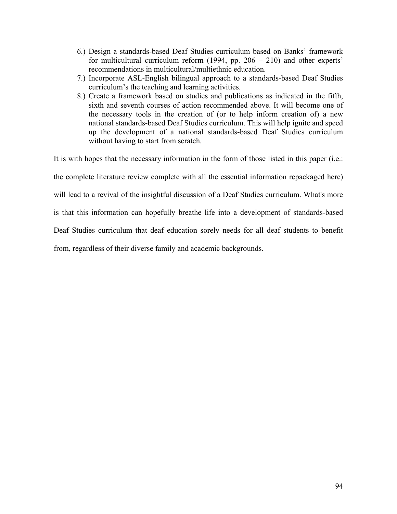- 6.) Design a standards-based Deaf Studies curriculum based on Banks' framework for multicultural curriculum reform (1994, pp. 206 – 210) and other experts' recommendations in multicultural/multiethnic education.
- 7.) Incorporate ASL-English bilingual approach to a standards-based Deaf Studies curriculum's the teaching and learning activities.
- 8.) Create a framework based on studies and publications as indicated in the fifth, sixth and seventh courses of action recommended above. It will become one of the necessary tools in the creation of (or to help inform creation of) a new national standards-based Deaf Studies curriculum. This will help ignite and speed up the development of a national standards-based Deaf Studies curriculum without having to start from scratch.

It is with hopes that the necessary information in the form of those listed in this paper (i.e.: the complete literature review complete with all the essential information repackaged here) will lead to a revival of the insightful discussion of a Deaf Studies curriculum. What's more is that this information can hopefully breathe life into a development of standards-based Deaf Studies curriculum that deaf education sorely needs for all deaf students to benefit from, regardless of their diverse family and academic backgrounds.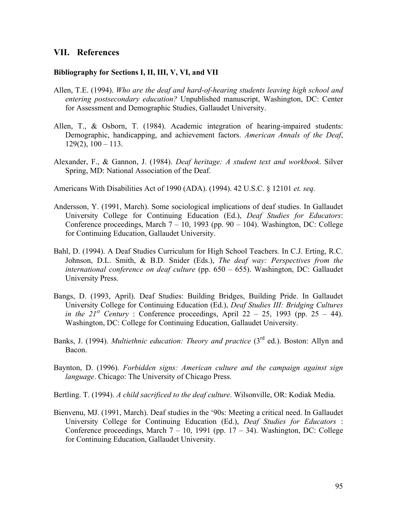# **VII. References**

#### **Bibliography for Sections I, II, III, V, VI, and VII**

- Allen, T.E. (1994). *Who are the deaf and hard-of-hearing students leaving high school and entering postsecondary education?* Unpublished manuscript, Washington, DC: Center for Assessment and Demographic Studies, Gallaudet University.
- Allen, T., & Osborn, T. (1984). Academic integration of hearing-impaired students: Demographic, handicapping, and achievement factors. *American Annals of the Deaf*,  $129(2)$ ,  $100 - 113$ .
- Alexander, F., & Gannon, J. (1984). *Deaf heritage: A student text and workbook*. Silver Spring, MD: National Association of the Deaf.

Americans With Disabilities Act of 1990 (ADA). (1994). 42 U.S.C. § 12101 *et. seq.*

- Andersson, Y. (1991, March). Some sociological implications of deaf studies. In Gallaudet University College for Continuing Education (Ed.), *Deaf Studies for Educators*: Conference proceedings, March  $7 - 10$ , 1993 (pp. 90 – 104). Washington, DC: College for Continuing Education, Gallaudet University.
- Bahl, D. (1994). A Deaf Studies Curriculum for High School Teachers. In C.J. Erting, R.C. Johnson, D.L. Smith, & B.D. Snider (Eds.), *The deaf way: Perspectives from the international conference on deaf culture* (pp. 650 – 655). Washington, DC: Gallaudet University Press.
- Bangs, D. (1993, April). Deaf Studies: Building Bridges, Building Pride. In Gallaudet University College for Continuing Education (Ed.), *Deaf Studies III: Bridging Cultures in the*  $21^{st}$  *Century* : Conference proceedings, April 22 – 25, 1993 (pp. 25 – 44). Washington, DC: College for Continuing Education, Gallaudet University.
- Banks, J. (1994). *Multiethnic education: Theory and practice* (3<sup>rd</sup> ed.). Boston: Allyn and Bacon.
- Baynton, D. (1996). *Forbidden signs: American culture and the campaign against sign language*. Chicago: The University of Chicago Press.
- Bertling. T. (1994). *A child sacrificed to the deaf culture*. Wilsonville, OR: Kodiak Media.
- Bienvenu, MJ. (1991, March). Deaf studies in the '90s: Meeting a critical need. In Gallaudet University College for Continuing Education (Ed.), *Deaf Studies for Educators* : Conference proceedings, March  $7 - 10$ , 1991 (pp.  $17 - 34$ ). Washington, DC: College for Continuing Education, Gallaudet University.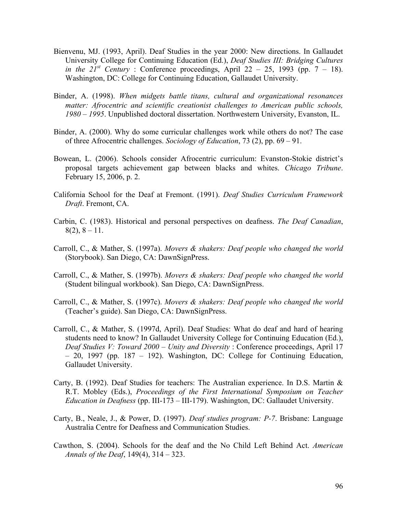- Bienvenu, MJ. (1993, April). Deaf Studies in the year 2000: New directions. In Gallaudet University College for Continuing Education (Ed.), *Deaf Studies III: Bridging Cultures in the*  $21^{st}$  *Century* : Conference proceedings, April 22 – 25, 1993 (pp. 7 – 18). Washington, DC: College for Continuing Education, Gallaudet University.
- Binder, A. (1998). *When midgets battle titans, cultural and organizational resonances matter: Afrocentric and scientific creationist challenges to American public schools, 1980 – 1995*. Unpublished doctoral dissertation. Northwestern University, Evanston, IL.
- Binder, A. (2000). Why do some curricular challenges work while others do not? The case of three Afrocentric challenges. *Sociology of Education*, 73 (2), pp. 69 – 91.
- Bowean, L. (2006). Schools consider Afrocentric curriculum: Evanston-Stokie district's proposal targets achievement gap between blacks and whites. *Chicago Tribune*. February 15, 2006, p. 2.
- California School for the Deaf at Fremont. (1991). *Deaf Studies Curriculum Framework Draft*. Fremont, CA.
- Carbin, C. (1983). Historical and personal perspectives on deafness. *The Deaf Canadian*,  $8(2), 8 - 11.$
- Carroll, C., & Mather, S. (1997a). *Movers & shakers: Deaf people who changed the world*  (Storybook). San Diego, CA: DawnSignPress.
- Carroll, C., & Mather, S. (1997b). *Movers & shakers: Deaf people who changed the world* (Student bilingual workbook). San Diego, CA: DawnSignPress.
- Carroll, C., & Mather, S. (1997c). *Movers & shakers: Deaf people who changed the world* (Teacher's guide). San Diego, CA: DawnSignPress.
- Carroll, C., & Mather, S. (1997d, April). Deaf Studies: What do deaf and hard of hearing students need to know? In Gallaudet University College for Continuing Education (Ed.), *Deaf Studies V: Toward 2000 – Unity and Diversity* : Conference proceedings, April 17 – 20, 1997 (pp. 187 – 192). Washington, DC: College for Continuing Education, Gallaudet University.
- Carty, B. (1992). Deaf Studies for teachers: The Australian experience. In D.S. Martin & R.T. Mobley (Eds.), *Proceedings of the First International Symposium on Teacher Education in Deafness* (pp. III-173 – III-179). Washington, DC: Gallaudet University.
- Carty, B., Neale, J., & Power, D. (1997). *Deaf studies program: P-7*. Brisbane: Language Australia Centre for Deafness and Communication Studies.
- Cawthon, S. (2004). Schools for the deaf and the No Child Left Behind Act. *American Annals of the Deaf*, 149(4), 314 – 323.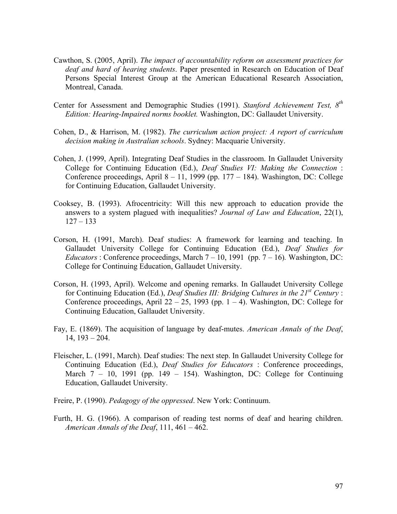- Cawthon, S. (2005, April). *The impact of accountability reform on assessment practices for deaf and hard of hearing students*. Paper presented in Research on Education of Deaf Persons Special Interest Group at the American Educational Research Association, Montreal, Canada.
- Center for Assessment and Demographic Studies (1991). *Stanford Achievement Test, 8th Edition: Hearing-Impaired norms booklet.* Washington, DC: Gallaudet University.
- Cohen, D., & Harrison, M. (1982). *The curriculum action project: A report of curriculum decision making in Australian schools*. Sydney: Macquarie University.
- Cohen, J. (1999, April). Integrating Deaf Studies in the classroom. In Gallaudet University College for Continuing Education (Ed.), *Deaf Studies VI: Making the Connection* : Conference proceedings, April  $8 - 11$ , 1999 (pp. 177 – 184). Washington, DC: College for Continuing Education, Gallaudet University.
- Cooksey, B. (1993). Afrocentricity: Will this new approach to education provide the answers to a system plagued with inequalities? *Journal of Law and Education*, 22(1),  $127 - 133$
- Corson, H. (1991, March). Deaf studies: A framework for learning and teaching. In Gallaudet University College for Continuing Education (Ed.), *Deaf Studies for Educators* : Conference proceedings, March  $7 - 10$ , 1991 (pp.  $7 - 16$ ). Washington, DC: College for Continuing Education, Gallaudet University.
- Corson, H. (1993, April). Welcome and opening remarks. In Gallaudet University College for Continuing Education (Ed.), *Deaf Studies III: Bridging Cultures in the 21st Century* : Conference proceedings, April 22 – 25, 1993 (pp.  $1 - 4$ ). Washington, DC: College for Continuing Education, Gallaudet University.
- Fay, E. (1869). The acquisition of language by deaf-mutes. *American Annals of the Deaf*, 14, 193 – 204.
- Fleischer, L. (1991, March). Deaf studies: The next step. In Gallaudet University College for Continuing Education (Ed.), *Deaf Studies for Educators* : Conference proceedings, March  $7 - 10$ , 1991 (pp. 149 – 154). Washington, DC: College for Continuing Education, Gallaudet University.
- Freire, P. (1990). *Pedagogy of the oppressed*. New York: Continuum.
- Furth, H. G. (1966). A comparison of reading test norms of deaf and hearing children. *American Annals of the Deaf*, 111, 461 – 462.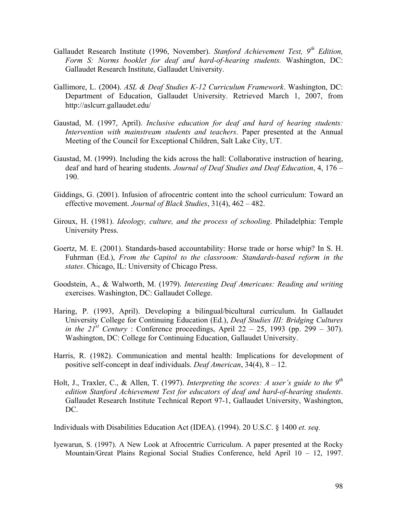- Gallaudet Research Institute (1996, November). *Stanford Achievement Test, 9th Edition, Form S: Norms booklet for deaf and hard-of-hearing students.* Washington, DC: Gallaudet Research Institute, Gallaudet University.
- Gallimore, L. (2004). *ASL & Deaf Studies K-12 Curriculum Framework*. Washington, DC: Department of Education, Gallaudet University. Retrieved March 1, 2007, from http://aslcurr.gallaudet.edu/
- Gaustad, M. (1997, April). *Inclusive education for deaf and hard of hearing students: Intervention with mainstream students and teachers*. Paper presented at the Annual Meeting of the Council for Exceptional Children, Salt Lake City, UT.
- Gaustad, M. (1999). Including the kids across the hall: Collaborative instruction of hearing, deaf and hard of hearing students. *Journal of Deaf Studies and Deaf Education*, 4, 176 – 190.
- Giddings, G. (2001). Infusion of afrocentric content into the school curriculum: Toward an effective movement. *Journal of Black Studies*, 31(4), 462 – 482.
- Giroux, H. (1981). *Ideology, culture, and the process of schooling*. Philadelphia: Temple University Press.
- Goertz, M. E. (2001). Standards-based accountability: Horse trade or horse whip? In S. H. Fuhrman (Ed.), *From the Capitol to the classroom: Standards-based reform in the states*. Chicago, IL: University of Chicago Press.
- Goodstein, A., & Walworth, M. (1979). *Interesting Deaf Americans: Reading and writing*  exercises. Washington, DC: Gallaudet College.
- Haring, P. (1993, April). Developing a bilingual/bicultural curriculum. In Gallaudet University College for Continuing Education (Ed.), *Deaf Studies III: Bridging Cultures in the*  $21^{st}$  *Century* : Conference proceedings, April 22 – 25, 1993 (pp. 299 – 307). Washington, DC: College for Continuing Education, Gallaudet University.
- Harris, R. (1982). Communication and mental health: Implications for development of positive self-concept in deaf individuals. *Deaf American*, 34(4), 8 – 12.
- Holt, J., Traxler, C., & Allen, T. (1997). *Interpreting the scores: A user's guide to the 9th edition Stanford Achievement Test for educators of deaf and hard-of-hearing students*. Gallaudet Research Institute Technical Report 97-1, Gallaudet University, Washington, DC.

Individuals with Disabilities Education Act (IDEA). (1994). 20 U.S.C. § 1400 *et. seq.*

Iyewarun, S. (1997). A New Look at Afrocentric Curriculum. A paper presented at the Rocky Mountain/Great Plains Regional Social Studies Conference, held April 10 – 12, 1997.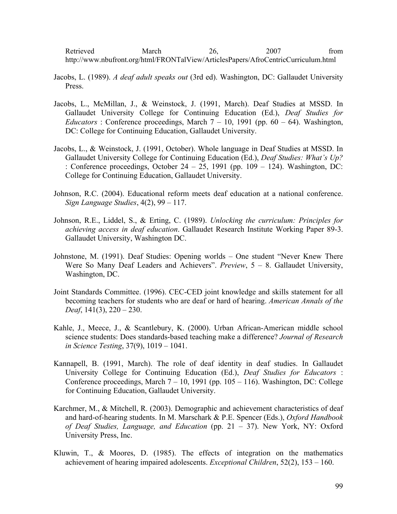Retrieved March 26, 2007 from http://www.nbufront.org/html/FRONTalView/ArticlesPapers/AfroCentricCurriculum.html

- Jacobs, L. (1989). *A deaf adult speaks out* (3rd ed). Washington, DC: Gallaudet University Press.
- Jacobs, L., McMillan, J., & Weinstock, J. (1991, March). Deaf Studies at MSSD. In Gallaudet University College for Continuing Education (Ed.), *Deaf Studies for Educators* : Conference proceedings, March  $7 - 10$ , 1991 (pp. 60 – 64). Washington, DC: College for Continuing Education, Gallaudet University.
- Jacobs, L., & Weinstock, J. (1991, October). Whole language in Deaf Studies at MSSD. In Gallaudet University College for Continuing Education (Ed.), *Deaf Studies: What's Up?*  : Conference proceedings, October 24 – 25, 1991 (pp. 109 – 124). Washington, DC: College for Continuing Education, Gallaudet University.
- Johnson, R.C. (2004). Educational reform meets deaf education at a national conference. *Sign Language Studies*, 4(2), 99 – 117.
- Johnson, R.E., Liddel, S., & Erting, C. (1989). *Unlocking the curriculum: Principles for achieving access in deaf education*. Gallaudet Research Institute Working Paper 89-3. Gallaudet University, Washington DC.
- Johnstone, M. (1991). Deaf Studies: Opening worlds One student "Never Knew There Were So Many Deaf Leaders and Achievers". *Preview*, 5 – 8. Gallaudet University, Washington, DC.
- Joint Standards Committee. (1996). CEC-CED joint knowledge and skills statement for all becoming teachers for students who are deaf or hard of hearing. *American Annals of the Deaf*, 141(3), 220 – 230.
- Kahle, J., Meece, J., & Scantlebury, K. (2000). Urban African-American middle school science students: Does standards-based teaching make a difference? *Journal of Research in Science Testing*, 37(9), 1019 – 1041.
- Kannapell, B. (1991, March). The role of deaf identity in deaf studies. In Gallaudet University College for Continuing Education (Ed.), *Deaf Studies for Educators* : Conference proceedings, March 7 – 10, 1991 (pp. 105 – 116). Washington, DC: College for Continuing Education, Gallaudet University.
- Karchmer, M., & Mitchell, R. (2003). Demographic and achievement characteristics of deaf and hard-of-hearing students. In M. Marschark & P.E. Spencer (Eds.), *Oxford Handbook of Deaf Studies, Language, and Education* (pp. 21 – 37). New York, NY: Oxford University Press, Inc.
- Kluwin, T., & Moores, D. (1985). The effects of integration on the mathematics achievement of hearing impaired adolescents. *Exceptional Children*, 52(2), 153 – 160.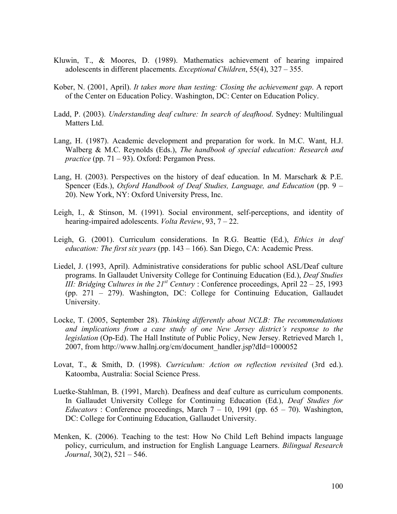- Kluwin, T., & Moores, D. (1989). Mathematics achievement of hearing impaired adolescents in different placements. *Exceptional Children*, 55(4), 327 – 355.
- Kober, N. (2001, April). *It takes more than testing: Closing the achievement gap*. A report of the Center on Education Policy. Washington, DC: Center on Education Policy.
- Ladd, P. (2003). *Understanding deaf culture: In search of deafhood*. Sydney: Multilingual Matters Ltd.
- Lang, H. (1987). Academic development and preparation for work. In M.C. Want, H.J. Walberg & M.C. Reynolds (Eds.), *The handbook of special education: Research and practice* (pp. 71 – 93). Oxford: Pergamon Press.
- Lang, H. (2003). Perspectives on the history of deaf education. In M. Marschark & P.E. Spencer (Eds.), *Oxford Handbook of Deaf Studies, Language, and Education* (pp. 9 – 20). New York, NY: Oxford University Press, Inc.
- Leigh, I., & Stinson, M. (1991). Social environment, self-perceptions, and identity of hearing-impaired adolescents. *Volta Review*, 93, 7 – 22.
- Leigh, G. (2001). Curriculum considerations. In R.G. Beattie (Ed.), *Ethics in deaf education: The first six years* (pp. 143 – 166). San Diego, CA: Academic Press.
- Liedel, J. (1993, April). Administrative considerations for public school ASL/Deaf culture programs. In Gallaudet University College for Continuing Education (Ed.), *Deaf Studies III: Bridging Cultures in the*  $21^{st}$  *Century : Conference proceedings, April 22 – 25, 1993* (pp. 271 – 279). Washington, DC: College for Continuing Education, Gallaudet University.
- Locke, T. (2005, September 28). *Thinking differently about NCLB: The recommendations and implications from a case study of one New Jersey district's response to the legislation* (Op-Ed). The Hall Institute of Public Policy, New Jersey. Retrieved March 1, 2007, from http://www.hallnj.org/cm/document\_handler.jsp?dId=1000052
- Lovat, T., & Smith, D. (1998). *Curriculum: Action on reflection revisited* (3rd ed.). Katoomba, Australia: Social Science Press.
- Luetke-Stahlman, B. (1991, March). Deafness and deaf culture as curriculum components. In Gallaudet University College for Continuing Education (Ed.), *Deaf Studies for Educators* : Conference proceedings, March  $7 - 10$ , 1991 (pp. 65 – 70). Washington, DC: College for Continuing Education, Gallaudet University.
- Menken, K. (2006). Teaching to the test: How No Child Left Behind impacts language policy, curriculum, and instruction for English Language Learners. *Bilingual Research Journal*, 30(2), 521 – 546.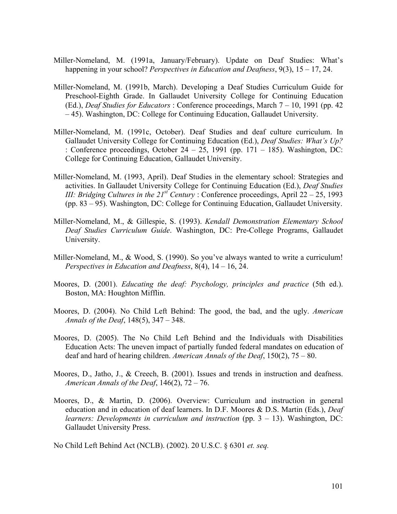- Miller-Nomeland, M. (1991a, January/February). Update on Deaf Studies: What's happening in your school? *Perspectives in Education and Deafness*, 9(3), 15 – 17, 24.
- Miller-Nomeland, M. (1991b, March). Developing a Deaf Studies Curriculum Guide for Preschool-Eighth Grade. In Gallaudet University College for Continuing Education (Ed.), *Deaf Studies for Educators* : Conference proceedings, March 7 – 10, 1991 (pp. 42 – 45). Washington, DC: College for Continuing Education, Gallaudet University.
- Miller-Nomeland, M. (1991c, October). Deaf Studies and deaf culture curriculum. In Gallaudet University College for Continuing Education (Ed.), *Deaf Studies: What's Up?*  : Conference proceedings, October 24 – 25, 1991 (pp. 171 – 185). Washington, DC: College for Continuing Education, Gallaudet University.
- Miller-Nomeland, M. (1993, April). Deaf Studies in the elementary school: Strategies and activities. In Gallaudet University College for Continuing Education (Ed.), *Deaf Studies III: Bridging Cultures in the*  $21^{st}$  *Century : Conference proceedings, April 22 – 25, 1993* (pp. 83 – 95). Washington, DC: College for Continuing Education, Gallaudet University.
- Miller-Nomeland, M., & Gillespie, S. (1993). *Kendall Demonstration Elementary School Deaf Studies Curriculum Guide*. Washington, DC: Pre-College Programs, Gallaudet University.
- Miller-Nomeland, M., & Wood, S. (1990). So you've always wanted to write a curriculum! *Perspectives in Education and Deafness*, 8(4), 14 – 16, 24.
- Moores, D. (2001). *Educating the deaf: Psychology, principles and practice* (5th ed.). Boston, MA: Houghton Mifflin.
- Moores, D. (2004). No Child Left Behind: The good, the bad, and the ugly. *American Annals of the Deaf*, 148(5), 347 – 348.
- Moores, D. (2005). The No Child Left Behind and the Individuals with Disabilities Education Acts: The uneven impact of partially funded federal mandates on education of deaf and hard of hearing children. *American Annals of the Deaf*, 150(2), 75 – 80.
- Moores, D., Jatho, J., & Creech, B. (2001). Issues and trends in instruction and deafness. *American Annals of the Deaf*, 146(2), 72 – 76.
- Moores, D., & Martin, D. (2006). Overview: Curriculum and instruction in general education and in education of deaf learners. In D.F. Moores & D.S. Martin (Eds.), *Deaf learners: Developments in curriculum and instruction* (pp. 3 – 13). Washington, DC: Gallaudet University Press.

No Child Left Behind Act (NCLB). (2002). 20 U.S.C. § 6301 *et. seq.*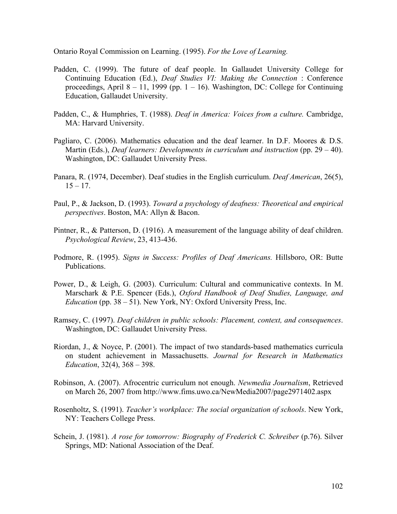Ontario Royal Commission on Learning. (1995). *For the Love of Learning.* 

- Padden, C. (1999). The future of deaf people. In Gallaudet University College for Continuing Education (Ed.), *Deaf Studies VI: Making the Connection* : Conference proceedings, April 8 – 11, 1999 (pp.  $1 - 16$ ). Washington, DC: College for Continuing Education, Gallaudet University.
- Padden, C., & Humphries, T. (1988). *Deaf in America: Voices from a culture.* Cambridge, MA: Harvard University.
- Pagliaro, C. (2006). Mathematics education and the deaf learner. In D.F. Moores & D.S. Martin (Eds.), *Deaf learners: Developments in curriculum and instruction* (pp. 29 – 40). Washington, DC: Gallaudet University Press.
- Panara, R. (1974, December). Deaf studies in the English curriculum. *Deaf American*, 26(5),  $15 - 17$ .
- Paul, P., & Jackson, D. (1993). *Toward a psychology of deafness: Theoretical and empirical perspectives*. Boston, MA: Allyn & Bacon.
- Pintner, R., & Patterson, D. (1916). A measurement of the language ability of deaf children. *Psychological Review*, 23, 413-436.
- Podmore, R. (1995). *Signs in Success: Profiles of Deaf Americans.* Hillsboro, OR: Butte Publications.
- Power, D., & Leigh, G. (2003). Curriculum: Cultural and communicative contexts. In M. Marschark & P.E. Spencer (Eds.), *Oxford Handbook of Deaf Studies, Language, and Education* (pp. 38 – 51). New York, NY: Oxford University Press, Inc.
- Ramsey, C. (1997). *Deaf children in public schools: Placement, context, and consequences*. Washington, DC: Gallaudet University Press.
- Riordan, J., & Noyce, P. (2001). The impact of two standards-based mathematics curricula on student achievement in Massachusetts. *Journal for Research in Mathematics Education*, 32(4), 368 – 398.
- Robinson, A. (2007). Afrocentric curriculum not enough. *Newmedia Journalism*, Retrieved on March 26, 2007 from http://www.fims.uwo.ca/NewMedia2007/page2971402.aspx
- Rosenholtz, S. (1991). *Teacher's workplace: The social organization of schools*. New York, NY: Teachers College Press.
- Schein, J. (1981). *A rose for tomorrow: Biography of Frederick C. Schreiber* (p.76). Silver Springs, MD: National Association of the Deaf.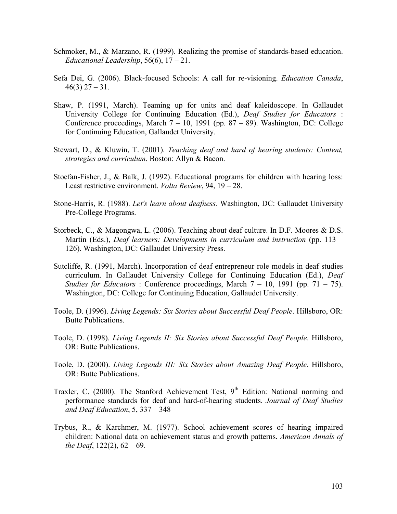- Schmoker, M., & Marzano, R. (1999). Realizing the promise of standards-based education. *Educational Leadership*, 56(6), 17 – 21.
- Sefa Dei, G. (2006). Black-focused Schools: A call for re-visioning. *Education Canada*,  $46(3)$  27 – 31.
- Shaw, P. (1991, March). Teaming up for units and deaf kaleidoscope. In Gallaudet University College for Continuing Education (Ed.), *Deaf Studies for Educators* : Conference proceedings, March  $7 - 10$ , 1991 (pp. 87 – 89). Washington, DC: College for Continuing Education, Gallaudet University.
- Stewart, D., & Kluwin, T. (2001). *Teaching deaf and hard of hearing students: Content, strategies and curriculum*. Boston: Allyn & Bacon.
- Stoefan-Fisher, J., & Balk, J. (1992). Educational programs for children with hearing loss: Least restrictive environment. *Volta Review*, 94, 19 – 28.
- Stone-Harris, R. (1988). *Let's learn about deafness.* Washington, DC: Gallaudet University Pre-College Programs.
- Storbeck, C., & Magongwa, L. (2006). Teaching about deaf culture. In D.F. Moores & D.S. Martin (Eds.), *Deaf learners: Developments in curriculum and instruction* (pp. 113 – 126). Washington, DC: Gallaudet University Press.
- Sutcliffe, R. (1991, March). Incorporation of deaf entrepreneur role models in deaf studies curriculum. In Gallaudet University College for Continuing Education (Ed.), *Deaf Studies for Educators* : Conference proceedings, March  $7 - 10$ , 1991 (pp.  $71 - 75$ ). Washington, DC: College for Continuing Education, Gallaudet University.
- Toole, D. (1996). *Living Legends: Six Stories about Successful Deaf People*. Hillsboro, OR: Butte Publications.
- Toole, D. (1998). *Living Legends II: Six Stories about Successful Deaf People*. Hillsboro, OR: Butte Publications.
- Toole, D. (2000). *Living Legends III: Six Stories about Amazing Deaf People*. Hillsboro, OR: Butte Publications.
- Traxler, C. (2000). The Stanford Achievement Test, 9<sup>th</sup> Edition: National norming and performance standards for deaf and hard-of-hearing students. *Journal of Deaf Studies and Deaf Education*, 5, 337 – 348
- Trybus, R., & Karchmer, M. (1977). School achievement scores of hearing impaired children: National data on achievement status and growth patterns. *American Annals of the Deaf*, 122(2), 62 – 69.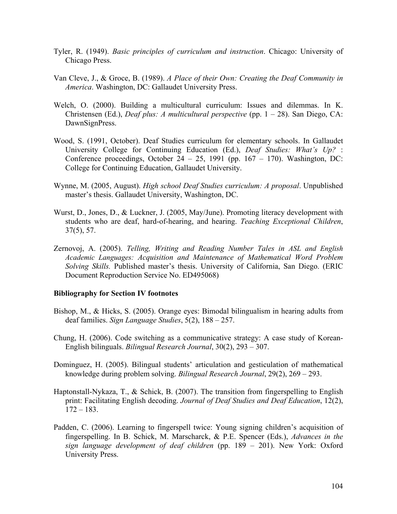- Tyler, R. (1949). *Basic principles of curriculum and instruction*. Chicago: University of Chicago Press.
- Van Cleve, J., & Groce, B. (1989). *A Place of their Own: Creating the Deaf Community in America*. Washington, DC: Gallaudet University Press.
- Welch, O. (2000). Building a multicultural curriculum: Issues and dilemmas. In K. Christensen (Ed.), *Deaf plus: A multicultural perspective* (pp. 1 – 28). San Diego, CA: DawnSignPress.
- Wood, S. (1991, October). Deaf Studies curriculum for elementary schools. In Gallaudet University College for Continuing Education (Ed.), *Deaf Studies: What's Up?* : Conference proceedings, October 24 – 25, 1991 (pp.  $167 - 170$ ). Washington, DC: College for Continuing Education, Gallaudet University.
- Wynne, M. (2005, August). *High school Deaf Studies curriculum: A proposal*. Unpublished master's thesis. Gallaudet University, Washington, DC.
- Wurst, D., Jones, D., & Luckner, J. (2005, May/June). Promoting literacy development with students who are deaf, hard-of-hearing, and hearing. *Teaching Exceptional Children*, 37(5), 57.
- Zernovoj, A. (2005). *Telling, Writing and Reading Number Tales in ASL and English Academic Languages: Acquisition and Maintenance of Mathematical Word Problem Solving Skills.* Published master's thesis. University of California, San Diego. (ERIC Document Reproduction Service No. ED495068)

## **Bibliography for Section IV footnotes**

- Bishop, M., & Hicks, S. (2005). Orange eyes: Bimodal bilingualism in hearing adults from deaf families. *Sign Language Studies*, 5(2), 188 – 257.
- Chung, H. (2006). Code switching as a communicative strategy: A case study of Korean-English bilinguals. *Bilingual Research Journal*, 30(2), 293 – 307.
- Dominguez, H. (2005). Bilingual students' articulation and gesticulation of mathematical knowledge during problem solving. *Bilingual Research Journal*, 29(2), 269 – 293.
- Haptonstall-Nykaza, T., & Schick, B. (2007). The transition from fingerspelling to English print: Facilitating English decoding. *Journal of Deaf Studies and Deaf Education*, 12(2),  $172 - 183$ .
- Padden, C. (2006). Learning to fingerspell twice: Young signing children's acquisition of fingerspelling. In B. Schick, M. Marscharck, & P.E. Spencer (Eds.), *Advances in the sign language development of deaf children* (pp. 189 – 201). New York: Oxford University Press.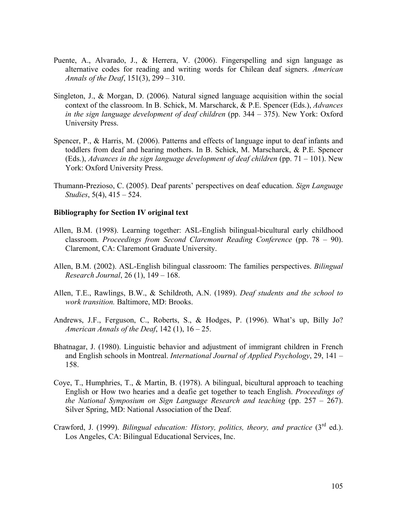- Puente, A., Alvarado, J., & Herrera, V. (2006). Fingerspelling and sign language as alternative codes for reading and writing words for Chilean deaf signers. *American Annals of the Deaf*, 151(3), 299 – 310.
- Singleton, J., & Morgan, D. (2006). Natural signed language acquisition within the social context of the classroom. In B. Schick, M. Marscharck, & P.E. Spencer (Eds.), *Advances in the sign language development of deaf children* (pp. 344 – 375). New York: Oxford University Press.
- Spencer, P., & Harris, M. (2006). Patterns and effects of language input to deaf infants and toddlers from deaf and hearing mothers. In B. Schick, M. Marscharck, & P.E. Spencer (Eds.), *Advances in the sign language development of deaf children* (pp. 71 – 101). New York: Oxford University Press.
- Thumann-Prezioso, C. (2005). Deaf parents' perspectives on deaf education. *Sign Language Studies*, 5(4), 415 – 524.

### **Bibliography for Section IV original text**

- Allen, B.M. (1998). Learning together: ASL-English bilingual-bicultural early childhood classroom. *Proceedings from Second Claremont Reading Conference* (pp. 78 – 90). Claremont, CA: Claremont Graduate University.
- Allen, B.M. (2002). ASL-English bilingual classroom: The families perspectives. *Bilingual Research Journal*, 26 (1), 149 – 168.
- Allen, T.E., Rawlings, B.W., & Schildroth, A.N. (1989). *Deaf students and the school to work transition.* Baltimore, MD: Brooks.
- Andrews, J.F., Ferguson, C., Roberts, S., & Hodges, P. (1996). What's up, Billy Jo? *American Annals of the Deaf*, 142 (1), 16 – 25.
- Bhatnagar, J. (1980). Linguistic behavior and adjustment of immigrant children in French and English schools in Montreal. *International Journal of Applied Psychology*, 29, 141 – 158.
- Coye, T., Humphries, T., & Martin, B. (1978). A bilingual, bicultural approach to teaching English or How two hearies and a deafie get together to teach English. *Proceedings of the National Symposium on Sign Language Research and teaching* (pp. 257 – 267). Silver Spring, MD: National Association of the Deaf.
- Crawford, J. (1999). *Bilingual education: History, politics, theory, and practice* (3<sup>rd</sup> ed.). Los Angeles, CA: Bilingual Educational Services, Inc.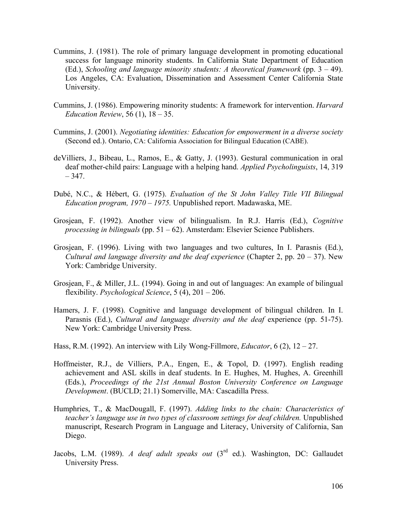- Cummins, J. (1981). The role of primary language development in promoting educational success for language minority students. In California State Department of Education (Ed.), *Schooling and language minority students: A theoretical framework* (pp. 3 – 49). Los Angeles, CA: Evaluation, Dissemination and Assessment Center California State University.
- Cummins, J. (1986). Empowering minority students: A framework for intervention. *Harvard Education Review*, 56 (1), 18 – 35.
- Cummins, J. (2001). *Negotiating identities: Education for empowerment in a diverse society* (Second ed.). Ontario, CA: California Association for Bilingual Education (CABE).
- deVilliers, J., Bibeau, L., Ramos, E., & Gatty, J. (1993). Gestural communication in oral deaf mother-child pairs: Language with a helping hand. *Applied Psycholinguists*, 14, 319  $-347.$
- Dubé, N.C., & Hébert, G. (1975). *Evaluation of the St John Valley Title VII Bilingual Education program, 1970 – 1975.* Unpublished report. Madawaska, ME.
- Grosjean, F. (1992). Another view of bilingualism. In R.J. Harris (Ed.), *Cognitive processing in bilinguals* (pp. 51 – 62). Amsterdam: Elsevier Science Publishers.
- Grosjean, F. (1996). Living with two languages and two cultures, In I. Parasnis (Ed.), *Cultural and language diversity and the deaf experience* (Chapter 2, pp. 20 – 37). New York: Cambridge University.
- Grosjean, F., & Miller, J.L. (1994). Going in and out of languages: An example of bilingual flexibility. *Psychological Science*, 5 (4), 201 – 206.
- Hamers, J. F. (1998). Cognitive and language development of bilingual children. In I. Parasnis (Ed.), *Cultural and language diversity and the deaf* experience (pp. 51-75). New York: Cambridge University Press.
- Hass, R.M. (1992). An interview with Lily Wong-Fillmore, *Educator*, 6 (2), 12 27.
- Hoffmeister, R.J., de Villiers, P.A., Engen, E., & Topol, D. (1997). English reading achievement and ASL skills in deaf students. In E. Hughes, M. Hughes, A. Greenhill (Eds.), *Proceedings of the 21st Annual Boston University Conference on Language Development*. (BUCLD; 21.1) Somerville, MA: Cascadilla Press.
- Humphries, T., & MacDougall, F. (1997). *Adding links to the chain: Characteristics of teacher's language use in two types of classroom settings for deaf children.* Unpublished manuscript, Research Program in Language and Literacy, University of California, San Diego.
- Jacobs, L.M. (1989). *A deaf adult speaks out* (3rd ed.). Washington, DC: Gallaudet University Press.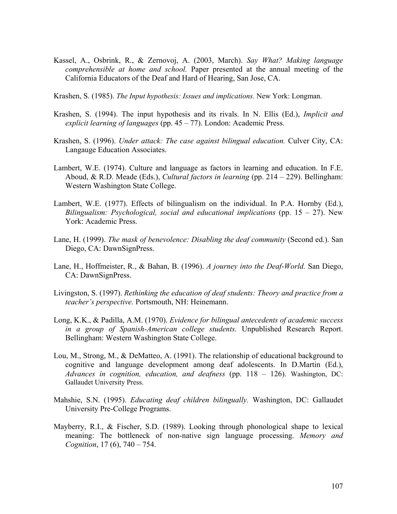- Kassel, A., Osbrink, R., & Zernovoj, A. (2003, March). *Say What? Making language comprehensible at home and school.* Paper presented at the annual meeting of the California Educators of the Deaf and Hard of Hearing, San Jose, CA.
- Krashen, S. (1985). *The Input hypothesis: Issues and implications.* New York: Longman.
- Krashen, S. (1994). The input hypothesis and its rivals. In N. Ellis (Ed.), *Implicit and explicit learning of languages* (pp. 45 – 77). London: Academic Press.
- Krashen, S. (1996). *Under attack: The case against bilingual education.* Culver City, CA: Langauge Education Associates.
- Lambert, W.E. (1974). Culture and language as factors in learning and education. In F.E. Aboud, & R.D. Meade (Eds.), *Cultural factors in learning* (pp. 214 – 229). Bellingham: Western Washington State College.
- Lambert, W.E. (1977). Effects of bilingualism on the individual. In P.A. Hornby (Ed.), *Bilingualism: Psychological, social and educational implications* (pp. 15 – 27). New York: Academic Press.
- Lane, H. (1999). *The mask of benevolence: Disabling the deaf community* (Second ed.). San Diego, CA: DawnSignPress.
- Lane, H., Hoffmeister, R., & Bahan, B. (1996). *A journey into the Deaf-World.* San Diego, CA: DawnSignPress.
- Livingston, S. (1997). *Rethinking the education of deaf students: Theory and practice from a teacher's perspective.* Portsmouth, NH: Heinemann.
- Long, K.K., & Padilla, A.M. (1970). *Evidence for bilingual antecedents of academic success in a group of Spanish-American college students.* Unpublished Research Report. Bellingham: Western Washington State College.
- Lou, M., Strong, M., & DeMatteo, A. (1991). The relationship of educational background to cognitive and language development among deaf adolescents. In D.Martin (Ed.), *Advances in cognition, education, and deafness* (pp. 118 – 126). Washington, DC: Gallaudet University Press.
- Mahshie, S.N. (1995). *Educating deaf children bilingually.* Washington, DC: Gallaudet University Pre-College Programs.
- Mayberry, R.I., & Fischer, S.D. (1989). Looking through phonological shape to lexical meaning: The bottleneck of non-native sign language processing. *Memory and Cognition*, 17 (6), 740 – 754.